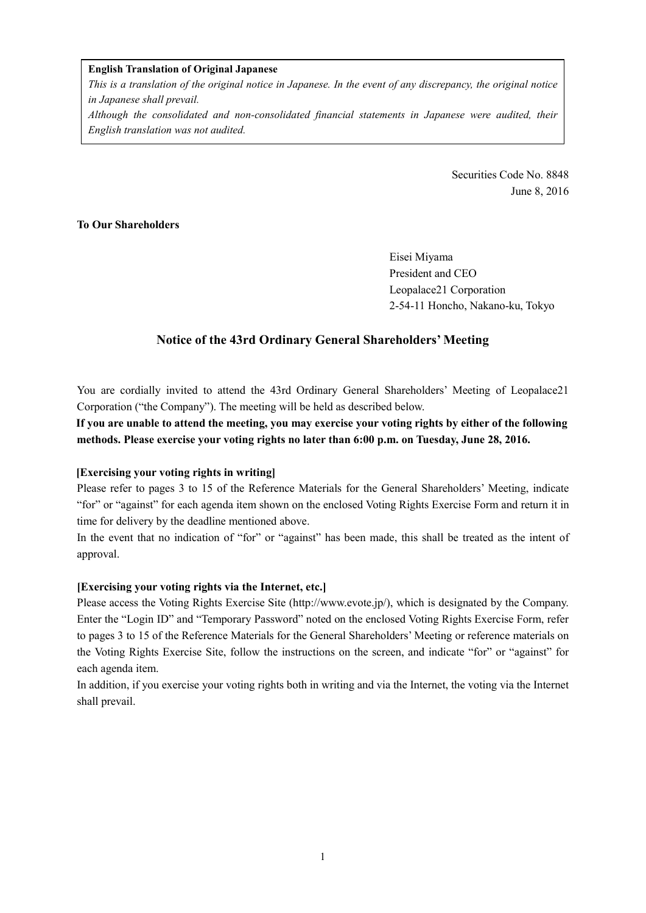#### **English Translation of Original Japanese**

*This is a translation of the original notice in Japanese. In the event of any discrepancy, the original notice in Japanese shall prevail.* 

*Although the consolidated and non-consolidated financial statements in Japanese were audited, their English translation was not audited.*

> Securities Code No. 8848 June 8, 2016

### **To Our Shareholders**

Eisei Miyama President and CEO Leopalace21 Corporation 2-54-11 Honcho, Nakano-ku, Tokyo

## **Notice of the 43rd Ordinary General Shareholders' Meeting**

You are cordially invited to attend the 43rd Ordinary General Shareholders' Meeting of Leopalace21 Corporation ("the Company"). The meeting will be held as described below.

**If you are unable to attend the meeting, you may exercise your voting rights by either of the following methods. Please exercise your voting rights no later than 6:00 p.m. on Tuesday, June 28, 2016.** 

### **[Exercising your voting rights in writing]**

Please refer to pages 3 to 15 of the Reference Materials for the General Shareholders' Meeting, indicate "for" or "against" for each agenda item shown on the enclosed Voting Rights Exercise Form and return it in time for delivery by the deadline mentioned above.

In the event that no indication of "for" or "against" has been made, this shall be treated as the intent of approval.

### **[Exercising your voting rights via the Internet, etc.]**

Please access the Voting Rights Exercise Site (http://www.evote.jp/), which is designated by the Company. Enter the "Login ID" and "Temporary Password" noted on the enclosed Voting Rights Exercise Form, refer to pages 3 to 15 of the Reference Materials for the General Shareholders' Meeting or reference materials on the Voting Rights Exercise Site, follow the instructions on the screen, and indicate "for" or "against" for each agenda item.

In addition, if you exercise your voting rights both in writing and via the Internet, the voting via the Internet shall prevail.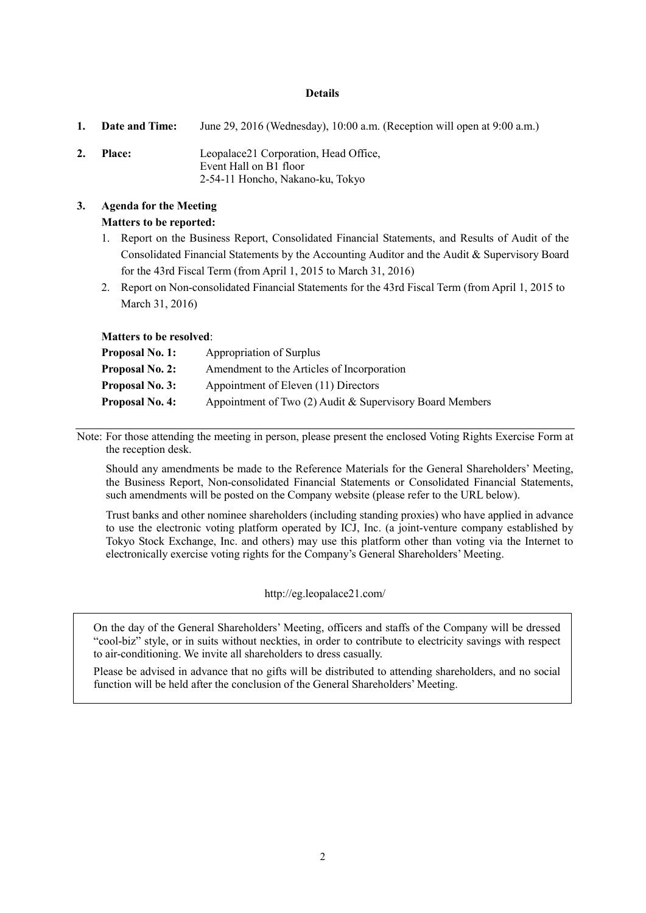#### **Details**

**1. Date and Time:** June 29, 2016 (Wednesday), 10:00 a.m. (Reception will open at 9:00 a.m.) **2. Place:** Leopalace21 Corporation, Head Office, Event Hall on B1 floor 2-54-11 Honcho, Nakano-ku, Tokyo

### **3. Agenda for the Meeting Matters to be reported:**

- 1. Report on the Business Report, Consolidated Financial Statements, and Results of Audit of the Consolidated Financial Statements by the Accounting Auditor and the Audit & Supervisory Board for the 43rd Fiscal Term (from April 1, 2015 to March 31, 2016)
- 2. Report on Non-consolidated Financial Statements for the 43rd Fiscal Term (from April 1, 2015 to March 31, 2016)

#### **Matters to be resolved**:

| <b>Proposal No. 1:</b> | Appropriation of Surplus                                 |
|------------------------|----------------------------------------------------------|
| <b>Proposal No. 2:</b> | Amendment to the Articles of Incorporation               |
| <b>Proposal No. 3:</b> | Appointment of Eleven (11) Directors                     |
| <b>Proposal No. 4:</b> | Appointment of Two (2) Audit & Supervisory Board Members |

Note: For those attending the meeting in person, please present the enclosed Voting Rights Exercise Form at the reception desk.

Should any amendments be made to the Reference Materials for the General Shareholders' Meeting, the Business Report, Non-consolidated Financial Statements or Consolidated Financial Statements, such amendments will be posted on the Company website (please refer to the URL below).

Trust banks and other nominee shareholders (including standing proxies) who have applied in advance to use the electronic voting platform operated by ICJ, Inc. (a joint-venture company established by Tokyo Stock Exchange, Inc. and others) may use this platform other than voting via the Internet to electronically exercise voting rights for the Company's General Shareholders' Meeting.

#### http://eg.leopalace21.com/

 On the day of the General Shareholders' Meeting, officers and staffs of the Company will be dressed "cool-biz" style, or in suits without neckties, in order to contribute to electricity savings with respect to air-conditioning. We invite all shareholders to dress casually.

 Please be advised in advance that no gifts will be distributed to attending shareholders, and no social function will be held after the conclusion of the General Shareholders' Meeting.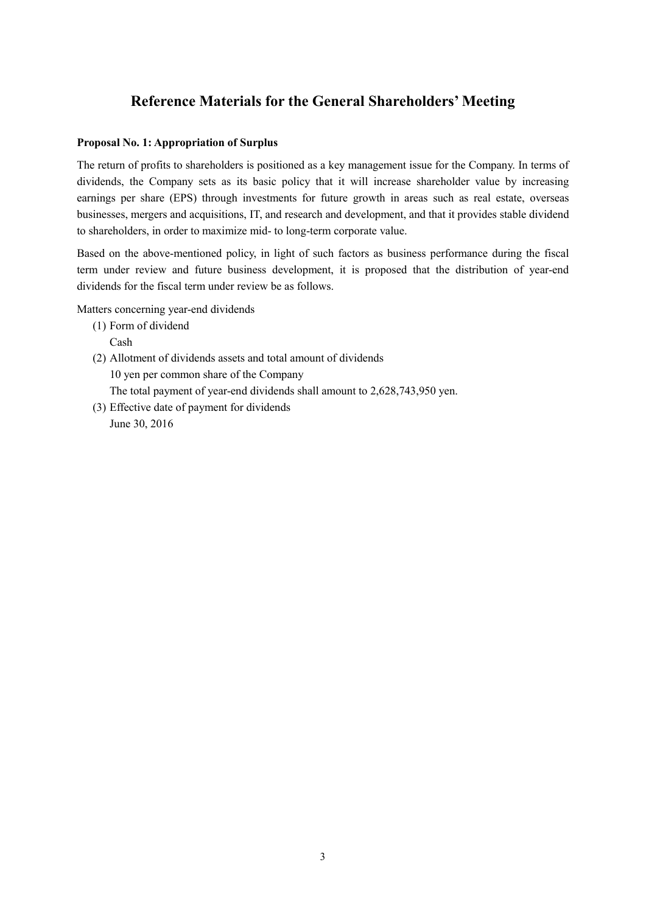# **Reference Materials for the General Shareholders' Meeting**

#### **Proposal No. 1: Appropriation of Surplus**

The return of profits to shareholders is positioned as a key management issue for the Company. In terms of dividends, the Company sets as its basic policy that it will increase shareholder value by increasing earnings per share (EPS) through investments for future growth in areas such as real estate, overseas businesses, mergers and acquisitions, IT, and research and development, and that it provides stable dividend to shareholders, in order to maximize mid- to long-term corporate value.

Based on the above-mentioned policy, in light of such factors as business performance during the fiscal term under review and future business development, it is proposed that the distribution of year-end dividends for the fiscal term under review be as follows.

Matters concerning year-end dividends

- (1) Form of dividend Cash
- (2) Allotment of dividends assets and total amount of dividends 10 yen per common share of the Company The total payment of year-end dividends shall amount to 2,628,743,950 yen.
- (3) Effective date of payment for dividends June 30, 2016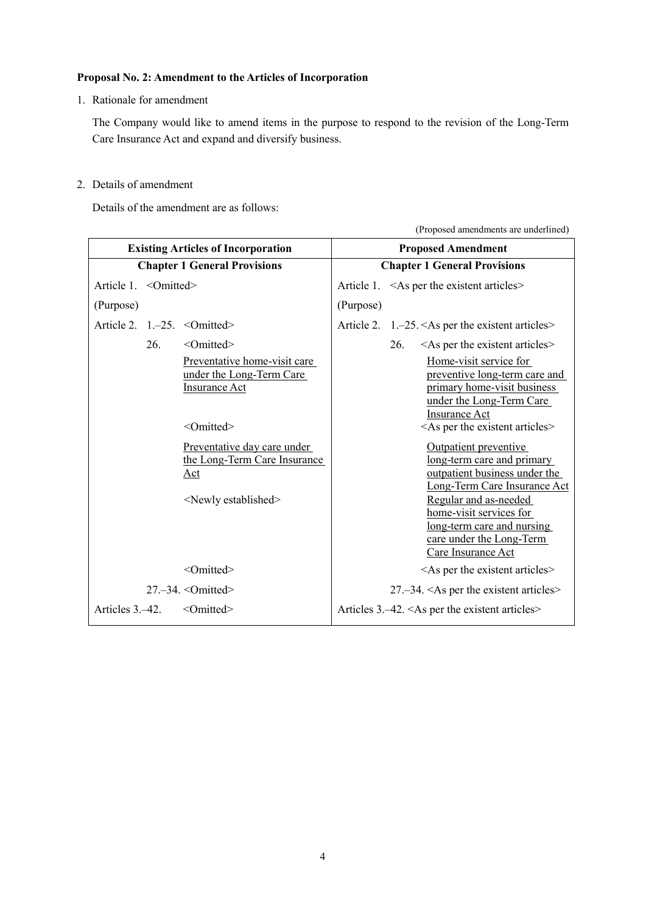### **Proposal No. 2: Amendment to the Articles of Incorporation**

1. Rationale for amendment

The Company would like to amend items in the purpose to respond to the revision of the Long-Term Care Insurance Act and expand and diversify business.

2. Details of amendment

Details of the amendment are as follows:

(Proposed amendments are underlined)

|                       | <b>Existing Articles of Incorporation</b> |                                                                                                         |                                     | <b>Proposed Amendment</b>                                                                                                                                                                                                                                |  |  |
|-----------------------|-------------------------------------------|---------------------------------------------------------------------------------------------------------|-------------------------------------|----------------------------------------------------------------------------------------------------------------------------------------------------------------------------------------------------------------------------------------------------------|--|--|
|                       |                                           | <b>Chapter 1 General Provisions</b>                                                                     | <b>Chapter 1 General Provisions</b> |                                                                                                                                                                                                                                                          |  |  |
| Article 1. < Omitted> |                                           |                                                                                                         |                                     | Article 1. < As per the existent articles >                                                                                                                                                                                                              |  |  |
| (Purpose)             |                                           |                                                                                                         | (Purpose)                           |                                                                                                                                                                                                                                                          |  |  |
|                       |                                           | Article 2. $1,-25.$ < Omitted>                                                                          |                                     | Article 2. $1,-25. <$ As per the existent articles>                                                                                                                                                                                                      |  |  |
|                       | 26.                                       | <omitted></omitted>                                                                                     |                                     | $\leq$ As per the existent articles $\geq$<br>26.                                                                                                                                                                                                        |  |  |
|                       |                                           | Preventative home-visit care<br>under the Long-Term Care<br><b>Insurance Act</b><br><omitted></omitted> |                                     | Home-visit service for<br>preventive long-term care and<br>primary home-visit business<br>under the Long-Term Care<br>Insurance Act<br>$\leq$ As per the existent articles $\geq$                                                                        |  |  |
|                       |                                           | Preventative day care under<br>the Long-Term Care Insurance<br>Act<br><newly established=""></newly>    |                                     | Outpatient preventive<br>long-term care and primary<br>outpatient business under the<br>Long-Term Care Insurance Act<br>Regular and as-needed<br>home-visit services for<br>long-term care and nursing<br>care under the Long-Term<br>Care Insurance Act |  |  |
|                       |                                           | <omitted></omitted>                                                                                     |                                     | $\leq$ As per the existent articles $\geq$                                                                                                                                                                                                               |  |  |
|                       |                                           | $27 - 34$ . < Omitted>                                                                                  |                                     | $27 - 34$ . $\leq$ As per the existent articles $>$                                                                                                                                                                                                      |  |  |
| Articles 3.–42.       |                                           | $\leq$ Omitted>                                                                                         |                                     | Articles $3.-42. <$ As per the existent articles>                                                                                                                                                                                                        |  |  |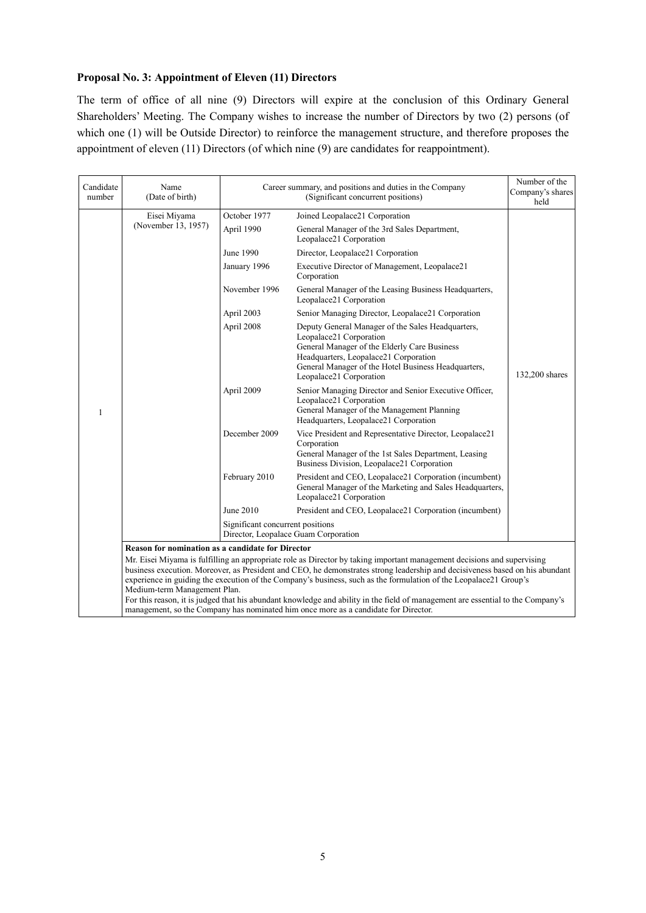### **Proposal No. 3: Appointment of Eleven (11) Directors**

The term of office of all nine (9) Directors will expire at the conclusion of this Ordinary General Shareholders' Meeting. The Company wishes to increase the number of Directors by two (2) persons (of which one (1) will be Outside Director) to reinforce the management structure, and therefore proposes the appointment of eleven (11) Directors (of which nine (9) are candidates for reappointment).

| Candidate<br>number | Name<br>(Date of birth)                                                                                                                                                                                                                                                                                                                                                                                                                                                                                                                         |                                  | Career summary, and positions and duties in the Company<br>(Significant concurrent positions)                                                                                                                                                           | Number of the<br>Company's shares<br>held |
|---------------------|-------------------------------------------------------------------------------------------------------------------------------------------------------------------------------------------------------------------------------------------------------------------------------------------------------------------------------------------------------------------------------------------------------------------------------------------------------------------------------------------------------------------------------------------------|----------------------------------|---------------------------------------------------------------------------------------------------------------------------------------------------------------------------------------------------------------------------------------------------------|-------------------------------------------|
|                     | Eisei Miyama                                                                                                                                                                                                                                                                                                                                                                                                                                                                                                                                    | October 1977                     | Joined Leopalace21 Corporation                                                                                                                                                                                                                          |                                           |
|                     | (November 13, 1957)                                                                                                                                                                                                                                                                                                                                                                                                                                                                                                                             | April 1990                       | General Manager of the 3rd Sales Department,<br>Leopalace21 Corporation                                                                                                                                                                                 |                                           |
|                     |                                                                                                                                                                                                                                                                                                                                                                                                                                                                                                                                                 | June 1990                        | Director, Leopalace21 Corporation                                                                                                                                                                                                                       |                                           |
|                     |                                                                                                                                                                                                                                                                                                                                                                                                                                                                                                                                                 | January 1996                     | Executive Director of Management, Leopalace21<br>Corporation                                                                                                                                                                                            |                                           |
|                     |                                                                                                                                                                                                                                                                                                                                                                                                                                                                                                                                                 | November 1996                    | General Manager of the Leasing Business Headquarters,<br>Leopalace21 Corporation                                                                                                                                                                        |                                           |
|                     |                                                                                                                                                                                                                                                                                                                                                                                                                                                                                                                                                 | April 2003                       | Senior Managing Director, Leopalace21 Corporation                                                                                                                                                                                                       |                                           |
|                     |                                                                                                                                                                                                                                                                                                                                                                                                                                                                                                                                                 | April 2008                       | Deputy General Manager of the Sales Headquarters,<br>Leopalace21 Corporation<br>General Manager of the Elderly Care Business<br>Headquarters, Leopalace21 Corporation<br>General Manager of the Hotel Business Headquarters,<br>Leopalace21 Corporation | 132,200 shares                            |
| 1                   |                                                                                                                                                                                                                                                                                                                                                                                                                                                                                                                                                 | April 2009                       | Senior Managing Director and Senior Executive Officer,<br>Leopalace21 Corporation<br>General Manager of the Management Planning<br>Headquarters, Leopalace21 Corporation                                                                                |                                           |
|                     |                                                                                                                                                                                                                                                                                                                                                                                                                                                                                                                                                 | December 2009                    | Vice President and Representative Director, Leopalace21<br>Corporation<br>General Manager of the 1st Sales Department, Leasing<br>Business Division, Leopalace21 Corporation                                                                            |                                           |
|                     |                                                                                                                                                                                                                                                                                                                                                                                                                                                                                                                                                 | February 2010                    | President and CEO, Leopalace21 Corporation (incumbent)<br>General Manager of the Marketing and Sales Headquarters,<br>Leopalace21 Corporation                                                                                                           |                                           |
|                     |                                                                                                                                                                                                                                                                                                                                                                                                                                                                                                                                                 | June 2010                        | President and CEO, Leopalace21 Corporation (incumbent)                                                                                                                                                                                                  |                                           |
|                     |                                                                                                                                                                                                                                                                                                                                                                                                                                                                                                                                                 | Significant concurrent positions | Director, Leopalace Guam Corporation                                                                                                                                                                                                                    |                                           |
|                     | <b>Reason for nomination as a candidate for Director</b>                                                                                                                                                                                                                                                                                                                                                                                                                                                                                        |                                  |                                                                                                                                                                                                                                                         |                                           |
|                     | Mr. Eisei Miyama is fulfilling an appropriate role as Director by taking important management decisions and supervising<br>business execution. Moreover, as President and CEO, he demonstrates strong leadership and decisiveness based on his abundant<br>experience in guiding the execution of the Company's business, such as the formulation of the Leopalace21 Group's<br>Medium-term Management Plan.<br>For this reason, it is judged that his abundant knowledge and ability in the field of management are essential to the Company's |                                  |                                                                                                                                                                                                                                                         |                                           |
|                     |                                                                                                                                                                                                                                                                                                                                                                                                                                                                                                                                                 |                                  | management, so the Company has nominated him once more as a candidate for Director.                                                                                                                                                                     |                                           |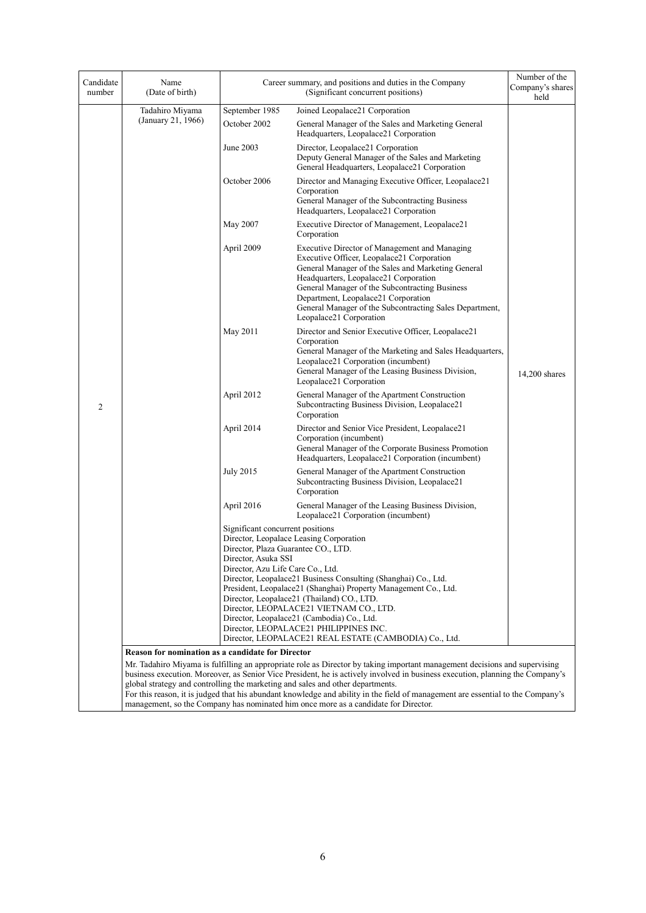| Candidate<br>number | Name<br>(Date of birth)                                  |                                                                                                                                     | Career summary, and positions and duties in the Company<br>(Significant concurrent positions)                                                                                                                                                                                                                                                                             | Number of the<br>Company's shares<br>held |
|---------------------|----------------------------------------------------------|-------------------------------------------------------------------------------------------------------------------------------------|---------------------------------------------------------------------------------------------------------------------------------------------------------------------------------------------------------------------------------------------------------------------------------------------------------------------------------------------------------------------------|-------------------------------------------|
|                     | Tadahiro Miyama                                          | September 1985                                                                                                                      | Joined Leopalace21 Corporation                                                                                                                                                                                                                                                                                                                                            |                                           |
|                     | (January 21, 1966)                                       | October 2002                                                                                                                        | General Manager of the Sales and Marketing General<br>Headquarters, Leopalace21 Corporation                                                                                                                                                                                                                                                                               |                                           |
|                     |                                                          | June 2003                                                                                                                           | Director, Leopalace21 Corporation<br>Deputy General Manager of the Sales and Marketing<br>General Headquarters, Leopalace21 Corporation                                                                                                                                                                                                                                   |                                           |
|                     |                                                          | October 2006                                                                                                                        | Director and Managing Executive Officer, Leopalace21<br>Corporation<br>General Manager of the Subcontracting Business<br>Headquarters, Leopalace21 Corporation                                                                                                                                                                                                            |                                           |
|                     |                                                          | May 2007                                                                                                                            | Executive Director of Management, Leopalace21<br>Corporation                                                                                                                                                                                                                                                                                                              |                                           |
|                     |                                                          | April 2009                                                                                                                          | Executive Director of Management and Managing<br>Executive Officer, Leopalace21 Corporation<br>General Manager of the Sales and Marketing General<br>Headquarters, Leopalace21 Corporation<br>General Manager of the Subcontracting Business<br>Department, Leopalace21 Corporation<br>General Manager of the Subcontracting Sales Department,<br>Leopalace21 Corporation |                                           |
|                     |                                                          | May 2011                                                                                                                            | Director and Senior Executive Officer, Leopalace21<br>Corporation<br>General Manager of the Marketing and Sales Headquarters,<br>Leopalace21 Corporation (incumbent)<br>General Manager of the Leasing Business Division,<br>Leopalace21 Corporation                                                                                                                      | $14,200$ shares                           |
| $\overline{c}$      |                                                          | April 2012                                                                                                                          | General Manager of the Apartment Construction<br>Subcontracting Business Division, Leopalace21<br>Corporation                                                                                                                                                                                                                                                             |                                           |
|                     |                                                          | April 2014                                                                                                                          | Director and Senior Vice President, Leopalace21<br>Corporation (incumbent)<br>General Manager of the Corporate Business Promotion<br>Headquarters, Leopalace21 Corporation (incumbent)                                                                                                                                                                                    |                                           |
|                     |                                                          | <b>July 2015</b>                                                                                                                    | General Manager of the Apartment Construction<br>Subcontracting Business Division, Leopalace21<br>Corporation                                                                                                                                                                                                                                                             |                                           |
|                     |                                                          | April 2016                                                                                                                          | General Manager of the Leasing Business Division,<br>Leopalace21 Corporation (incumbent)                                                                                                                                                                                                                                                                                  |                                           |
|                     |                                                          | Significant concurrent positions<br>Director, Plaza Guarantee CO., LTD.<br>Director, Asuka SSI<br>Director, Azu Life Care Co., Ltd. | Director, Leopalace Leasing Corporation<br>Director, Leopalace21 Business Consulting (Shanghai) Co., Ltd.<br>President, Leopalace21 (Shanghai) Property Management Co., Ltd.<br>Director, Leopalace21 (Thailand) CO., LTD.<br>Director, LEOPALACE21 VIETNAM CO., LTD.<br>Director, Leopalace21 (Cambodia) Co., Ltd.<br>Director, LEOPALACE21 PHILIPPINES INC.             |                                           |
|                     |                                                          |                                                                                                                                     | Director, LEOPALACE21 REAL ESTATE (CAMBODIA) Co., Ltd.                                                                                                                                                                                                                                                                                                                    |                                           |
|                     | <b>Reason for nomination as a candidate for Director</b> |                                                                                                                                     |                                                                                                                                                                                                                                                                                                                                                                           |                                           |
|                     |                                                          |                                                                                                                                     | Mr. Tadahiro Miyama is fulfilling an appropriate role as Director by taking important management decisions and supervising                                                                                                                                                                                                                                                |                                           |
|                     |                                                          |                                                                                                                                     | business execution. Moreover, as Senior Vice President, he is actively involved in business execution, planning the Company's<br>global strategy and controlling the marketing and sales and other departments.                                                                                                                                                           |                                           |
|                     |                                                          |                                                                                                                                     | For this reason, it is judged that his abundant knowledge and ability in the field of management are essential to the Company's                                                                                                                                                                                                                                           |                                           |
|                     |                                                          |                                                                                                                                     | management, so the Company has nominated him once more as a candidate for Director.                                                                                                                                                                                                                                                                                       |                                           |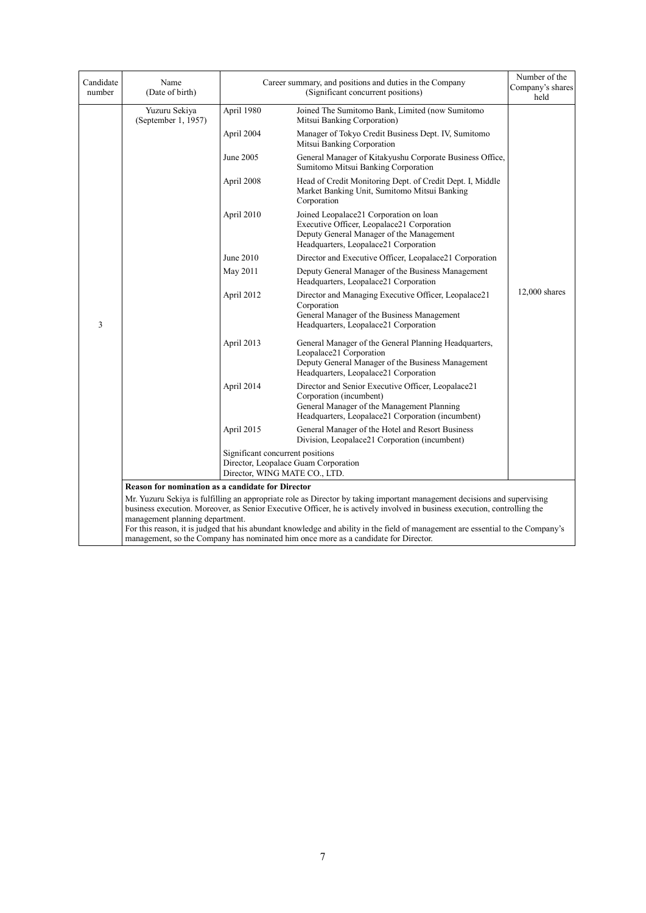| Candidate<br>number | Name<br>(Date of birth)                                                                                                                                                                                                                                                                                                                                                                                                                                                                                            |                                                                   | Career summary, and positions and duties in the Company<br>Company's shares<br>(Significant concurrent positions)                                                                |                 |  |
|---------------------|--------------------------------------------------------------------------------------------------------------------------------------------------------------------------------------------------------------------------------------------------------------------------------------------------------------------------------------------------------------------------------------------------------------------------------------------------------------------------------------------------------------------|-------------------------------------------------------------------|----------------------------------------------------------------------------------------------------------------------------------------------------------------------------------|-----------------|--|
|                     | Yuzuru Sekiya<br>(September 1, 1957)                                                                                                                                                                                                                                                                                                                                                                                                                                                                               | April 1980                                                        | Joined The Sumitomo Bank, Limited (now Sumitomo<br>Mitsui Banking Corporation)                                                                                                   |                 |  |
|                     |                                                                                                                                                                                                                                                                                                                                                                                                                                                                                                                    | April 2004                                                        | Manager of Tokyo Credit Business Dept. IV, Sumitomo<br>Mitsui Banking Corporation                                                                                                |                 |  |
|                     |                                                                                                                                                                                                                                                                                                                                                                                                                                                                                                                    | June 2005                                                         | General Manager of Kitakyushu Corporate Business Office,<br>Sumitomo Mitsui Banking Corporation                                                                                  |                 |  |
|                     |                                                                                                                                                                                                                                                                                                                                                                                                                                                                                                                    | April 2008                                                        | Head of Credit Monitoring Dept. of Credit Dept. I, Middle<br>Market Banking Unit, Sumitomo Mitsui Banking<br>Corporation                                                         |                 |  |
|                     |                                                                                                                                                                                                                                                                                                                                                                                                                                                                                                                    | April 2010                                                        | Joined Leopalace21 Corporation on loan<br>Executive Officer, Leopalace21 Corporation<br>Deputy General Manager of the Management<br>Headquarters, Leopalace21 Corporation        |                 |  |
|                     |                                                                                                                                                                                                                                                                                                                                                                                                                                                                                                                    | June 2010                                                         | Director and Executive Officer, Leopalace21 Corporation                                                                                                                          |                 |  |
|                     |                                                                                                                                                                                                                                                                                                                                                                                                                                                                                                                    | May 2011                                                          | Deputy General Manager of the Business Management<br>Headquarters, Leopalace21 Corporation                                                                                       |                 |  |
| 3                   |                                                                                                                                                                                                                                                                                                                                                                                                                                                                                                                    | April 2012                                                        | Director and Managing Executive Officer, Leopalace21<br>Corporation<br>General Manager of the Business Management<br>Headquarters, Leopalace21 Corporation                       | $12,000$ shares |  |
|                     |                                                                                                                                                                                                                                                                                                                                                                                                                                                                                                                    | April 2013                                                        | General Manager of the General Planning Headquarters,<br>Leopalace21 Corporation<br>Deputy General Manager of the Business Management<br>Headquarters, Leopalace21 Corporation   |                 |  |
|                     |                                                                                                                                                                                                                                                                                                                                                                                                                                                                                                                    | April 2014                                                        | Director and Senior Executive Officer, Leopalace21<br>Corporation (incumbent)<br>General Manager of the Management Planning<br>Headquarters, Leopalace21 Corporation (incumbent) |                 |  |
|                     |                                                                                                                                                                                                                                                                                                                                                                                                                                                                                                                    | April 2015                                                        | General Manager of the Hotel and Resort Business<br>Division, Leopalace21 Corporation (incumbent)                                                                                |                 |  |
|                     |                                                                                                                                                                                                                                                                                                                                                                                                                                                                                                                    | Significant concurrent positions<br>Director, WING MATE CO., LTD. | Director, Leopalace Guam Corporation                                                                                                                                             |                 |  |
|                     | <b>Reason for nomination as a candidate for Director</b>                                                                                                                                                                                                                                                                                                                                                                                                                                                           |                                                                   |                                                                                                                                                                                  |                 |  |
|                     | Mr. Yuzuru Sekiya is fulfilling an appropriate role as Director by taking important management decisions and supervising<br>business execution. Moreover, as Senior Executive Officer, he is actively involved in business execution, controlling the<br>management planning department.<br>For this reason, it is judged that his abundant knowledge and ability in the field of management are essential to the Company's<br>management, so the Company has nominated him once more as a candidate for Director. |                                                                   |                                                                                                                                                                                  |                 |  |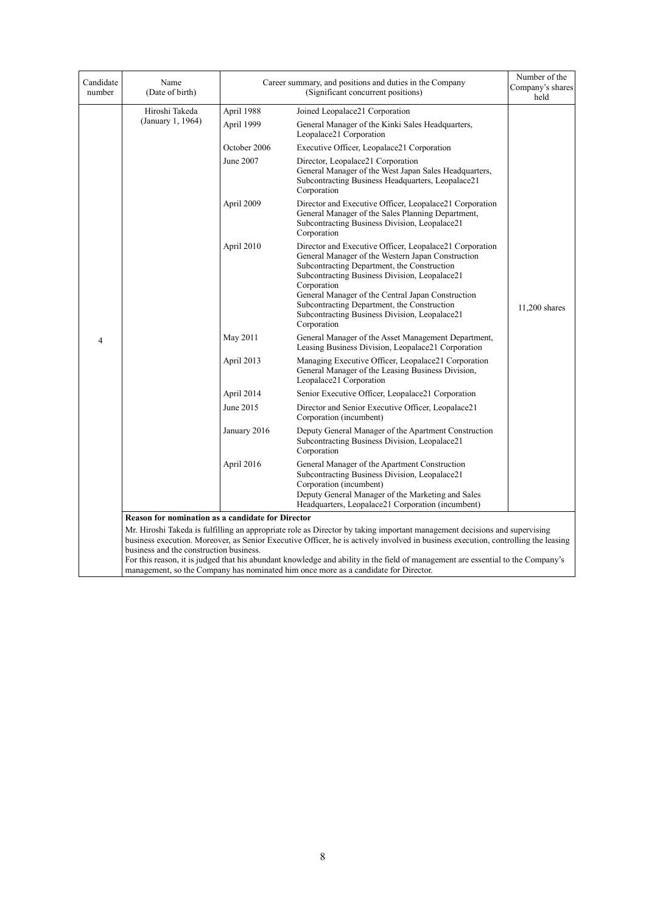| Candidate<br>number | Name<br>(Date of birth)                                                                                                                                                                                                                                                                                                                                                                                                                                                                                                             |              | Career summary, and positions and duties in the Company<br>(Significant concurrent positions)                                                                                                                                                                                                                                                                                                   | Number of the<br>Company's shares<br>held |
|---------------------|-------------------------------------------------------------------------------------------------------------------------------------------------------------------------------------------------------------------------------------------------------------------------------------------------------------------------------------------------------------------------------------------------------------------------------------------------------------------------------------------------------------------------------------|--------------|-------------------------------------------------------------------------------------------------------------------------------------------------------------------------------------------------------------------------------------------------------------------------------------------------------------------------------------------------------------------------------------------------|-------------------------------------------|
|                     | Hiroshi Takeda                                                                                                                                                                                                                                                                                                                                                                                                                                                                                                                      | April 1988   | Joined Leopalace21 Corporation                                                                                                                                                                                                                                                                                                                                                                  |                                           |
|                     | (January 1, 1964)                                                                                                                                                                                                                                                                                                                                                                                                                                                                                                                   | April 1999   | General Manager of the Kinki Sales Headquarters,<br>Leopalace21 Corporation                                                                                                                                                                                                                                                                                                                     |                                           |
|                     |                                                                                                                                                                                                                                                                                                                                                                                                                                                                                                                                     | October 2006 | Executive Officer, Leopalace21 Corporation                                                                                                                                                                                                                                                                                                                                                      |                                           |
|                     |                                                                                                                                                                                                                                                                                                                                                                                                                                                                                                                                     | June 2007    | Director, Leopalace21 Corporation<br>General Manager of the West Japan Sales Headquarters,<br>Subcontracting Business Headquarters, Leopalace21<br>Corporation                                                                                                                                                                                                                                  |                                           |
|                     |                                                                                                                                                                                                                                                                                                                                                                                                                                                                                                                                     | April 2009   | Director and Executive Officer, Leopalace21 Corporation<br>General Manager of the Sales Planning Department,<br>Subcontracting Business Division, Leopalace21<br>Corporation                                                                                                                                                                                                                    |                                           |
|                     |                                                                                                                                                                                                                                                                                                                                                                                                                                                                                                                                     | April 2010   | Director and Executive Officer, Leopalace21 Corporation<br>General Manager of the Western Japan Construction<br>Subcontracting Department, the Construction<br>Subcontracting Business Division, Leopalace21<br>Corporation<br>General Manager of the Central Japan Construction<br>Subcontracting Department, the Construction<br>Subcontracting Business Division, Leopalace21<br>Corporation | 11,200 shares                             |
| 4                   |                                                                                                                                                                                                                                                                                                                                                                                                                                                                                                                                     | May 2011     | General Manager of the Asset Management Department,<br>Leasing Business Division, Leopalace21 Corporation                                                                                                                                                                                                                                                                                       |                                           |
|                     |                                                                                                                                                                                                                                                                                                                                                                                                                                                                                                                                     | April 2013   | Managing Executive Officer, Leopalace21 Corporation<br>General Manager of the Leasing Business Division,<br>Leopalace21 Corporation                                                                                                                                                                                                                                                             |                                           |
|                     |                                                                                                                                                                                                                                                                                                                                                                                                                                                                                                                                     | April 2014   | Senior Executive Officer, Leopalace21 Corporation                                                                                                                                                                                                                                                                                                                                               |                                           |
|                     |                                                                                                                                                                                                                                                                                                                                                                                                                                                                                                                                     | June 2015    | Director and Senior Executive Officer, Leopalace21<br>Corporation (incumbent)                                                                                                                                                                                                                                                                                                                   |                                           |
|                     |                                                                                                                                                                                                                                                                                                                                                                                                                                                                                                                                     | January 2016 | Deputy General Manager of the Apartment Construction<br>Subcontracting Business Division, Leopalace21<br>Corporation                                                                                                                                                                                                                                                                            |                                           |
|                     |                                                                                                                                                                                                                                                                                                                                                                                                                                                                                                                                     | April 2016   | General Manager of the Apartment Construction<br>Subcontracting Business Division, Leopalace21<br>Corporation (incumbent)<br>Deputy General Manager of the Marketing and Sales<br>Headquarters, Leopalace21 Corporation (incumbent)                                                                                                                                                             |                                           |
|                     | <b>Reason for nomination as a candidate for Director</b>                                                                                                                                                                                                                                                                                                                                                                                                                                                                            |              |                                                                                                                                                                                                                                                                                                                                                                                                 |                                           |
|                     | Mr. Hiroshi Takeda is fulfilling an appropriate role as Director by taking important management decisions and supervising<br>business execution. Moreover, as Senior Executive Officer, he is actively involved in business execution, controlling the leasing<br>business and the construction business.<br>For this reason, it is judged that his abundant knowledge and ability in the field of management are essential to the Company's<br>management, so the Company has nominated him once more as a candidate for Director. |              |                                                                                                                                                                                                                                                                                                                                                                                                 |                                           |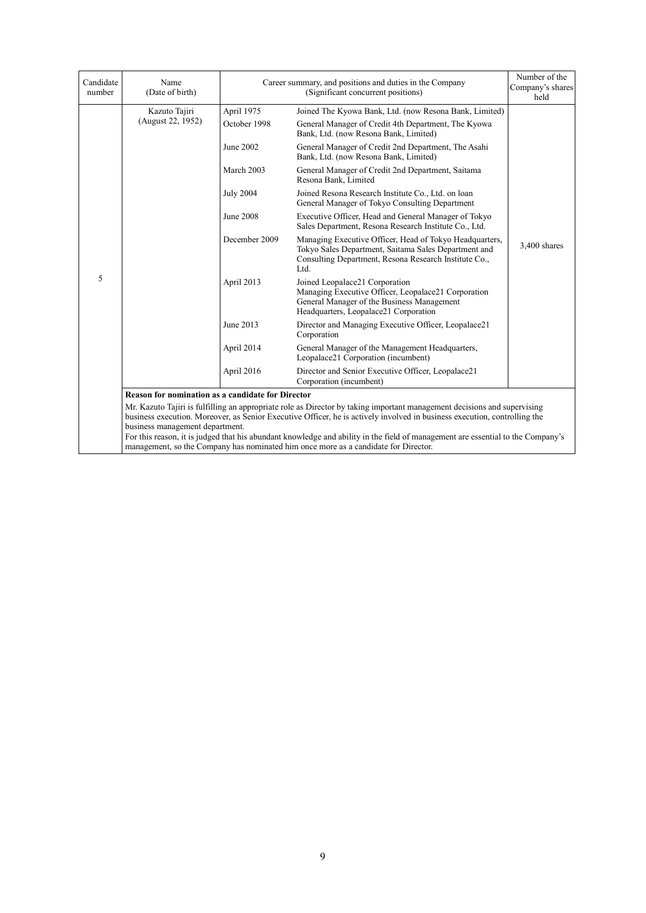| Candidate<br>number | Name<br>(Date of birth)                                                                                                                                                                                                                                                                  |                  | Career summary, and positions and duties in the Company<br>(Significant concurrent positions)                                                                                                                          | Number of the<br>Company's shares<br>held |  |
|---------------------|------------------------------------------------------------------------------------------------------------------------------------------------------------------------------------------------------------------------------------------------------------------------------------------|------------------|------------------------------------------------------------------------------------------------------------------------------------------------------------------------------------------------------------------------|-------------------------------------------|--|
|                     | Kazuto Tajiri                                                                                                                                                                                                                                                                            | April 1975       | Joined The Kyowa Bank, Ltd. (now Resona Bank, Limited)                                                                                                                                                                 |                                           |  |
|                     | (August 22, 1952)                                                                                                                                                                                                                                                                        | October 1998     | General Manager of Credit 4th Department, The Kyowa<br>Bank, Ltd. (now Resona Bank, Limited)                                                                                                                           |                                           |  |
|                     |                                                                                                                                                                                                                                                                                          | June 2002        | General Manager of Credit 2nd Department, The Asahi<br>Bank, Ltd. (now Resona Bank, Limited)                                                                                                                           |                                           |  |
|                     |                                                                                                                                                                                                                                                                                          | March 2003       | General Manager of Credit 2nd Department, Saitama<br>Resona Bank, Limited                                                                                                                                              |                                           |  |
|                     |                                                                                                                                                                                                                                                                                          | <b>July 2004</b> | Joined Resona Research Institute Co., Ltd. on loan<br>General Manager of Tokyo Consulting Department                                                                                                                   |                                           |  |
|                     |                                                                                                                                                                                                                                                                                          | <b>June 2008</b> | Executive Officer, Head and General Manager of Tokyo<br>Sales Department, Resona Research Institute Co., Ltd.                                                                                                          |                                           |  |
|                     |                                                                                                                                                                                                                                                                                          | December 2009    | Managing Executive Officer, Head of Tokyo Headquarters,<br>Tokyo Sales Department, Saitama Sales Department and<br>Consulting Department, Resona Research Institute Co.,<br>Ltd.                                       | $3,400$ shares                            |  |
| 5                   |                                                                                                                                                                                                                                                                                          | April 2013       | Joined Leopalace21 Corporation<br>Managing Executive Officer, Leopalace21 Corporation<br>General Manager of the Business Management<br>Headquarters, Leopalace21 Corporation                                           |                                           |  |
|                     |                                                                                                                                                                                                                                                                                          | June 2013        | Director and Managing Executive Officer, Leopalace21<br>Corporation                                                                                                                                                    |                                           |  |
|                     |                                                                                                                                                                                                                                                                                          | April 2014       | General Manager of the Management Headquarters,<br>Leopalace21 Corporation (incumbent)                                                                                                                                 |                                           |  |
|                     |                                                                                                                                                                                                                                                                                          | April 2016       | Director and Senior Executive Officer, Leopalace21<br>Corporation (incumbent)                                                                                                                                          |                                           |  |
|                     | <b>Reason for nomination as a candidate for Director</b>                                                                                                                                                                                                                                 |                  |                                                                                                                                                                                                                        |                                           |  |
|                     | Mr. Kazuto Tajiri is fulfilling an appropriate role as Director by taking important management decisions and supervising<br>business execution. Moreover, as Senior Executive Officer, he is actively involved in business execution, controlling the<br>business management department. |                  |                                                                                                                                                                                                                        |                                           |  |
|                     |                                                                                                                                                                                                                                                                                          |                  | For this reason, it is judged that his abundant knowledge and ability in the field of management are essential to the Company's<br>management, so the Company has nominated him once more as a candidate for Director. |                                           |  |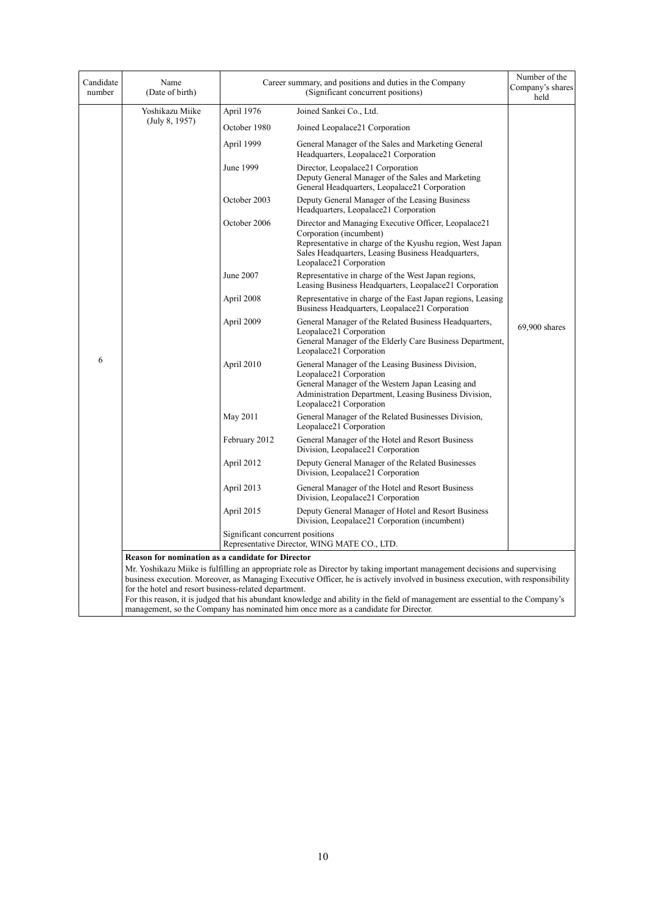| Candidate<br>number | Name<br>(Date of birth)                                                                                                                                                                                                                                                                                                                                                                                                                                                                                                                                                                                      |                                  | Career summary, and positions and duties in the Company<br>(Significant concurrent positions)                                                                                                                                 | Number of the<br>Company's shares<br>held |  |
|---------------------|--------------------------------------------------------------------------------------------------------------------------------------------------------------------------------------------------------------------------------------------------------------------------------------------------------------------------------------------------------------------------------------------------------------------------------------------------------------------------------------------------------------------------------------------------------------------------------------------------------------|----------------------------------|-------------------------------------------------------------------------------------------------------------------------------------------------------------------------------------------------------------------------------|-------------------------------------------|--|
|                     | Yoshikazu Miike                                                                                                                                                                                                                                                                                                                                                                                                                                                                                                                                                                                              | April 1976                       | Joined Sankei Co., Ltd.                                                                                                                                                                                                       |                                           |  |
|                     | (July 8, 1957)                                                                                                                                                                                                                                                                                                                                                                                                                                                                                                                                                                                               | October 1980                     | Joined Leopalace21 Corporation                                                                                                                                                                                                |                                           |  |
|                     |                                                                                                                                                                                                                                                                                                                                                                                                                                                                                                                                                                                                              | April 1999                       | General Manager of the Sales and Marketing General<br>Headquarters, Leopalace21 Corporation                                                                                                                                   |                                           |  |
|                     |                                                                                                                                                                                                                                                                                                                                                                                                                                                                                                                                                                                                              | June 1999                        | Director, Leopalace21 Corporation<br>Deputy General Manager of the Sales and Marketing<br>General Headquarters, Leopalace21 Corporation                                                                                       |                                           |  |
|                     |                                                                                                                                                                                                                                                                                                                                                                                                                                                                                                                                                                                                              | October 2003                     | Deputy General Manager of the Leasing Business<br>Headquarters, Leopalace21 Corporation                                                                                                                                       |                                           |  |
|                     |                                                                                                                                                                                                                                                                                                                                                                                                                                                                                                                                                                                                              | October 2006                     | Director and Managing Executive Officer, Leopalace21<br>Corporation (incumbent)<br>Representative in charge of the Kyushu region, West Japan<br>Sales Headquarters, Leasing Business Headquarters,<br>Leopalace21 Corporation |                                           |  |
|                     |                                                                                                                                                                                                                                                                                                                                                                                                                                                                                                                                                                                                              | June 2007                        | Representative in charge of the West Japan regions,<br>Leasing Business Headquarters, Leopalace21 Corporation                                                                                                                 |                                           |  |
|                     |                                                                                                                                                                                                                                                                                                                                                                                                                                                                                                                                                                                                              | April 2008                       | Representative in charge of the East Japan regions, Leasing<br>Business Headquarters, Leopalace21 Corporation                                                                                                                 |                                           |  |
|                     |                                                                                                                                                                                                                                                                                                                                                                                                                                                                                                                                                                                                              | April 2009                       | General Manager of the Related Business Headquarters,<br>Leopalace21 Corporation<br>General Manager of the Elderly Care Business Department,<br>Leopalace21 Corporation                                                       | 69,900 shares                             |  |
| 6                   |                                                                                                                                                                                                                                                                                                                                                                                                                                                                                                                                                                                                              | April 2010                       | General Manager of the Leasing Business Division,<br>Leopalace21 Corporation<br>General Manager of the Western Japan Leasing and<br>Administration Department, Leasing Business Division,<br>Leopalace21 Corporation          |                                           |  |
|                     |                                                                                                                                                                                                                                                                                                                                                                                                                                                                                                                                                                                                              | May 2011                         | General Manager of the Related Businesses Division,<br>Leopalace21 Corporation                                                                                                                                                |                                           |  |
|                     |                                                                                                                                                                                                                                                                                                                                                                                                                                                                                                                                                                                                              | February 2012                    | General Manager of the Hotel and Resort Business<br>Division, Leopalace21 Corporation                                                                                                                                         |                                           |  |
|                     |                                                                                                                                                                                                                                                                                                                                                                                                                                                                                                                                                                                                              | April 2012                       | Deputy General Manager of the Related Businesses<br>Division, Leopalace21 Corporation                                                                                                                                         |                                           |  |
|                     |                                                                                                                                                                                                                                                                                                                                                                                                                                                                                                                                                                                                              | April 2013                       | General Manager of the Hotel and Resort Business<br>Division, Leopalace21 Corporation                                                                                                                                         |                                           |  |
|                     |                                                                                                                                                                                                                                                                                                                                                                                                                                                                                                                                                                                                              | April 2015                       | Deputy General Manager of Hotel and Resort Business<br>Division, Leopalace21 Corporation (incumbent)                                                                                                                          |                                           |  |
|                     |                                                                                                                                                                                                                                                                                                                                                                                                                                                                                                                                                                                                              | Significant concurrent positions | Representative Director, WING MATE CO., LTD.                                                                                                                                                                                  |                                           |  |
|                     | <b>Reason for nomination as a candidate for Director</b><br>Mr. Yoshikazu Miike is fulfilling an appropriate role as Director by taking important management decisions and supervising<br>business execution. Moreover, as Managing Executive Officer, he is actively involved in business execution, with responsibility<br>for the hotel and resort business-related department.<br>For this reason, it is judged that his abundant knowledge and ability in the field of management are essential to the Company's<br>management, so the Company has nominated him once more as a candidate for Director. |                                  |                                                                                                                                                                                                                               |                                           |  |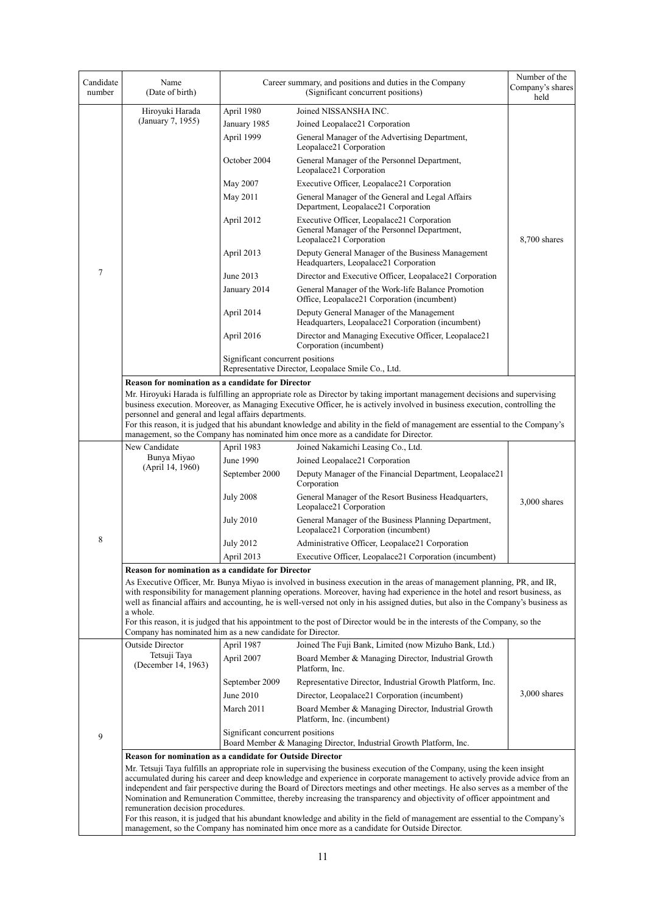| Candidate<br>number | Name<br>(Date of birth)                                                                                                                                                                                                                                                                                                                                                                        |                                  | Career summary, and positions and duties in the Company<br>(Significant concurrent positions)                                                                                                                                                               | Number of the<br>Company's shares<br>held |  |
|---------------------|------------------------------------------------------------------------------------------------------------------------------------------------------------------------------------------------------------------------------------------------------------------------------------------------------------------------------------------------------------------------------------------------|----------------------------------|-------------------------------------------------------------------------------------------------------------------------------------------------------------------------------------------------------------------------------------------------------------|-------------------------------------------|--|
|                     | Hiroyuki Harada                                                                                                                                                                                                                                                                                                                                                                                | April 1980                       | Joined NISSANSHA INC.                                                                                                                                                                                                                                       |                                           |  |
|                     | (January 7, 1955)                                                                                                                                                                                                                                                                                                                                                                              | January 1985                     | Joined Leopalace21 Corporation                                                                                                                                                                                                                              |                                           |  |
|                     |                                                                                                                                                                                                                                                                                                                                                                                                | April 1999                       | General Manager of the Advertising Department,<br>Leopalace21 Corporation                                                                                                                                                                                   |                                           |  |
|                     |                                                                                                                                                                                                                                                                                                                                                                                                | October 2004                     | General Manager of the Personnel Department,<br>Leopalace21 Corporation                                                                                                                                                                                     |                                           |  |
|                     |                                                                                                                                                                                                                                                                                                                                                                                                | May 2007                         | Executive Officer, Leopalace21 Corporation                                                                                                                                                                                                                  |                                           |  |
|                     |                                                                                                                                                                                                                                                                                                                                                                                                | May 2011                         | General Manager of the General and Legal Affairs<br>Department, Leopalace21 Corporation                                                                                                                                                                     |                                           |  |
|                     |                                                                                                                                                                                                                                                                                                                                                                                                | April 2012                       | Executive Officer, Leopalace21 Corporation<br>General Manager of the Personnel Department,<br>Leopalace21 Corporation                                                                                                                                       | 8,700 shares                              |  |
|                     |                                                                                                                                                                                                                                                                                                                                                                                                | April 2013                       | Deputy General Manager of the Business Management<br>Headquarters, Leopalace21 Corporation                                                                                                                                                                  |                                           |  |
| 7                   |                                                                                                                                                                                                                                                                                                                                                                                                | June 2013                        | Director and Executive Officer, Leopalace21 Corporation                                                                                                                                                                                                     |                                           |  |
|                     |                                                                                                                                                                                                                                                                                                                                                                                                | January 2014                     | General Manager of the Work-life Balance Promotion<br>Office, Leopalace21 Corporation (incumbent)                                                                                                                                                           |                                           |  |
|                     |                                                                                                                                                                                                                                                                                                                                                                                                | April 2014                       | Deputy General Manager of the Management<br>Headquarters, Leopalace21 Corporation (incumbent)                                                                                                                                                               |                                           |  |
|                     |                                                                                                                                                                                                                                                                                                                                                                                                | April 2016                       | Director and Managing Executive Officer, Leopalace21<br>Corporation (incumbent)                                                                                                                                                                             |                                           |  |
|                     |                                                                                                                                                                                                                                                                                                                                                                                                | Significant concurrent positions | Representative Director, Leopalace Smile Co., Ltd.                                                                                                                                                                                                          |                                           |  |
|                     | <b>Reason for nomination as a candidate for Director</b>                                                                                                                                                                                                                                                                                                                                       |                                  |                                                                                                                                                                                                                                                             |                                           |  |
|                     |                                                                                                                                                                                                                                                                                                                                                                                                |                                  | Mr. Hiroyuki Harada is fulfilling an appropriate role as Director by taking important management decisions and supervising                                                                                                                                  |                                           |  |
|                     |                                                                                                                                                                                                                                                                                                                                                                                                |                                  | business execution. Moreover, as Managing Executive Officer, he is actively involved in business execution, controlling the                                                                                                                                 |                                           |  |
|                     | personnel and general and legal affairs departments.                                                                                                                                                                                                                                                                                                                                           |                                  | For this reason, it is judged that his abundant knowledge and ability in the field of management are essential to the Company's                                                                                                                             |                                           |  |
|                     |                                                                                                                                                                                                                                                                                                                                                                                                |                                  | management, so the Company has nominated him once more as a candidate for Director.                                                                                                                                                                         |                                           |  |
|                     | New Candidate                                                                                                                                                                                                                                                                                                                                                                                  | April 1983                       | Joined Nakamichi Leasing Co., Ltd.                                                                                                                                                                                                                          |                                           |  |
|                     | Bunya Miyao                                                                                                                                                                                                                                                                                                                                                                                    | June 1990                        | Joined Leopalace21 Corporation                                                                                                                                                                                                                              |                                           |  |
|                     | (April 14, 1960)                                                                                                                                                                                                                                                                                                                                                                               | September 2000                   | Deputy Manager of the Financial Department, Leopalace21<br>Corporation                                                                                                                                                                                      |                                           |  |
|                     |                                                                                                                                                                                                                                                                                                                                                                                                | <b>July 2008</b>                 | General Manager of the Resort Business Headquarters,<br>Leopalace21 Corporation                                                                                                                                                                             | $3,000$ shares                            |  |
|                     |                                                                                                                                                                                                                                                                                                                                                                                                | <b>July 2010</b>                 | General Manager of the Business Planning Department,<br>Leopalace21 Corporation (incumbent)                                                                                                                                                                 |                                           |  |
| 8                   |                                                                                                                                                                                                                                                                                                                                                                                                | <b>July 2012</b>                 | Administrative Officer, Leopalace21 Corporation                                                                                                                                                                                                             |                                           |  |
|                     |                                                                                                                                                                                                                                                                                                                                                                                                | April 2013                       | Executive Officer, Leopalace21 Corporation (incumbent)                                                                                                                                                                                                      |                                           |  |
|                     | <b>Reason for nomination as a candidate for Director</b>                                                                                                                                                                                                                                                                                                                                       |                                  |                                                                                                                                                                                                                                                             |                                           |  |
|                     | As Executive Officer, Mr. Bunya Miyao is involved in business execution in the areas of management planning, PR, and IR,<br>with responsibility for management planning operations. Moreover, having had experience in the hotel and resort business, as<br>well as financial affairs and accounting, he is well-versed not only in his assigned duties, but also in the Company's business as |                                  |                                                                                                                                                                                                                                                             |                                           |  |
|                     | a whole.<br>Company has nominated him as a new candidate for Director.                                                                                                                                                                                                                                                                                                                         |                                  | For this reason, it is judged that his appointment to the post of Director would be in the interests of the Company, so the                                                                                                                                 |                                           |  |
|                     | Outside Director                                                                                                                                                                                                                                                                                                                                                                               | April 1987                       | Joined The Fuji Bank, Limited (now Mizuho Bank, Ltd.)                                                                                                                                                                                                       |                                           |  |
|                     | Tetsuji Taya<br>(December 14, 1963)                                                                                                                                                                                                                                                                                                                                                            | April 2007                       | Board Member & Managing Director, Industrial Growth<br>Platform, Inc.                                                                                                                                                                                       |                                           |  |
|                     |                                                                                                                                                                                                                                                                                                                                                                                                | September 2009                   | Representative Director, Industrial Growth Platform, Inc.                                                                                                                                                                                                   |                                           |  |
|                     |                                                                                                                                                                                                                                                                                                                                                                                                | June 2010                        | Director, Leopalace21 Corporation (incumbent)                                                                                                                                                                                                               | $3,000$ shares                            |  |
|                     |                                                                                                                                                                                                                                                                                                                                                                                                | March 2011                       | Board Member & Managing Director, Industrial Growth                                                                                                                                                                                                         |                                           |  |
|                     |                                                                                                                                                                                                                                                                                                                                                                                                | Significant concurrent positions | Platform, Inc. (incumbent)                                                                                                                                                                                                                                  |                                           |  |
| 9                   |                                                                                                                                                                                                                                                                                                                                                                                                |                                  | Board Member & Managing Director, Industrial Growth Platform, Inc.                                                                                                                                                                                          |                                           |  |
|                     | Reason for nomination as a candidate for Outside Director                                                                                                                                                                                                                                                                                                                                      |                                  |                                                                                                                                                                                                                                                             |                                           |  |
|                     |                                                                                                                                                                                                                                                                                                                                                                                                |                                  | Mr. Tetsuji Taya fulfills an appropriate role in supervising the business execution of the Company, using the keen insight                                                                                                                                  |                                           |  |
|                     |                                                                                                                                                                                                                                                                                                                                                                                                |                                  | accumulated during his career and deep knowledge and experience in corporate management to actively provide advice from an<br>independent and fair perspective during the Board of Directors meetings and other meetings. He also serves as a member of the |                                           |  |
|                     |                                                                                                                                                                                                                                                                                                                                                                                                |                                  | Nomination and Remuneration Committee, thereby increasing the transparency and objectivity of officer appointment and                                                                                                                                       |                                           |  |
|                     | remuneration decision procedures.                                                                                                                                                                                                                                                                                                                                                              |                                  |                                                                                                                                                                                                                                                             |                                           |  |
|                     | For this reason, it is judged that his abundant knowledge and ability in the field of management are essential to the Company's<br>management, so the Company has nominated him once more as a candidate for Outside Director.                                                                                                                                                                 |                                  |                                                                                                                                                                                                                                                             |                                           |  |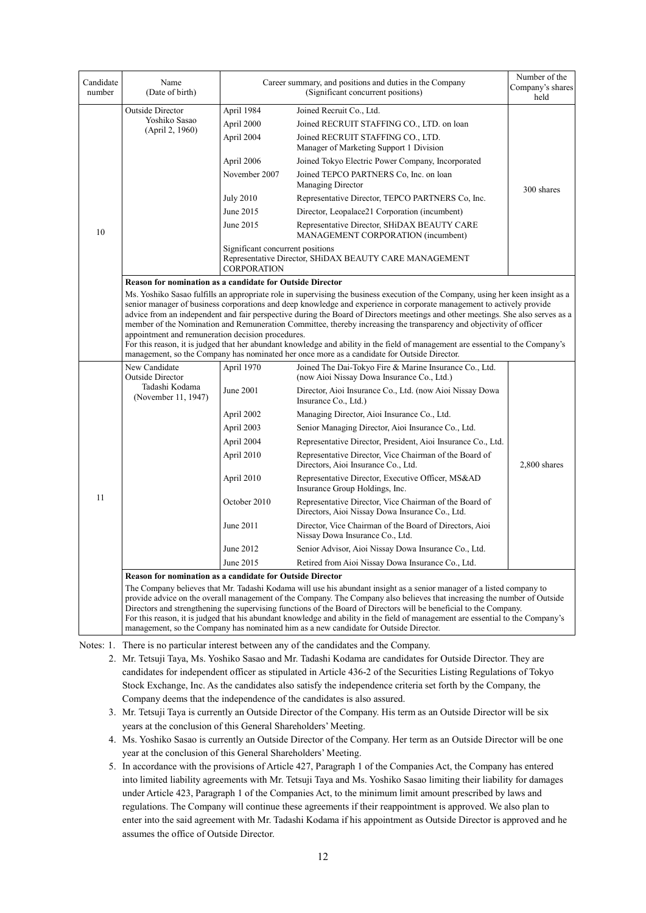| Candidate<br>number | Name<br>(Date of birth)                                          |                                                        | Career summary, and positions and duties in the Company<br>(Significant concurrent positions)                                                                                                                                                                                                                                                                                                                                                                                                                                                                                                                                                                                                                                                         | Number of the<br>Company's shares<br>held |
|---------------------|------------------------------------------------------------------|--------------------------------------------------------|-------------------------------------------------------------------------------------------------------------------------------------------------------------------------------------------------------------------------------------------------------------------------------------------------------------------------------------------------------------------------------------------------------------------------------------------------------------------------------------------------------------------------------------------------------------------------------------------------------------------------------------------------------------------------------------------------------------------------------------------------------|-------------------------------------------|
|                     | Outside Director                                                 | April 1984                                             | Joined Recruit Co., Ltd.                                                                                                                                                                                                                                                                                                                                                                                                                                                                                                                                                                                                                                                                                                                              |                                           |
|                     | Yoshiko Sasao                                                    | April 2000                                             | Joined RECRUIT STAFFING CO., LTD. on loan                                                                                                                                                                                                                                                                                                                                                                                                                                                                                                                                                                                                                                                                                                             |                                           |
|                     | (April 2, 1960)                                                  | April 2004                                             | Joined RECRUIT STAFFING CO., LTD.<br>Manager of Marketing Support 1 Division                                                                                                                                                                                                                                                                                                                                                                                                                                                                                                                                                                                                                                                                          |                                           |
|                     |                                                                  | April 2006                                             | Joined Tokyo Electric Power Company, Incorporated                                                                                                                                                                                                                                                                                                                                                                                                                                                                                                                                                                                                                                                                                                     |                                           |
|                     |                                                                  | November 2007                                          | Joined TEPCO PARTNERS Co, Inc. on loan<br>Managing Director                                                                                                                                                                                                                                                                                                                                                                                                                                                                                                                                                                                                                                                                                           | 300 shares                                |
|                     |                                                                  | <b>July 2010</b>                                       | Representative Director, TEPCO PARTNERS Co, Inc.                                                                                                                                                                                                                                                                                                                                                                                                                                                                                                                                                                                                                                                                                                      |                                           |
|                     |                                                                  | June 2015                                              | Director, Leopalace21 Corporation (incumbent)                                                                                                                                                                                                                                                                                                                                                                                                                                                                                                                                                                                                                                                                                                         |                                           |
| 10                  |                                                                  | June 2015                                              | Representative Director, SHiDAX BEAUTY CARE<br>MANAGEMENT CORPORATION (incumbent)                                                                                                                                                                                                                                                                                                                                                                                                                                                                                                                                                                                                                                                                     |                                           |
|                     |                                                                  | Significant concurrent positions<br><b>CORPORATION</b> | Representative Director, SHiDAX BEAUTY CARE MANAGEMENT                                                                                                                                                                                                                                                                                                                                                                                                                                                                                                                                                                                                                                                                                                |                                           |
|                     | <b>Reason for nomination as a candidate for Outside Director</b> |                                                        |                                                                                                                                                                                                                                                                                                                                                                                                                                                                                                                                                                                                                                                                                                                                                       |                                           |
|                     | appointment and remuneration decision procedures.                |                                                        | Ms. Yoshiko Sasao fulfills an appropriate role in supervising the business execution of the Company, using her keen insight as a<br>senior manager of business corporations and deep knowledge and experience in corporate management to actively provide<br>advice from an independent and fair perspective during the Board of Directors meetings and other meetings. She also serves as a<br>member of the Nomination and Remuneration Committee, thereby increasing the transparency and objectivity of officer<br>For this reason, it is judged that her abundant knowledge and ability in the field of management are essential to the Company's<br>management, so the Company has nominated her once more as a candidate for Outside Director. |                                           |
|                     | New Candidate                                                    | April 1970                                             | Joined The Dai-Tokyo Fire & Marine Insurance Co., Ltd.                                                                                                                                                                                                                                                                                                                                                                                                                                                                                                                                                                                                                                                                                                |                                           |
|                     | Outside Director<br>Tadashi Kodama<br>(November 11, 1947)        | June 2001                                              | (now Aioi Nissay Dowa Insurance Co., Ltd.)<br>Director, Aioi Insurance Co., Ltd. (now Aioi Nissay Dowa<br>Insurance Co., Ltd.)                                                                                                                                                                                                                                                                                                                                                                                                                                                                                                                                                                                                                        |                                           |
|                     |                                                                  | April 2002                                             | Managing Director, Aioi Insurance Co., Ltd.                                                                                                                                                                                                                                                                                                                                                                                                                                                                                                                                                                                                                                                                                                           |                                           |
|                     |                                                                  | April 2003                                             | Senior Managing Director, Aioi Insurance Co., Ltd.                                                                                                                                                                                                                                                                                                                                                                                                                                                                                                                                                                                                                                                                                                    |                                           |
|                     |                                                                  | April 2004                                             | Representative Director, President, Aioi Insurance Co., Ltd.                                                                                                                                                                                                                                                                                                                                                                                                                                                                                                                                                                                                                                                                                          |                                           |
|                     |                                                                  | April 2010                                             | Representative Director, Vice Chairman of the Board of<br>Directors, Aioi Insurance Co., Ltd.                                                                                                                                                                                                                                                                                                                                                                                                                                                                                                                                                                                                                                                         | 2,800 shares                              |
|                     |                                                                  | April 2010                                             | Representative Director, Executive Officer, MS&AD<br>Insurance Group Holdings, Inc.                                                                                                                                                                                                                                                                                                                                                                                                                                                                                                                                                                                                                                                                   |                                           |
| 11                  |                                                                  | October 2010                                           | Representative Director, Vice Chairman of the Board of<br>Directors, Aioi Nissay Dowa Insurance Co., Ltd.                                                                                                                                                                                                                                                                                                                                                                                                                                                                                                                                                                                                                                             |                                           |
|                     |                                                                  | June 2011                                              | Director, Vice Chairman of the Board of Directors, Aioi<br>Nissay Dowa Insurance Co., Ltd.                                                                                                                                                                                                                                                                                                                                                                                                                                                                                                                                                                                                                                                            |                                           |
|                     |                                                                  | June 2012                                              | Senior Advisor, Aioi Nissay Dowa Insurance Co., Ltd.                                                                                                                                                                                                                                                                                                                                                                                                                                                                                                                                                                                                                                                                                                  |                                           |
|                     |                                                                  | June 2015                                              | Retired from Aioi Nissay Dowa Insurance Co., Ltd.                                                                                                                                                                                                                                                                                                                                                                                                                                                                                                                                                                                                                                                                                                     |                                           |
|                     | Reason for nomination as a candidate for Outside Director        |                                                        |                                                                                                                                                                                                                                                                                                                                                                                                                                                                                                                                                                                                                                                                                                                                                       |                                           |
|                     |                                                                  |                                                        | The Company believes that Mr. Tadashi Kodama will use his abundant insight as a senior manager of a listed company to<br>provide advice on the overall management of the Company. The Company also believes that increasing the number of Outside<br>Directors and strengthening the supervising functions of the Board of Directors will be beneficial to the Company.<br>For this reason, it is judged that his abundant knowledge and ability in the field of management are essential to the Company's<br>management, so the Company has nominated him as a new candidate for Outside Director.                                                                                                                                                   |                                           |

Notes: 1. There is no particular interest between any of the candidates and the Company.

2. Mr. Tetsuji Taya, Ms. Yoshiko Sasao and Mr. Tadashi Kodama are candidates for Outside Director. They are candidates for independent officer as stipulated in Article 436-2 of the Securities Listing Regulations of Tokyo Stock Exchange, Inc. As the candidates also satisfy the independence criteria set forth by the Company, the Company deems that the independence of the candidates is also assured.

- 3. Mr. Tetsuji Taya is currently an Outside Director of the Company. His term as an Outside Director will be six years at the conclusion of this General Shareholders' Meeting.
- 4. Ms. Yoshiko Sasao is currently an Outside Director of the Company. Her term as an Outside Director will be one year at the conclusion of this General Shareholders' Meeting.
- 5. In accordance with the provisions of Article 427, Paragraph 1 of the Companies Act, the Company has entered into limited liability agreements with Mr. Tetsuji Taya and Ms. Yoshiko Sasao limiting their liability for damages under Article 423, Paragraph 1 of the Companies Act, to the minimum limit amount prescribed by laws and regulations. The Company will continue these agreements if their reappointment is approved. We also plan to enter into the said agreement with Mr. Tadashi Kodama if his appointment as Outside Director is approved and he assumes the office of Outside Director.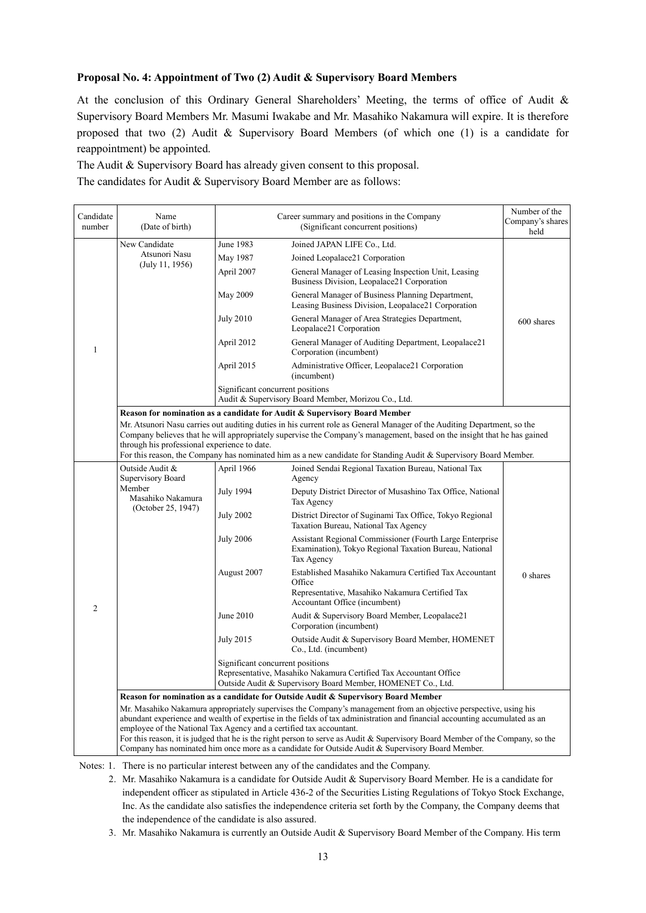### **Proposal No. 4: Appointment of Two (2) Audit & Supervisory Board Members**

At the conclusion of this Ordinary General Shareholders' Meeting, the terms of office of Audit & Supervisory Board Members Mr. Masumi Iwakabe and Mr. Masahiko Nakamura will expire. It is therefore proposed that two (2) Audit & Supervisory Board Members (of which one (1) is a candidate for reappointment) be appointed.

The Audit & Supervisory Board has already given consent to this proposal.

The candidates for Audit & Supervisory Board Member are as follows:

| Candidate<br>number | Name<br>(Date of birth)                                             | Career summary and positions in the Company | Number of the<br>Company's shares<br>held                                                                                                                                                                                                                                                                                                                              |            |
|---------------------|---------------------------------------------------------------------|---------------------------------------------|------------------------------------------------------------------------------------------------------------------------------------------------------------------------------------------------------------------------------------------------------------------------------------------------------------------------------------------------------------------------|------------|
|                     | New Candidate                                                       | June 1983                                   | Joined JAPAN LIFE Co., Ltd.                                                                                                                                                                                                                                                                                                                                            |            |
|                     | Atsunori Nasu                                                       | May 1987                                    | Joined Leopalace21 Corporation                                                                                                                                                                                                                                                                                                                                         |            |
|                     | (July 11, 1956)                                                     | April 2007                                  | General Manager of Leasing Inspection Unit, Leasing<br>Business Division, Leopalace21 Corporation                                                                                                                                                                                                                                                                      |            |
|                     |                                                                     | May 2009                                    | General Manager of Business Planning Department,<br>Leasing Business Division, Leopalace21 Corporation                                                                                                                                                                                                                                                                 |            |
|                     |                                                                     | <b>July 2010</b>                            | General Manager of Area Strategies Department,<br>Leopalace21 Corporation                                                                                                                                                                                                                                                                                              | 600 shares |
| $\mathbf{1}$        |                                                                     | April 2012                                  | General Manager of Auditing Department, Leopalace21<br>Corporation (incumbent)                                                                                                                                                                                                                                                                                         |            |
|                     |                                                                     | April 2015                                  | Administrative Officer, Leopalace21 Corporation<br>(incumbent)                                                                                                                                                                                                                                                                                                         |            |
|                     |                                                                     | Significant concurrent positions            | Audit & Supervisory Board Member, Morizou Co., Ltd.                                                                                                                                                                                                                                                                                                                    |            |
|                     |                                                                     |                                             | Reason for nomination as a candidate for Audit & Supervisory Board Member                                                                                                                                                                                                                                                                                              |            |
|                     | through his professional experience to date.                        |                                             | Mr. Atsunori Nasu carries out auditing duties in his current role as General Manager of the Auditing Department, so the<br>Company believes that he will appropriately supervise the Company's management, based on the insight that he has gained<br>For this reason, the Company has nominated him as a new candidate for Standing Audit & Supervisory Board Member. |            |
|                     | Outside Audit &                                                     | April 1966                                  | Joined Sendai Regional Taxation Bureau, National Tax                                                                                                                                                                                                                                                                                                                   |            |
|                     | Supervisory Board                                                   |                                             | Agency                                                                                                                                                                                                                                                                                                                                                                 |            |
|                     | Member<br>Masahiko Nakamura<br>(October 25, 1947)                   | <b>July 1994</b>                            | Deputy District Director of Musashino Tax Office, National<br>Tax Agency                                                                                                                                                                                                                                                                                               |            |
|                     |                                                                     | <b>July 2002</b>                            | District Director of Suginami Tax Office, Tokyo Regional<br>Taxation Bureau, National Tax Agency                                                                                                                                                                                                                                                                       |            |
|                     |                                                                     | <b>July 2006</b>                            | Assistant Regional Commissioner (Fourth Large Enterprise<br>Examination), Tokyo Regional Taxation Bureau, National<br>Tax Agency                                                                                                                                                                                                                                       |            |
|                     |                                                                     | August 2007                                 | Established Masahiko Nakamura Certified Tax Accountant<br>Office<br>Representative, Masahiko Nakamura Certified Tax                                                                                                                                                                                                                                                    | $0$ shares |
| $\overline{2}$      |                                                                     |                                             | Accountant Office (incumbent)                                                                                                                                                                                                                                                                                                                                          |            |
|                     |                                                                     | June 2010                                   | Audit & Supervisory Board Member, Leopalace21<br>Corporation (incumbent)                                                                                                                                                                                                                                                                                               |            |
|                     |                                                                     | <b>July 2015</b>                            | Outside Audit & Supervisory Board Member, HOMENET<br>Co., Ltd. (incumbent)                                                                                                                                                                                                                                                                                             |            |
|                     |                                                                     | Significant concurrent positions            | Representative, Masahiko Nakamura Certified Tax Accountant Office<br>Outside Audit & Supervisory Board Member, HOMENET Co., Ltd.                                                                                                                                                                                                                                       |            |
|                     |                                                                     |                                             | Reason for nomination as a candidate for Outside Audit & Supervisory Board Member                                                                                                                                                                                                                                                                                      |            |
|                     |                                                                     |                                             | Mr. Masahiko Nakamura appropriately supervises the Company's management from an objective perspective, using his                                                                                                                                                                                                                                                       |            |
|                     | employee of the National Tax Agency and a certified tax accountant. |                                             | abundant experience and wealth of expertise in the fields of tax administration and financial accounting accumulated as an                                                                                                                                                                                                                                             |            |
|                     |                                                                     |                                             | For this reason, it is judged that he is the right person to serve as Audit & Supervisory Board Member of the Company, so the<br>Company has nominated him once more as a candidate for Outside Audit & Supervisory Board Member.                                                                                                                                      |            |

Notes: 1. There is no particular interest between any of the candidates and the Company.

- 2. Mr. Masahiko Nakamura is a candidate for Outside Audit & Supervisory Board Member. He is a candidate for independent officer as stipulated in Article 436-2 of the Securities Listing Regulations of Tokyo Stock Exchange, Inc. As the candidate also satisfies the independence criteria set forth by the Company, the Company deems that the independence of the candidate is also assured.
- 3. Mr. Masahiko Nakamura is currently an Outside Audit & Supervisory Board Member of the Company. His term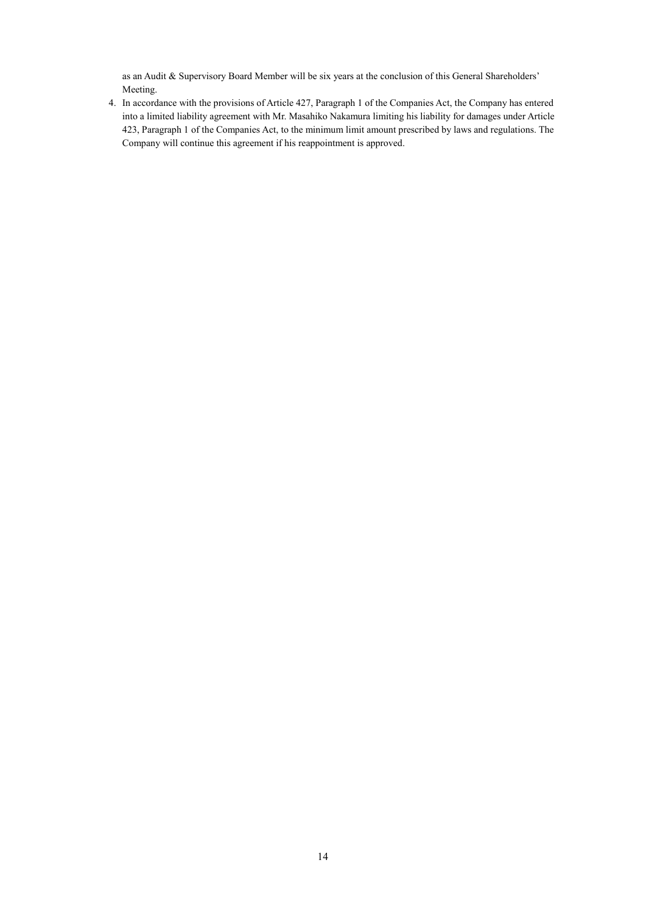as an Audit & Supervisory Board Member will be six years at the conclusion of this General Shareholders' Meeting.

4. In accordance with the provisions of Article 427, Paragraph 1 of the Companies Act, the Company has entered into a limited liability agreement with Mr. Masahiko Nakamura limiting his liability for damages under Article 423, Paragraph 1 of the Companies Act, to the minimum limit amount prescribed by laws and regulations. The Company will continue this agreement if his reappointment is approved.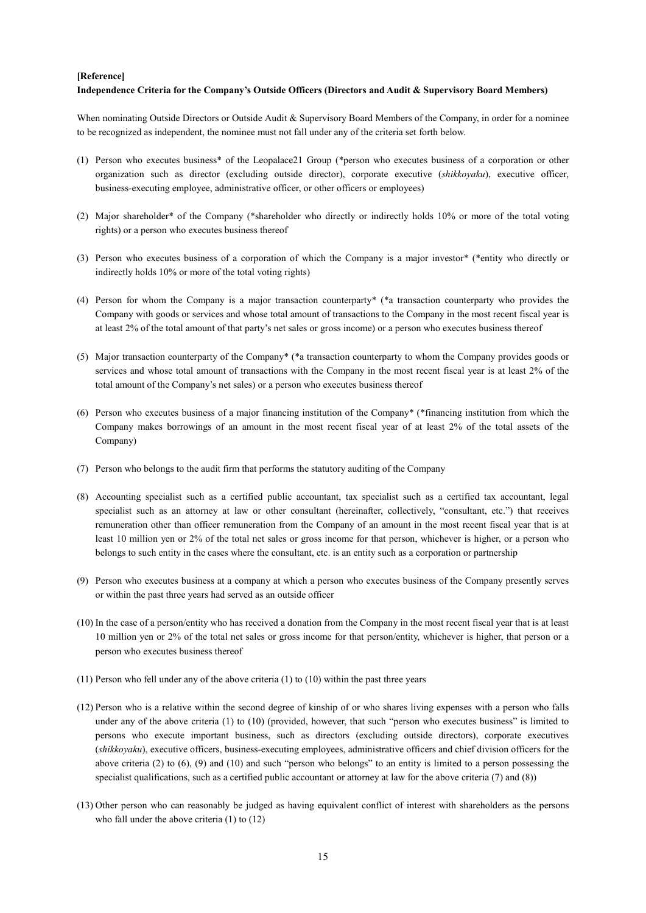#### **[Reference]**

#### **Independence Criteria for the Company's Outside Officers (Directors and Audit & Supervisory Board Members)**

When nominating Outside Directors or Outside Audit & Supervisory Board Members of the Company, in order for a nominee to be recognized as independent, the nominee must not fall under any of the criteria set forth below.

- (1) Person who executes business\* of the Leopalace21 Group (\*person who executes business of a corporation or other organization such as director (excluding outside director), corporate executive (*shikkoyaku*), executive officer, business-executing employee, administrative officer, or other officers or employees)
- (2) Major shareholder\* of the Company (\*shareholder who directly or indirectly holds 10% or more of the total voting rights) or a person who executes business thereof
- (3) Person who executes business of a corporation of which the Company is a major investor\* (\*entity who directly or indirectly holds 10% or more of the total voting rights)
- (4) Person for whom the Company is a major transaction counterparty\* (\*a transaction counterparty who provides the Company with goods or services and whose total amount of transactions to the Company in the most recent fiscal year is at least 2% of the total amount of that party's net sales or gross income) or a person who executes business thereof
- (5) Major transaction counterparty of the Company\* (\*a transaction counterparty to whom the Company provides goods or services and whose total amount of transactions with the Company in the most recent fiscal year is at least 2% of the total amount of the Company's net sales) or a person who executes business thereof
- (6) Person who executes business of a major financing institution of the Company\* (\*financing institution from which the Company makes borrowings of an amount in the most recent fiscal year of at least 2% of the total assets of the Company)
- (7) Person who belongs to the audit firm that performs the statutory auditing of the Company
- (8) Accounting specialist such as a certified public accountant, tax specialist such as a certified tax accountant, legal specialist such as an attorney at law or other consultant (hereinafter, collectively, "consultant, etc.") that receives remuneration other than officer remuneration from the Company of an amount in the most recent fiscal year that is at least 10 million yen or 2% of the total net sales or gross income for that person, whichever is higher, or a person who belongs to such entity in the cases where the consultant, etc. is an entity such as a corporation or partnership
- (9) Person who executes business at a company at which a person who executes business of the Company presently serves or within the past three years had served as an outside officer
- (10) In the case of a person/entity who has received a donation from the Company in the most recent fiscal year that is at least 10 million yen or 2% of the total net sales or gross income for that person/entity, whichever is higher, that person or a person who executes business thereof
- (11) Person who fell under any of the above criteria (1) to (10) within the past three years
- (12) Person who is a relative within the second degree of kinship of or who shares living expenses with a person who falls under any of the above criteria (1) to (10) (provided, however, that such "person who executes business" is limited to persons who execute important business, such as directors (excluding outside directors), corporate executives (*shikkoyaku*), executive officers, business-executing employees, administrative officers and chief division officers for the above criteria (2) to  $(6)$ ,  $(9)$  and  $(10)$  and such "person who belongs" to an entity is limited to a person possessing the specialist qualifications, such as a certified public accountant or attorney at law for the above criteria (7) and (8))
- (13) Other person who can reasonably be judged as having equivalent conflict of interest with shareholders as the persons who fall under the above criteria (1) to (12)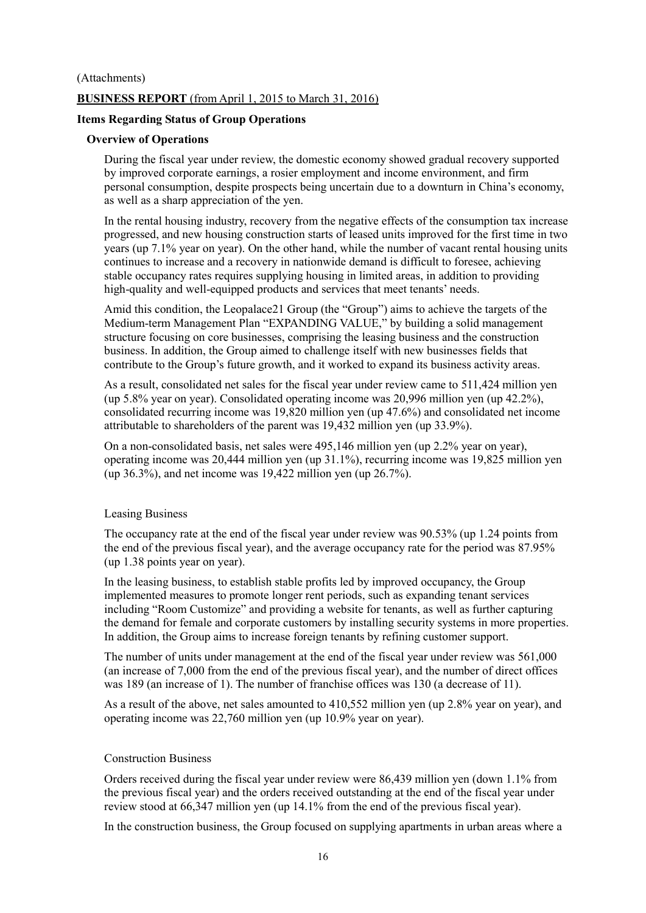## (Attachments) **BUSINESS REPORT** (from April 1, 2015 to March 31, 2016)

### **Items Regarding Status of Group Operations**

### **Overview of Operations**

During the fiscal year under review, the domestic economy showed gradual recovery supported by improved corporate earnings, a rosier employment and income environment, and firm personal consumption, despite prospects being uncertain due to a downturn in China's economy, as well as a sharp appreciation of the yen.

In the rental housing industry, recovery from the negative effects of the consumption tax increase progressed, and new housing construction starts of leased units improved for the first time in two years (up 7.1% year on year). On the other hand, while the number of vacant rental housing units continues to increase and a recovery in nationwide demand is difficult to foresee, achieving stable occupancy rates requires supplying housing in limited areas, in addition to providing high-quality and well-equipped products and services that meet tenants' needs.

Amid this condition, the Leopalace21 Group (the "Group") aims to achieve the targets of the Medium-term Management Plan "EXPANDING VALUE," by building a solid management structure focusing on core businesses, comprising the leasing business and the construction business. In addition, the Group aimed to challenge itself with new businesses fields that contribute to the Group's future growth, and it worked to expand its business activity areas.

As a result, consolidated net sales for the fiscal year under review came to 511,424 million yen (up 5.8% year on year). Consolidated operating income was 20,996 million yen (up 42.2%), consolidated recurring income was 19,820 million yen (up 47.6%) and consolidated net income attributable to shareholders of the parent was 19,432 million yen (up 33.9%).

On a non-consolidated basis, net sales were 495,146 million yen (up 2.2% year on year), operating income was 20,444 million yen (up 31.1%), recurring income was 19,825 million yen (up 36.3%), and net income was 19,422 million yen (up 26.7%).

### Leasing Business

The occupancy rate at the end of the fiscal year under review was 90.53% (up 1.24 points from the end of the previous fiscal year), and the average occupancy rate for the period was 87.95% (up 1.38 points year on year).

In the leasing business, to establish stable profits led by improved occupancy, the Group implemented measures to promote longer rent periods, such as expanding tenant services including "Room Customize" and providing a website for tenants, as well as further capturing the demand for female and corporate customers by installing security systems in more properties. In addition, the Group aims to increase foreign tenants by refining customer support.

The number of units under management at the end of the fiscal year under review was 561,000 (an increase of 7,000 from the end of the previous fiscal year), and the number of direct offices was 189 (an increase of 1). The number of franchise offices was 130 (a decrease of 11).

As a result of the above, net sales amounted to 410,552 million yen (up 2.8% year on year), and operating income was 22,760 million yen (up 10.9% year on year).

### Construction Business

Orders received during the fiscal year under review were 86,439 million yen (down 1.1% from the previous fiscal year) and the orders received outstanding at the end of the fiscal year under review stood at 66,347 million yen (up 14.1% from the end of the previous fiscal year).

In the construction business, the Group focused on supplying apartments in urban areas where a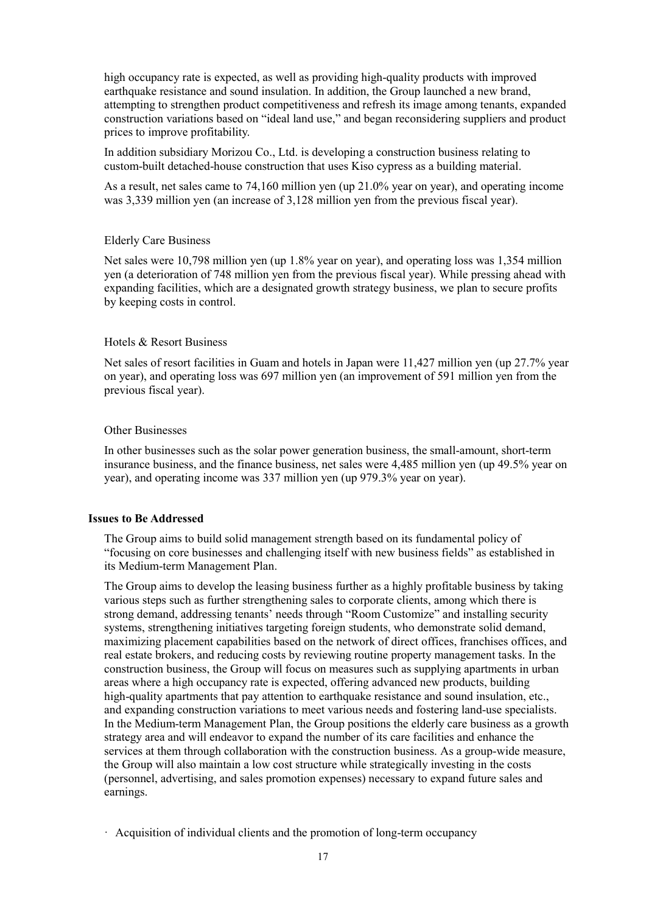high occupancy rate is expected, as well as providing high-quality products with improved earthquake resistance and sound insulation. In addition, the Group launched a new brand, attempting to strengthen product competitiveness and refresh its image among tenants, expanded construction variations based on "ideal land use," and began reconsidering suppliers and product prices to improve profitability.

In addition subsidiary Morizou Co., Ltd. is developing a construction business relating to custom-built detached-house construction that uses Kiso cypress as a building material.

As a result, net sales came to 74,160 million yen (up 21.0% year on year), and operating income was 3,339 million yen (an increase of 3,128 million yen from the previous fiscal year).

#### Elderly Care Business

Net sales were 10,798 million yen (up 1.8% year on year), and operating loss was 1,354 million yen (a deterioration of 748 million yen from the previous fiscal year). While pressing ahead with expanding facilities, which are a designated growth strategy business, we plan to secure profits by keeping costs in control.

### Hotels & Resort Business

Net sales of resort facilities in Guam and hotels in Japan were 11,427 million yen (up 27.7% year on year), and operating loss was 697 million yen (an improvement of 591 million yen from the previous fiscal year).

#### Other Businesses

In other businesses such as the solar power generation business, the small-amount, short-term insurance business, and the finance business, net sales were 4,485 million yen (up 49.5% year on year), and operating income was 337 million yen (up 979.3% year on year).

#### **Issues to Be Addressed**

The Group aims to build solid management strength based on its fundamental policy of "focusing on core businesses and challenging itself with new business fields" as established in its Medium-term Management Plan.

The Group aims to develop the leasing business further as a highly profitable business by taking various steps such as further strengthening sales to corporate clients, among which there is strong demand, addressing tenants' needs through "Room Customize" and installing security systems, strengthening initiatives targeting foreign students, who demonstrate solid demand, maximizing placement capabilities based on the network of direct offices, franchises offices, and real estate brokers, and reducing costs by reviewing routine property management tasks. In the construction business, the Group will focus on measures such as supplying apartments in urban areas where a high occupancy rate is expected, offering advanced new products, building high-quality apartments that pay attention to earthquake resistance and sound insulation, etc., and expanding construction variations to meet various needs and fostering land-use specialists. In the Medium-term Management Plan, the Group positions the elderly care business as a growth strategy area and will endeavor to expand the number of its care facilities and enhance the services at them through collaboration with the construction business. As a group-wide measure, the Group will also maintain a low cost structure while strategically investing in the costs (personnel, advertising, and sales promotion expenses) necessary to expand future sales and earnings.

· Acquisition of individual clients and the promotion of long-term occupancy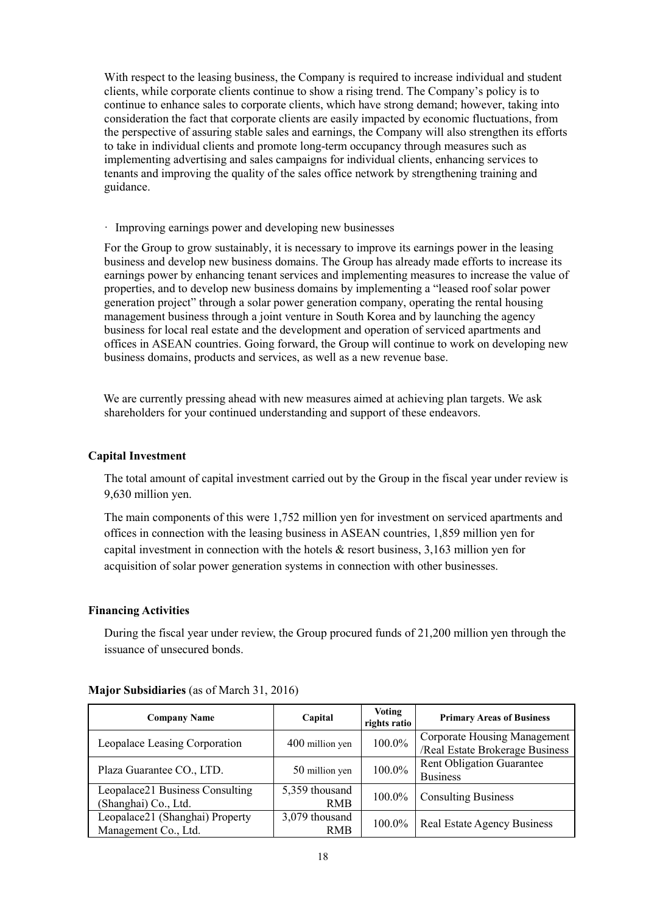With respect to the leasing business, the Company is required to increase individual and student clients, while corporate clients continue to show a rising trend. The Company's policy is to continue to enhance sales to corporate clients, which have strong demand; however, taking into consideration the fact that corporate clients are easily impacted by economic fluctuations, from the perspective of assuring stable sales and earnings, the Company will also strengthen its efforts to take in individual clients and promote long-term occupancy through measures such as implementing advertising and sales campaigns for individual clients, enhancing services to tenants and improving the quality of the sales office network by strengthening training and guidance.

· Improving earnings power and developing new businesses

For the Group to grow sustainably, it is necessary to improve its earnings power in the leasing business and develop new business domains. The Group has already made efforts to increase its earnings power by enhancing tenant services and implementing measures to increase the value of properties, and to develop new business domains by implementing a "leased roof solar power generation project" through a solar power generation company, operating the rental housing management business through a joint venture in South Korea and by launching the agency business for local real estate and the development and operation of serviced apartments and offices in ASEAN countries. Going forward, the Group will continue to work on developing new business domains, products and services, as well as a new revenue base.

We are currently pressing ahead with new measures aimed at achieving plan targets. We ask shareholders for your continued understanding and support of these endeavors.

### **Capital Investment**

The total amount of capital investment carried out by the Group in the fiscal year under review is 9,630 million yen.

The main components of this were 1,752 million yen for investment on serviced apartments and offices in connection with the leasing business in ASEAN countries, 1,859 million yen for capital investment in connection with the hotels  $\&$  resort business, 3,163 million yen for acquisition of solar power generation systems in connection with other businesses.

### **Financing Activities**

During the fiscal year under review, the Group procured funds of 21,200 million yen through the issuance of unsecured bonds.

| <b>Company Name</b>                                     | Capital                      | <b>Voting</b><br>rights ratio | <b>Primary Areas of Business</b>                                |
|---------------------------------------------------------|------------------------------|-------------------------------|-----------------------------------------------------------------|
| Leopalace Leasing Corporation                           | 400 million yen              | 100.0%                        | Corporate Housing Management<br>/Real Estate Brokerage Business |
| Plaza Guarantee CO., LTD.                               | 50 million yen               | 100.0%                        | Rent Obligation Guarantee<br><b>Business</b>                    |
| Leopalace21 Business Consulting<br>(Shanghai) Co., Ltd. | 5,359 thousand<br><b>RMB</b> | 100.0%                        | <b>Consulting Business</b>                                      |
| Leopalace21 (Shanghai) Property<br>Management Co., Ltd. | 3,079 thousand<br><b>RMB</b> | 100.0%                        | <b>Real Estate Agency Business</b>                              |

### **Major Subsidiaries** (as of March 31, 2016)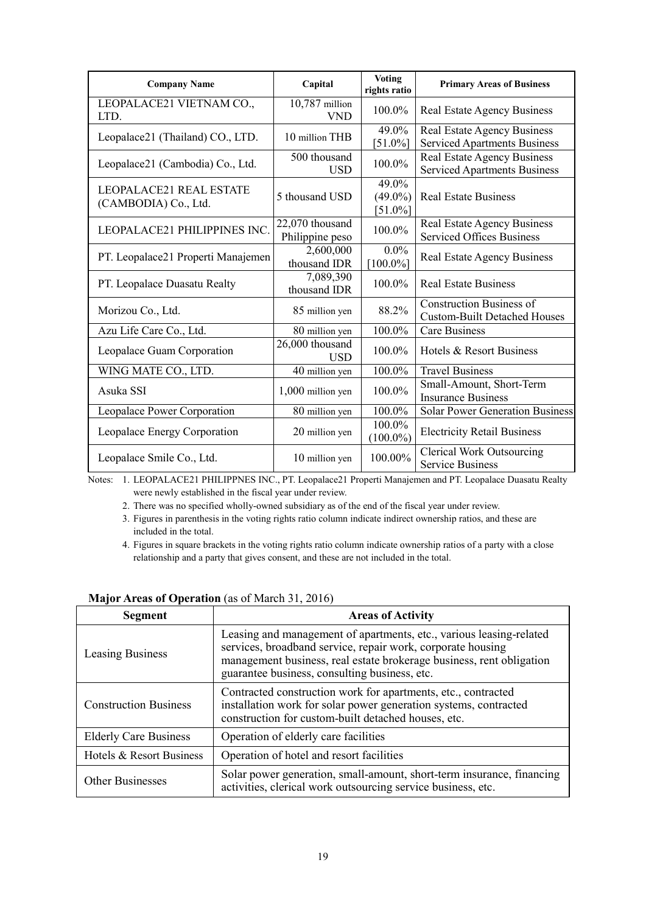| <b>Company Name</b>                                    | Capital                            | <b>Voting</b><br>rights ratio     | <b>Primary Areas of Business</b>                                          |
|--------------------------------------------------------|------------------------------------|-----------------------------------|---------------------------------------------------------------------------|
| LEOPALACE21 VIETNAM CO.,<br>LTD.                       | $10,787$ million<br><b>VND</b>     | 100.0%                            | <b>Real Estate Agency Business</b>                                        |
| Leopalace21 (Thailand) CO., LTD.                       | 10 million THB                     | 49.0%<br>$[51.0\%]$               | <b>Real Estate Agency Business</b><br><b>Serviced Apartments Business</b> |
| Leopalace21 (Cambodia) Co., Ltd.                       | 500 thousand<br><b>USD</b>         | 100.0%                            | Real Estate Agency Business<br><b>Serviced Apartments Business</b>        |
| <b>LEOPALACE21 REAL ESTATE</b><br>(CAMBODIA) Co., Ltd. | 5 thousand USD                     | 49.0%<br>$(49.0\%)$<br>$[51.0\%]$ | <b>Real Estate Business</b>                                               |
| LEOPALACE21 PHILIPPINES INC.                           | 22,070 thousand<br>Philippine peso | 100.0%                            | <b>Real Estate Agency Business</b><br><b>Serviced Offices Business</b>    |
| PT. Leopalace21 Properti Manajemen                     | 2,600,000<br>thousand IDR          | $0.0\%$<br>$[100.0\%]$            | Real Estate Agency Business                                               |
| PT. Leopalace Duasatu Realty                           | 7,089,390<br>thousand IDR          | 100.0%                            | <b>Real Estate Business</b>                                               |
| Morizou Co., Ltd.                                      | 85 million yen                     | 88.2%                             | <b>Construction Business of</b><br><b>Custom-Built Detached Houses</b>    |
| Azu Life Care Co., Ltd.                                | 80 million yen                     | 100.0%                            | <b>Care Business</b>                                                      |
| Leopalace Guam Corporation                             | 26,000 thousand<br><b>USD</b>      | 100.0%                            | Hotels & Resort Business                                                  |
| WING MATE CO., LTD.                                    | 40 million yen                     | 100.0%                            | <b>Travel Business</b>                                                    |
| Asuka SSI                                              | 1,000 million yen                  | 100.0%                            | Small-Amount, Short-Term<br><b>Insurance Business</b>                     |
| Leopalace Power Corporation                            | 80 million yen                     | 100.0%                            | <b>Solar Power Generation Business</b>                                    |
| Leopalace Energy Corporation                           | 20 million yen                     | 100.0%<br>$(100.0\%)$             | <b>Electricity Retail Business</b>                                        |
| Leopalace Smile Co., Ltd.                              | 10 million yen                     | 100.00%                           | <b>Clerical Work Outsourcing</b><br><b>Service Business</b>               |

Notes: 1. LEOPALACE21 PHILIPPNES INC., PT. Leopalace21 Properti Manajemen and PT. Leopalace Duasatu Realty were newly established in the fiscal year under review.

2. There was no specified wholly-owned subsidiary as of the end of the fiscal year under review.

 3. Figures in parenthesis in the voting rights ratio column indicate indirect ownership ratios, and these are included in the total.

 4. Figures in square brackets in the voting rights ratio column indicate ownership ratios of a party with a close relationship and a party that gives consent, and these are not included in the total.

| <b>Segment</b>               | <b>Areas of Activity</b>                                                                                                                                                                                                                                    |
|------------------------------|-------------------------------------------------------------------------------------------------------------------------------------------------------------------------------------------------------------------------------------------------------------|
| <b>Leasing Business</b>      | Leasing and management of apartments, etc., various leasing-related<br>services, broadband service, repair work, corporate housing<br>management business, real estate brokerage business, rent obligation<br>guarantee business, consulting business, etc. |
| <b>Construction Business</b> | Contracted construction work for apartments, etc., contracted<br>installation work for solar power generation systems, contracted<br>construction for custom-built detached houses, etc.                                                                    |
| <b>Elderly Care Business</b> | Operation of elderly care facilities                                                                                                                                                                                                                        |
| Hotels & Resort Business     | Operation of hotel and resort facilities                                                                                                                                                                                                                    |
| <b>Other Businesses</b>      | Solar power generation, small-amount, short-term insurance, financing<br>activities, clerical work outsourcing service business, etc.                                                                                                                       |

#### **Major Areas of Operation** (as of March 31, 2016)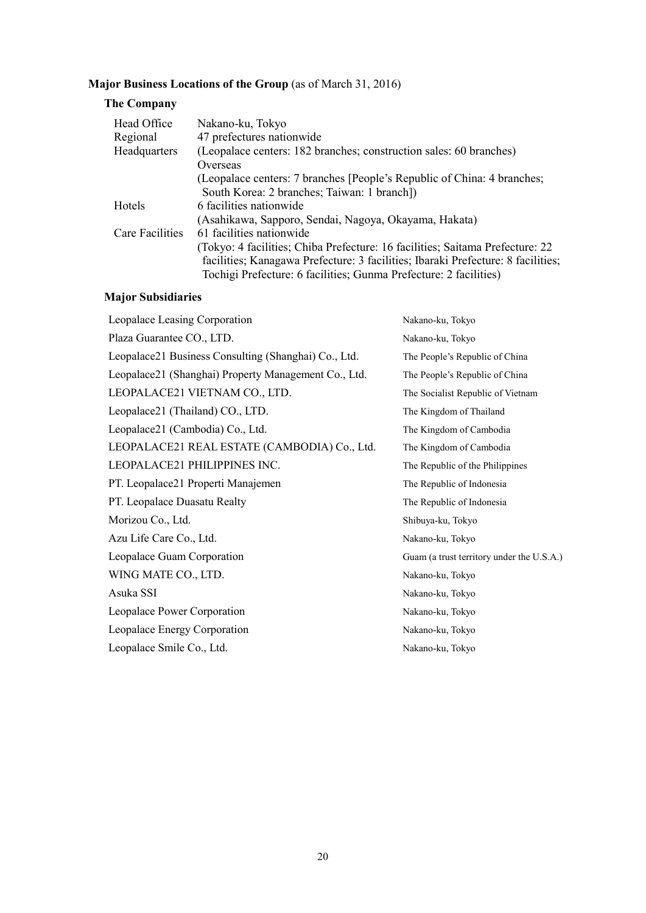# **Major Business Locations of the Group** (as of March 31, 2016)

## **The Company**

| Head Office            | Nakano-ku, Tokyo                                                                                                                                                                                                                       |
|------------------------|----------------------------------------------------------------------------------------------------------------------------------------------------------------------------------------------------------------------------------------|
| Regional               | 47 prefectures nationwide                                                                                                                                                                                                              |
| Headquarters           | (Leopalace centers: 182 branches; construction sales: 60 branches)                                                                                                                                                                     |
|                        | Overseas                                                                                                                                                                                                                               |
|                        | (Leopalace centers: 7 branches [People's Republic of China: 4 branches;<br>South Korea: 2 branches; Taiwan: 1 branch])                                                                                                                 |
| Hotels                 | 6 facilities nationwide                                                                                                                                                                                                                |
|                        | (Asahikawa, Sapporo, Sendai, Nagoya, Okayama, Hakata)                                                                                                                                                                                  |
| <b>Care Facilities</b> | 61 facilities nationwide                                                                                                                                                                                                               |
|                        | (Tokyo: 4 facilities; Chiba Prefecture: 16 facilities; Saitama Prefecture: 22<br>facilities; Kanagawa Prefecture: 3 facilities; Ibaraki Prefecture: 8 facilities;<br>Tochigi Prefecture: 6 facilities; Gunma Prefecture: 2 facilities) |

# **Major Subsidiaries**

| Leopalace Leasing Corporation                        | Nakano-ku, Tokyo                          |
|------------------------------------------------------|-------------------------------------------|
| Plaza Guarantee CO., LTD.                            | Nakano-ku, Tokyo                          |
| Leopalace21 Business Consulting (Shanghai) Co., Ltd. | The People's Republic of China            |
| Leopalace21 (Shanghai) Property Management Co., Ltd. | The People's Republic of China            |
| LEOPALACE21 VIETNAM CO., LTD.                        | The Socialist Republic of Vietnam         |
| Leopalace21 (Thailand) CO., LTD.                     | The Kingdom of Thailand                   |
| Leopalace21 (Cambodia) Co., Ltd.                     | The Kingdom of Cambodia                   |
| LEOPALACE21 REAL ESTATE (CAMBODIA) Co., Ltd.         | The Kingdom of Cambodia                   |
| LEOPALACE21 PHILIPPINES INC.                         | The Republic of the Philippines           |
| PT. Leopalace21 Properti Manajemen                   | The Republic of Indonesia                 |
| PT. Leopalace Duasatu Realty                         | The Republic of Indonesia                 |
| Morizou Co., Ltd.                                    | Shibuya-ku, Tokyo                         |
| Azu Life Care Co., Ltd.                              | Nakano-ku, Tokyo                          |
| Leopalace Guam Corporation                           | Guam (a trust territory under the U.S.A.) |
| WING MATE CO., LTD.                                  | Nakano-ku, Tokyo                          |
| Asuka SSI                                            | Nakano-ku, Tokyo                          |
| Leopalace Power Corporation                          | Nakano-ku, Tokyo                          |
| Leopalace Energy Corporation                         | Nakano-ku, Tokyo                          |
| Leopalace Smile Co., Ltd.                            | Nakano-ku, Tokyo                          |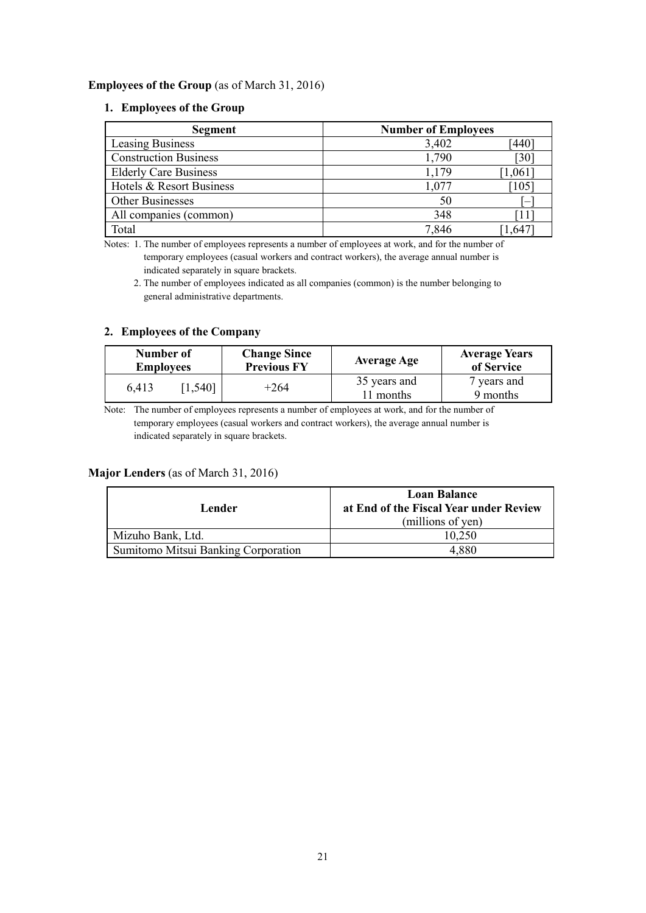### **Employees of the Group** (as of March 31, 2016)

### **1. Employees of the Group**

| Segment                      | <b>Number of Employees</b> |                              |
|------------------------------|----------------------------|------------------------------|
| Leasing Business             | 3,402                      | <sup>-</sup> 440             |
| <b>Construction Business</b> | 1,790                      | $\left\lceil 30\right\rceil$ |
| <b>Elderly Care Business</b> | 1,179                      | 1,061                        |
| Hotels & Resort Business     | 1,077                      | $\lceil 105 \rceil$          |
| Other Businesses             | 50                         |                              |
| All companies (common)       | 348                        | 11                           |
| Total                        | 7,846                      | .64.                         |

Notes: 1. The number of employees represents a number of employees at work, and for the number of temporary employees (casual workers and contract workers), the average annual number is indicated separately in square brackets.

 2. The number of employees indicated as all companies (common) is the number belonging to general administrative departments.

### **2. Employees of the Company**

| Number of<br><b>Employees</b> |           | <b>Change Since</b><br><b>Previous FY</b> | <b>Average Age</b>        | <b>Average Years</b><br>of Service |
|-------------------------------|-----------|-------------------------------------------|---------------------------|------------------------------------|
| 6,413                         | $1,540$ ] | $+264$                                    | 35 years and<br>11 months | 7 years and<br>9 months            |

Note: The number of employees represents a number of employees at work, and for the number of temporary employees (casual workers and contract workers), the average annual number is indicated separately in square brackets.

### **Major Lenders** (as of March 31, 2016)

| Lender                                     | <b>Loan Balance</b><br>at End of the Fiscal Year under Review<br>(millions of yen) |
|--------------------------------------------|------------------------------------------------------------------------------------|
| Mizuho Bank, Ltd.                          | 10,250                                                                             |
| <b>Sumitomo Mitsui Banking Corporation</b> | 4,880                                                                              |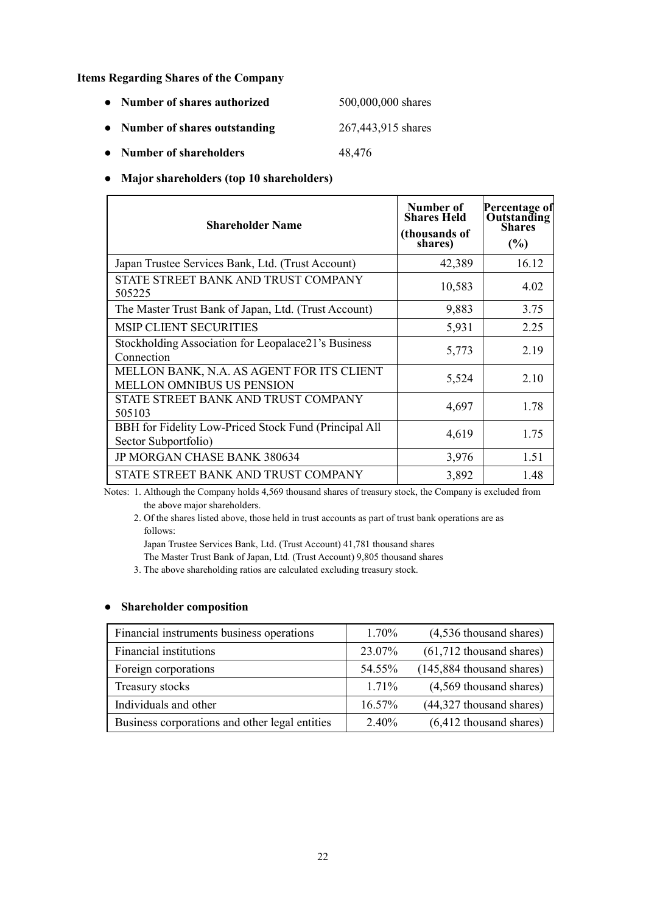**Items Regarding Shares of the Company** 

| • Number of shares authorized  | 500,000,000 shares |
|--------------------------------|--------------------|
| • Number of shares outstanding | 267,443,915 shares |

- 
- **● Number of shareholders** 48,476

### **● Major shareholders (top 10 shareholders)**

| <b>Shareholder Name</b>                                                       | Number of<br><b>Shares Held</b><br>(thousands of<br>shares) | Percentage of<br><b>Outstanding</b><br>Shares<br>(%) |
|-------------------------------------------------------------------------------|-------------------------------------------------------------|------------------------------------------------------|
| Japan Trustee Services Bank, Ltd. (Trust Account)                             | 42,389                                                      | 16.12                                                |
| STATE STREET BANK AND TRUST COMPANY<br>505225                                 | 10,583                                                      | 4.02                                                 |
| The Master Trust Bank of Japan, Ltd. (Trust Account)                          | 9,883                                                       | 3.75                                                 |
| <b>MSIP CLIENT SECURITIES</b>                                                 | 5,931                                                       | 2.25                                                 |
| Stockholding Association for Leopalace21's Business<br>Connection             | 5,773                                                       | 2.19                                                 |
| MELLON BANK, N.A. AS AGENT FOR ITS CLIENT<br><b>MELLON OMNIBUS US PENSION</b> | 5,524                                                       | 2.10                                                 |
| STATE STREET BANK AND TRUST COMPANY<br>505103                                 | 4,697                                                       | 1.78                                                 |
| BBH for Fidelity Low-Priced Stock Fund (Principal All<br>Sector Subportfolio) | 4,619                                                       | 1.75                                                 |
| JP MORGAN CHASE BANK 380634                                                   | 3,976                                                       | 1.51                                                 |
| STATE STREET BANK AND TRUST COMPANY                                           | 3,892                                                       | 1.48                                                 |

Notes: 1. Although the Company holds 4,569 thousand shares of treasury stock, the Company is excluded from the above major shareholders.

 2. Of the shares listed above, those held in trust accounts as part of trust bank operations are as follows:

Japan Trustee Services Bank, Ltd. (Trust Account) 41,781 thousand shares

The Master Trust Bank of Japan, Ltd. (Trust Account) 9,805 thousand shares

3. The above shareholding ratios are calculated excluding treasury stock.

### **● Shareholder composition**

| Financial instruments business operations      | 1.70%    | (4,536 thousand shares)      |
|------------------------------------------------|----------|------------------------------|
| Financial institutions                         | 23.07%   | $(61,712)$ thousand shares)  |
| Foreign corporations                           | 54.55%   | $(145,884)$ thousand shares) |
| Treasury stocks                                | $1.71\%$ | (4,569 thousand shares)      |
| Individuals and other                          | 16.57%   | (44,327 thousand shares)     |
| Business corporations and other legal entities | 2.40%    | $(6, 412)$ thousand shares)  |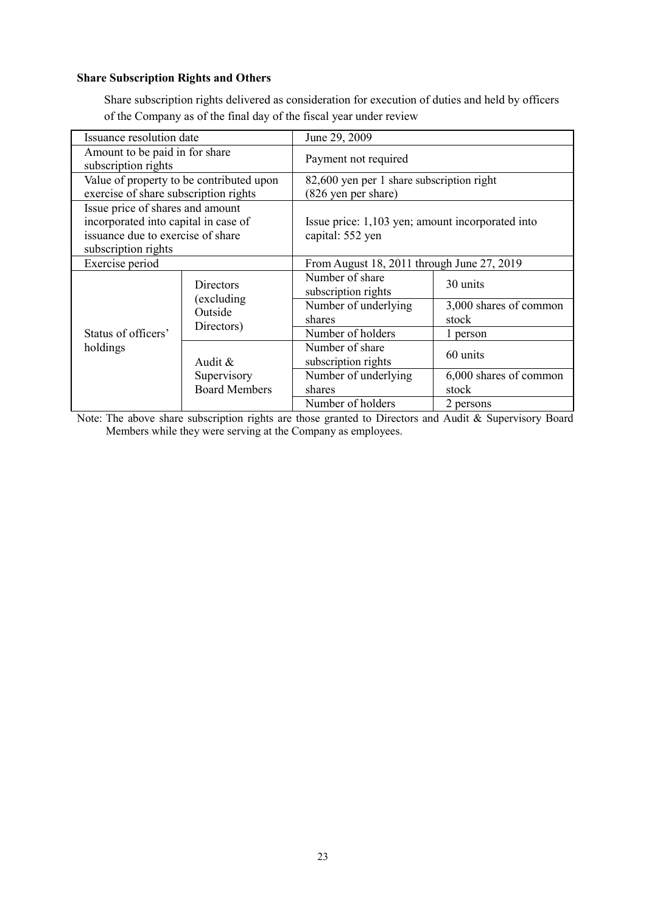### **Share Subscription Rights and Others**

Share subscription rights delivered as consideration for execution of duties and held by officers of the Company as of the final day of the fiscal year under review

| Issuance resolution date                                                                                      |                                                          | June 29, 2009                                                        |                                           |  |  |
|---------------------------------------------------------------------------------------------------------------|----------------------------------------------------------|----------------------------------------------------------------------|-------------------------------------------|--|--|
| Amount to be paid in for share<br>subscription rights                                                         |                                                          | Payment not required                                                 |                                           |  |  |
|                                                                                                               | Value of property to be contributed upon                 |                                                                      | 82,600 yen per 1 share subscription right |  |  |
| exercise of share subscription rights                                                                         |                                                          | (826 yen per share)                                                  |                                           |  |  |
| Issue price of shares and amount<br>incorporated into capital in case of<br>issuance due to exercise of share |                                                          | Issue price: 1,103 yen; amount incorporated into<br>capital: 552 yen |                                           |  |  |
| subscription rights                                                                                           |                                                          |                                                                      |                                           |  |  |
| Exercise period                                                                                               |                                                          | From August 18, 2011 through June 27, 2019                           |                                           |  |  |
|                                                                                                               | <b>Directors</b><br>(excluding)<br>Outside<br>Directors) | Number of share<br>subscription rights                               | 30 units                                  |  |  |
|                                                                                                               |                                                          | Number of underlying                                                 | 3,000 shares of common                    |  |  |
|                                                                                                               |                                                          | shares                                                               | stock                                     |  |  |
| Status of officers'                                                                                           |                                                          | Number of holders                                                    | 1 person                                  |  |  |
| holdings                                                                                                      | Audit &                                                  | Number of share<br>subscription rights                               | 60 units                                  |  |  |
|                                                                                                               | Supervisory                                              | Number of underlying                                                 | 6,000 shares of common                    |  |  |
|                                                                                                               | <b>Board Members</b>                                     | shares                                                               | stock                                     |  |  |
|                                                                                                               |                                                          | Number of holders                                                    | 2 persons                                 |  |  |

Note: The above share subscription rights are those granted to Directors and Audit & Supervisory Board Members while they were serving at the Company as employees.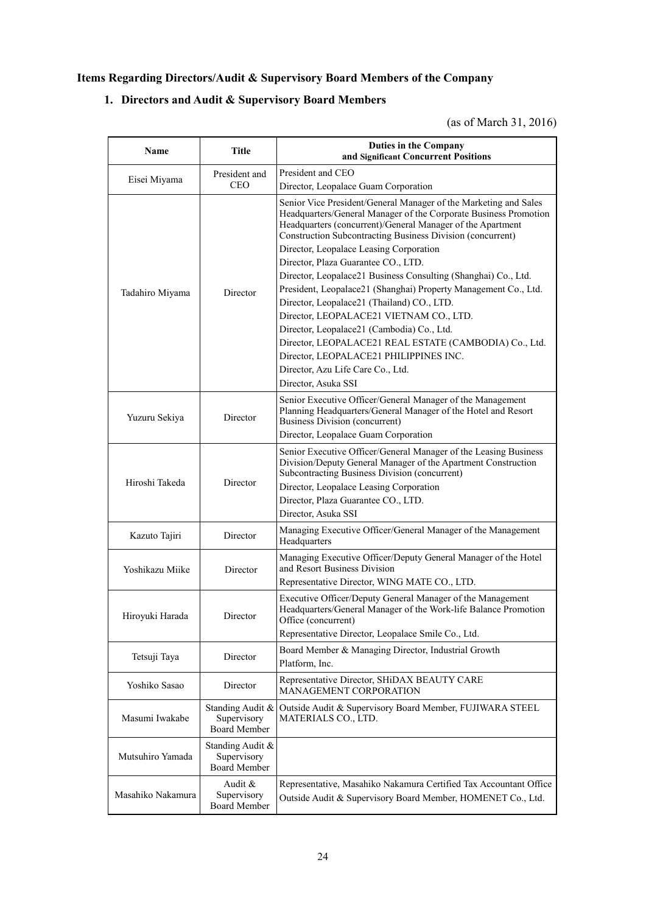## **Items Regarding Directors/Audit & Supervisory Board Members of the Company**

## **1. Directors and Audit & Supervisory Board Members**

## (as of March 31, 2016)

| Name                                                               | Title                                                  | Duties in the Company<br>and Significant Concurrent Positions                                                                                                                                                                                                    |  |
|--------------------------------------------------------------------|--------------------------------------------------------|------------------------------------------------------------------------------------------------------------------------------------------------------------------------------------------------------------------------------------------------------------------|--|
| President and<br>Eisei Miyama<br><b>CEO</b>                        |                                                        | President and CEO                                                                                                                                                                                                                                                |  |
|                                                                    |                                                        | Director, Leopalace Guam Corporation                                                                                                                                                                                                                             |  |
|                                                                    |                                                        | Senior Vice President/General Manager of the Marketing and Sales<br>Headquarters/General Manager of the Corporate Business Promotion<br>Headquarters (concurrent)/General Manager of the Apartment<br>Construction Subcontracting Business Division (concurrent) |  |
|                                                                    |                                                        | Director, Leopalace Leasing Corporation                                                                                                                                                                                                                          |  |
|                                                                    |                                                        | Director, Plaza Guarantee CO., LTD.                                                                                                                                                                                                                              |  |
|                                                                    |                                                        | Director, Leopalace21 Business Consulting (Shanghai) Co., Ltd.                                                                                                                                                                                                   |  |
| Tadahiro Miyama                                                    | Director                                               | President, Leopalace21 (Shanghai) Property Management Co., Ltd.                                                                                                                                                                                                  |  |
|                                                                    |                                                        | Director, Leopalace21 (Thailand) CO., LTD.                                                                                                                                                                                                                       |  |
|                                                                    |                                                        | Director, LEOPALACE21 VIETNAM CO., LTD.                                                                                                                                                                                                                          |  |
|                                                                    |                                                        | Director, Leopalace21 (Cambodia) Co., Ltd.                                                                                                                                                                                                                       |  |
|                                                                    |                                                        | Director, LEOPALACE21 REAL ESTATE (CAMBODIA) Co., Ltd.                                                                                                                                                                                                           |  |
|                                                                    |                                                        | Director, LEOPALACE21 PHILIPPINES INC.                                                                                                                                                                                                                           |  |
|                                                                    |                                                        | Director, Azu Life Care Co., Ltd.                                                                                                                                                                                                                                |  |
|                                                                    |                                                        | Director, Asuka SSI                                                                                                                                                                                                                                              |  |
| Yuzuru Sekiya<br>Director                                          |                                                        | Senior Executive Officer/General Manager of the Management<br>Planning Headquarters/General Manager of the Hotel and Resort<br>Business Division (concurrent)                                                                                                    |  |
|                                                                    |                                                        | Director, Leopalace Guam Corporation                                                                                                                                                                                                                             |  |
|                                                                    | Director                                               | Senior Executive Officer/General Manager of the Leasing Business<br>Division/Deputy General Manager of the Apartment Construction<br>Subcontracting Business Division (concurrent)                                                                               |  |
| Hiroshi Takeda                                                     |                                                        | Director, Leopalace Leasing Corporation                                                                                                                                                                                                                          |  |
|                                                                    |                                                        | Director, Plaza Guarantee CO., LTD.                                                                                                                                                                                                                              |  |
|                                                                    |                                                        | Director, Asuka SSI                                                                                                                                                                                                                                              |  |
| Kazuto Tajiri                                                      | Director                                               | Managing Executive Officer/General Manager of the Management<br>Headquarters                                                                                                                                                                                     |  |
| Yoshikazu Miike                                                    | Director                                               | Managing Executive Officer/Deputy General Manager of the Hotel<br>and Resort Business Division<br>Representative Director, WING MATE CO., LTD.                                                                                                                   |  |
| Hiroyuki Harada                                                    | Director                                               | Executive Officer/Deputy General Manager of the Management<br>Headquarters/General Manager of the Work-life Balance Promotion<br>Office (concurrent)                                                                                                             |  |
|                                                                    |                                                        | Representative Director, Leopalace Smile Co., Ltd.                                                                                                                                                                                                               |  |
| Tetsuji Taya                                                       | Director                                               | Board Member & Managing Director, Industrial Growth<br>Platform, Inc.                                                                                                                                                                                            |  |
| Yoshiko Sasao                                                      | Director                                               | Representative Director, SHiDAX BEAUTY CARE<br>MANAGEMENT CORPORATION                                                                                                                                                                                            |  |
| Masumi Iwakabe                                                     | Standing Audit &<br>Supervisory<br><b>Board Member</b> | Outside Audit & Supervisory Board Member, FUJIWARA STEEL<br>MATERIALS CO., LTD.                                                                                                                                                                                  |  |
| Mutsuhiro Yamada                                                   | Standing Audit &<br>Supervisory<br><b>Board Member</b> |                                                                                                                                                                                                                                                                  |  |
| Audit &<br>Masahiko Nakamura<br>Supervisory<br><b>Board Member</b> |                                                        | Representative, Masahiko Nakamura Certified Tax Accountant Office<br>Outside Audit & Supervisory Board Member, HOMENET Co., Ltd.                                                                                                                                 |  |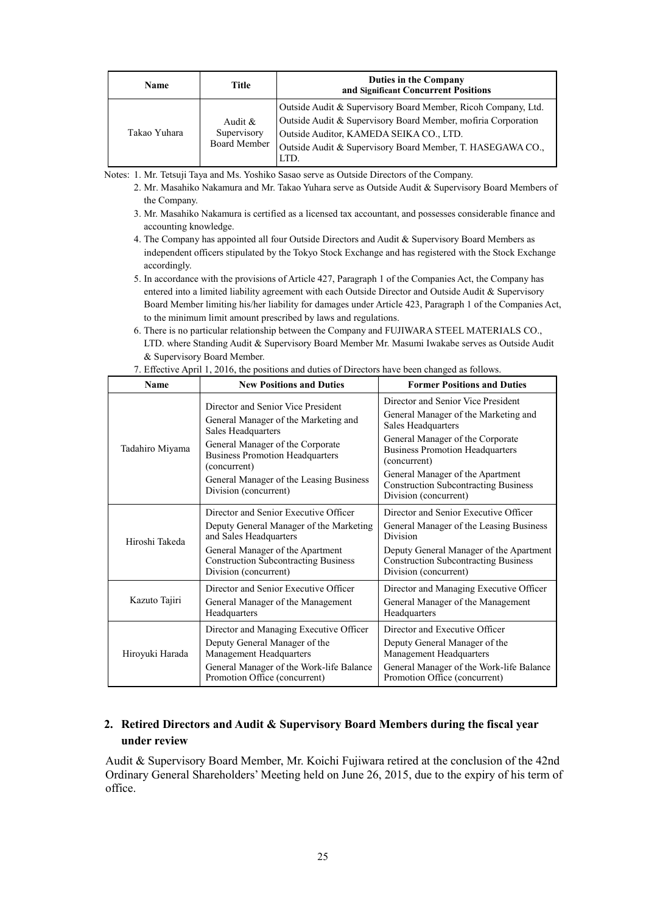| <b>Name</b>  | Title                                     | Duties in the Company<br>and Significant Concurrent Positions                                                                                                                                                                                   |
|--------------|-------------------------------------------|-------------------------------------------------------------------------------------------------------------------------------------------------------------------------------------------------------------------------------------------------|
| Takao Yuhara | Audit $\&$<br>Supervisory<br>Board Member | Outside Audit & Supervisory Board Member, Ricoh Company, Ltd.<br>Outside Audit & Supervisory Board Member, mofiria Corporation<br>Outside Auditor, KAMEDA SEIKA CO., LTD.<br>Outside Audit & Supervisory Board Member, T. HASEGAWA CO.,<br>LTD. |

Notes: 1. Mr. Tetsuji Taya and Ms. Yoshiko Sasao serve as Outside Directors of the Company.

- 2. Mr. Masahiko Nakamura and Mr. Takao Yuhara serve as Outside Audit & Supervisory Board Members of the Company.
- 3. Mr. Masahiko Nakamura is certified as a licensed tax accountant, and possesses considerable finance and accounting knowledge.
- 4. The Company has appointed all four Outside Directors and Audit & Supervisory Board Members as independent officers stipulated by the Tokyo Stock Exchange and has registered with the Stock Exchange accordingly.
- 5. In accordance with the provisions of Article 427, Paragraph 1 of the Companies Act, the Company has entered into a limited liability agreement with each Outside Director and Outside Audit & Supervisory Board Member limiting his/her liability for damages under Article 423, Paragraph 1 of the Companies Act, to the minimum limit amount prescribed by laws and regulations.
- 6. There is no particular relationship between the Company and FUJIWARA STEEL MATERIALS CO., LTD. where Standing Audit & Supervisory Board Member Mr. Masumi Iwakabe serves as Outside Audit & Supervisory Board Member.

| <b>Name</b>     | <b>New Positions and Duties</b>                                                                                                                                                                                                                                    | <b>Former Positions and Duties</b>                                                                                                                                                                                                                                                                         |  |  |
|-----------------|--------------------------------------------------------------------------------------------------------------------------------------------------------------------------------------------------------------------------------------------------------------------|------------------------------------------------------------------------------------------------------------------------------------------------------------------------------------------------------------------------------------------------------------------------------------------------------------|--|--|
| Tadahiro Miyama | Director and Senior Vice President<br>General Manager of the Marketing and<br>Sales Headquarters<br>General Manager of the Corporate<br><b>Business Promotion Headquarters</b><br>(concurrent)<br>General Manager of the Leasing Business<br>Division (concurrent) | Director and Senior Vice President<br>General Manager of the Marketing and<br>Sales Headquarters<br>General Manager of the Corporate<br><b>Business Promotion Headquarters</b><br>(concurrent)<br>General Manager of the Apartment<br><b>Construction Subcontracting Business</b><br>Division (concurrent) |  |  |
| Hiroshi Takeda  | Director and Senior Executive Officer<br>Deputy General Manager of the Marketing<br>and Sales Headquarters<br>General Manager of the Apartment<br><b>Construction Subcontracting Business</b><br>Division (concurrent)                                             | Director and Senior Executive Officer<br>General Manager of the Leasing Business<br>Division<br>Deputy General Manager of the Apartment<br><b>Construction Subcontracting Business</b><br>Division (concurrent)                                                                                            |  |  |
| Kazuto Tajiri   | Director and Senior Executive Officer<br>General Manager of the Management<br>Headquarters                                                                                                                                                                         | Director and Managing Executive Officer<br>General Manager of the Management<br>Headquarters                                                                                                                                                                                                               |  |  |
| Hiroyuki Harada | Director and Managing Executive Officer<br>Deputy General Manager of the<br>Management Headquarters<br>General Manager of the Work-life Balance<br>Promotion Office (concurrent)                                                                                   | Director and Executive Officer<br>Deputy General Manager of the<br>Management Headquarters<br>General Manager of the Work-life Balance<br>Promotion Office (concurrent)                                                                                                                                    |  |  |

7. Effective April 1, 2016, the positions and duties of Directors have been changed as follows.

## **2. Retired Directors and Audit & Supervisory Board Members during the fiscal year under review**

Audit & Supervisory Board Member, Mr. Koichi Fujiwara retired at the conclusion of the 42nd Ordinary General Shareholders' Meeting held on June 26, 2015, due to the expiry of his term of office.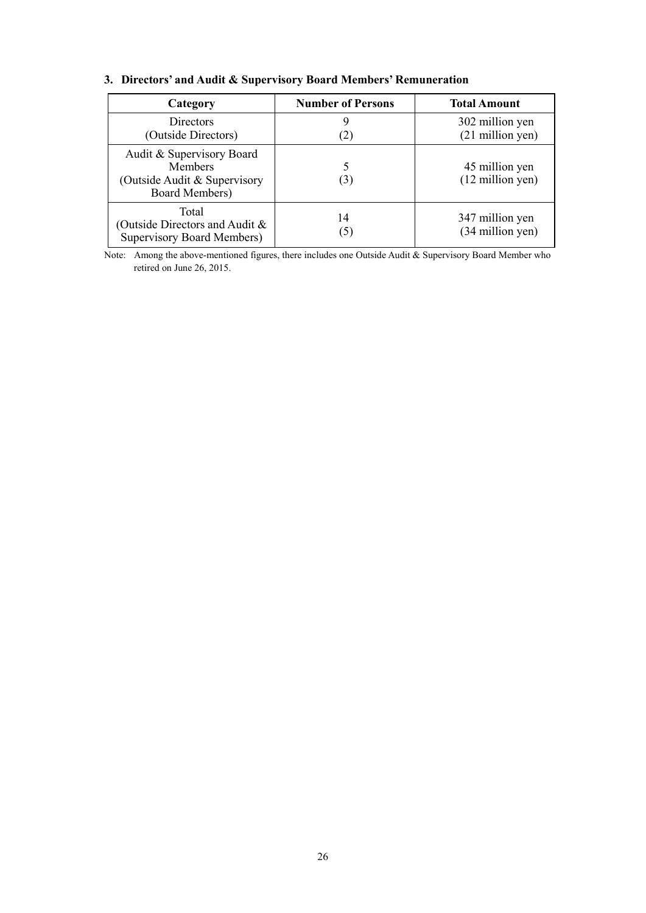| Category                                                                                      | <b>Number of Persons</b> | <b>Total Amount</b>                          |
|-----------------------------------------------------------------------------------------------|--------------------------|----------------------------------------------|
| Directors<br>(Outside Directors)                                                              | (2)                      | 302 million yen<br>$(21$ million yen)        |
| Audit & Supervisory Board<br><b>Members</b><br>(Outside Audit & Supervisory<br>Board Members) | (3)                      | 45 million yen<br>$(12 \text{ million yen})$ |
| Total<br>(Outside Directors and Audit &<br><b>Supervisory Board Members)</b>                  | 14<br>$\left(5\right)$   | 347 million yen<br>(34 million yen)          |

## **3. Directors' and Audit & Supervisory Board Members' Remuneration**

Note: Among the above-mentioned figures, there includes one Outside Audit & Supervisory Board Member who retired on June 26, 2015.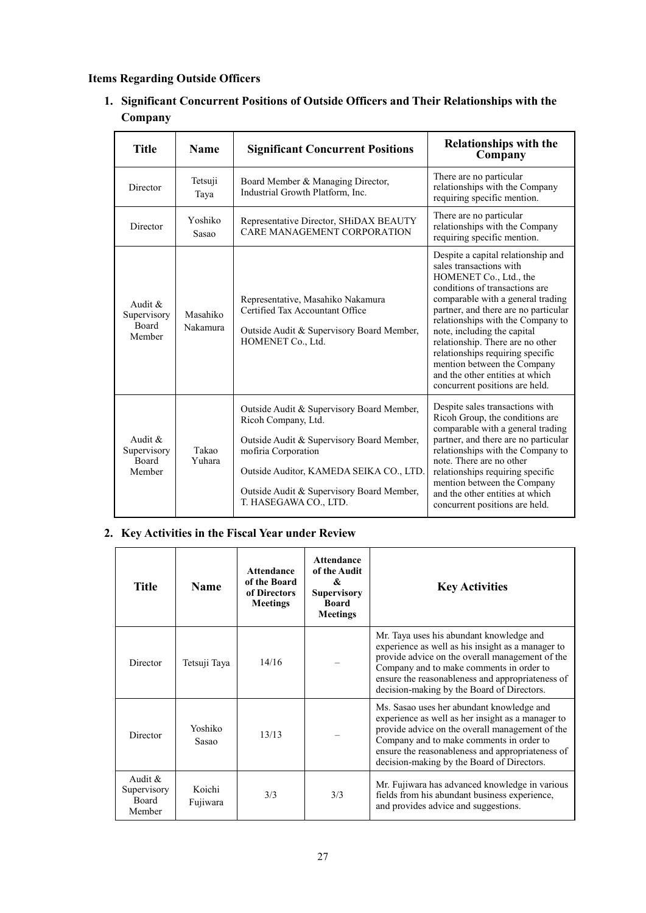## **Items Regarding Outside Officers**

**1. Significant Concurrent Positions of Outside Officers and Their Relationships with the Company** 

| Title                                        | <b>Name</b>          | <b>Significant Concurrent Positions</b>                                                                                                                                                                                                               | <b>Relationships with the</b><br>Company                                                                                                                                                                                                                                                                                                                                                                                                               |
|----------------------------------------------|----------------------|-------------------------------------------------------------------------------------------------------------------------------------------------------------------------------------------------------------------------------------------------------|--------------------------------------------------------------------------------------------------------------------------------------------------------------------------------------------------------------------------------------------------------------------------------------------------------------------------------------------------------------------------------------------------------------------------------------------------------|
| Director                                     | Tetsuji<br>Taya      | Board Member & Managing Director,<br>Industrial Growth Platform, Inc.                                                                                                                                                                                 | There are no particular<br>relationships with the Company<br>requiring specific mention.                                                                                                                                                                                                                                                                                                                                                               |
| Director                                     | Yoshiko<br>Sasao     | Representative Director, SHiDAX BEAUTY<br>CARE MANAGEMENT CORPORATION                                                                                                                                                                                 | There are no particular<br>relationships with the Company<br>requiring specific mention.                                                                                                                                                                                                                                                                                                                                                               |
| Audit $\&$<br>Supervisory<br>Board<br>Member | Masahiko<br>Nakamura | Representative, Masahiko Nakamura<br>Certified Tax Accountant Office<br>Outside Audit & Supervisory Board Member,<br>HOMENET Co., Ltd.                                                                                                                | Despite a capital relationship and<br>sales transactions with<br>HOMENET Co., Ltd., the<br>conditions of transactions are<br>comparable with a general trading<br>partner, and there are no particular<br>relationships with the Company to<br>note, including the capital<br>relationship. There are no other<br>relationships requiring specific<br>mention between the Company<br>and the other entities at which<br>concurrent positions are held. |
| Audit $\&$<br>Supervisory<br>Board<br>Member | Takao<br>Yuhara      | Outside Audit & Supervisory Board Member,<br>Ricoh Company, Ltd.<br>Outside Audit & Supervisory Board Member,<br>mofiria Corporation<br>Outside Auditor, KAMEDA SEIKA CO., LTD.<br>Outside Audit & Supervisory Board Member,<br>T. HASEGAWA CO., LTD. | Despite sales transactions with<br>Ricoh Group, the conditions are<br>comparable with a general trading<br>partner, and there are no particular<br>relationships with the Company to<br>note. There are no other<br>relationships requiring specific<br>mention between the Company<br>and the other entities at which<br>concurrent positions are held.                                                                                               |

## **2. Key Activities in the Fiscal Year under Review**

| Title                                              | <b>Name</b>        | Attendance<br>of the Board<br>of Directors<br><b>Meetings</b> | <b>Attendance</b><br>of the Audit<br>&<br><b>Supervisory</b><br><b>Board</b><br><b>Meetings</b> | <b>Key Activities</b>                                                                                                                                                                                                                                                                           |
|----------------------------------------------------|--------------------|---------------------------------------------------------------|-------------------------------------------------------------------------------------------------|-------------------------------------------------------------------------------------------------------------------------------------------------------------------------------------------------------------------------------------------------------------------------------------------------|
| Director                                           | Tetsuji Taya       | 14/16                                                         |                                                                                                 | Mr. Taya uses his abundant knowledge and<br>experience as well as his insight as a manager to<br>provide advice on the overall management of the<br>Company and to make comments in order to<br>ensure the reasonableness and appropriateness of<br>decision-making by the Board of Directors.  |
| Director                                           | Yoshiko<br>Sasao   | 13/13                                                         |                                                                                                 | Ms. Sasao uses her abundant knowledge and<br>experience as well as her insight as a manager to<br>provide advice on the overall management of the<br>Company and to make comments in order to<br>ensure the reasonableness and appropriateness of<br>decision-making by the Board of Directors. |
| Audit $&$<br>Supervisory<br><b>Board</b><br>Member | Koichi<br>Fujiwara | 3/3                                                           | 3/3                                                                                             | Mr. Fujiwara has advanced knowledge in various<br>fields from his abundant business experience,<br>and provides advice and suggestions.                                                                                                                                                         |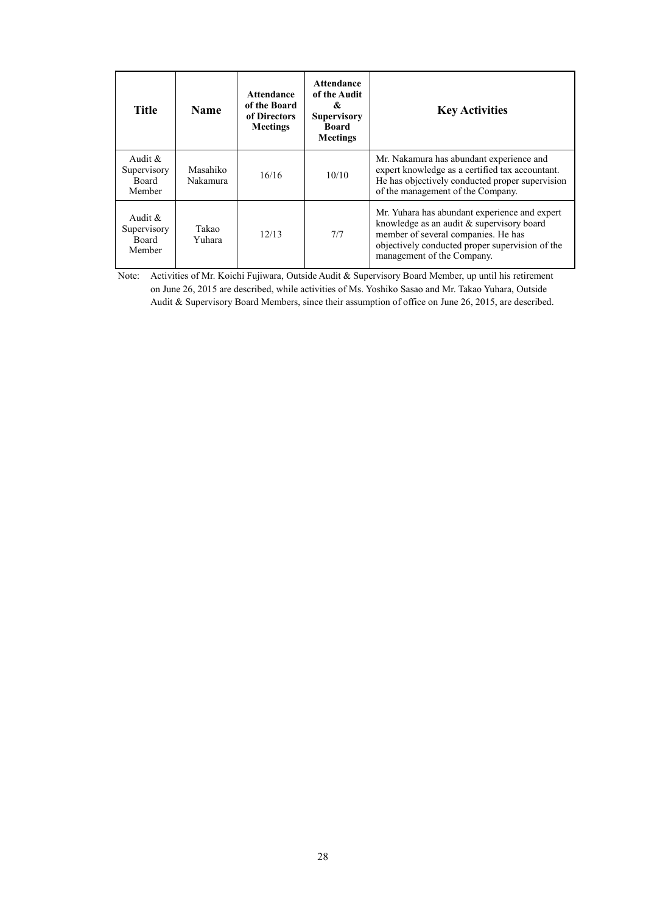| <b>Title</b>                                        | <b>Name</b>          | Attendance<br>of the Board<br>of Directors<br><b>Meetings</b> | <b>Attendance</b><br>of the Audit<br>&<br><b>Supervisory</b><br>Board<br><b>Meetings</b> | <b>Key Activities</b>                                                                                                                                                                                                |
|-----------------------------------------------------|----------------------|---------------------------------------------------------------|------------------------------------------------------------------------------------------|----------------------------------------------------------------------------------------------------------------------------------------------------------------------------------------------------------------------|
| Audit $\&$<br>Supervisory<br>Board<br>Member        | Masahiko<br>Nakamura | 16/16                                                         | 10/10                                                                                    | Mr. Nakamura has abundant experience and<br>expert knowledge as a certified tax accountant.<br>He has objectively conducted proper supervision<br>of the management of the Company.                                  |
| Audit $\&$<br>Supervisory<br><b>Board</b><br>Member | Takao<br>Yuhara      | 12/13                                                         | 7/7                                                                                      | Mr. Yuhara has abundant experience and expert<br>knowledge as an audit $&$ supervisory board<br>member of several companies. He has<br>objectively conducted proper supervision of the<br>management of the Company. |

Note: Activities of Mr. Koichi Fujiwara, Outside Audit & Supervisory Board Member, up until his retirement on June 26, 2015 are described, while activities of Ms. Yoshiko Sasao and Mr. Takao Yuhara, Outside Audit & Supervisory Board Members, since their assumption of office on June 26, 2015, are described.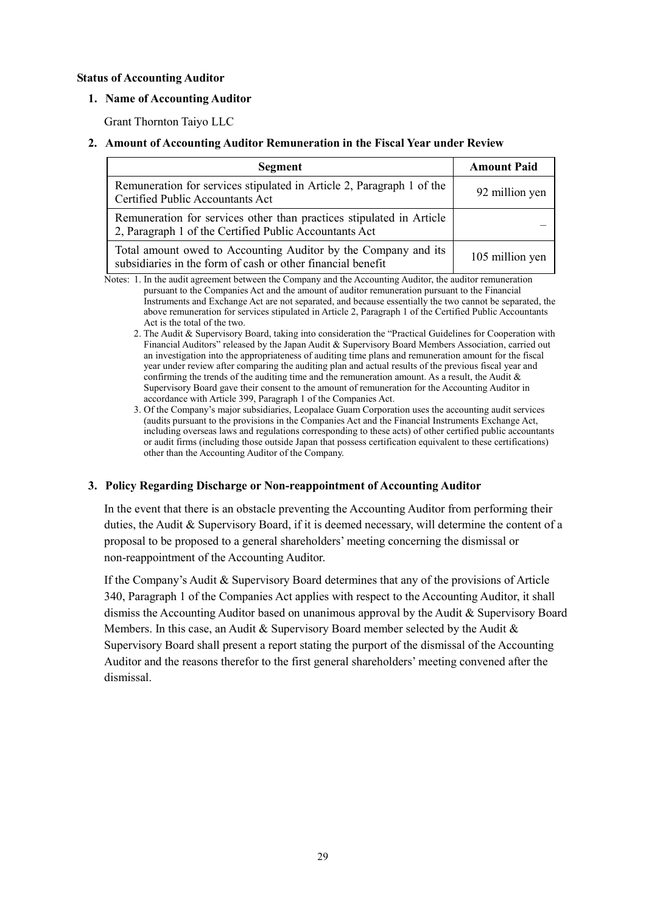### **Status of Accounting Auditor**

### **1. Name of Accounting Auditor**

Grant Thornton Taiyo LLC

### **2. Amount of Accounting Auditor Remuneration in the Fiscal Year under Review**

| Segment                                                                                                                        | <b>Amount Paid</b> |
|--------------------------------------------------------------------------------------------------------------------------------|--------------------|
| Remuneration for services stipulated in Article 2, Paragraph 1 of the<br>Certified Public Accountants Act                      | 92 million yen     |
| Remuneration for services other than practices stipulated in Article<br>2, Paragraph 1 of the Certified Public Accountants Act |                    |
| Total amount owed to Accounting Auditor by the Company and its<br>subsidiaries in the form of cash or other financial benefit  | 105 million yen    |

Notes: 1. In the audit agreement between the Company and the Accounting Auditor, the auditor remuneration pursuant to the Companies Act and the amount of auditor remuneration pursuant to the Financial Instruments and Exchange Act are not separated, and because essentially the two cannot be separated, the above remuneration for services stipulated in Article 2, Paragraph 1 of the Certified Public Accountants Act is the total of the two.

- 2. The Audit & Supervisory Board, taking into consideration the "Practical Guidelines for Cooperation with Financial Auditors" released by the Japan Audit & Supervisory Board Members Association, carried out an investigation into the appropriateness of auditing time plans and remuneration amount for the fiscal year under review after comparing the auditing plan and actual results of the previous fiscal year and confirming the trends of the auditing time and the remuneration amount. As a result, the Audit  $\&$ Supervisory Board gave their consent to the amount of remuneration for the Accounting Auditor in accordance with Article 399, Paragraph 1 of the Companies Act.
- 3. Of the Company's major subsidiaries, Leopalace Guam Corporation uses the accounting audit services (audits pursuant to the provisions in the Companies Act and the Financial Instruments Exchange Act, including overseas laws and regulations corresponding to these acts) of other certified public accountants or audit firms (including those outside Japan that possess certification equivalent to these certifications) other than the Accounting Auditor of the Company.

### **3. Policy Regarding Discharge or Non-reappointment of Accounting Auditor**

In the event that there is an obstacle preventing the Accounting Auditor from performing their duties, the Audit & Supervisory Board, if it is deemed necessary, will determine the content of a proposal to be proposed to a general shareholders' meeting concerning the dismissal or non-reappointment of the Accounting Auditor.

If the Company's Audit & Supervisory Board determines that any of the provisions of Article 340, Paragraph 1 of the Companies Act applies with respect to the Accounting Auditor, it shall dismiss the Accounting Auditor based on unanimous approval by the Audit & Supervisory Board Members. In this case, an Audit & Supervisory Board member selected by the Audit  $\&$ Supervisory Board shall present a report stating the purport of the dismissal of the Accounting Auditor and the reasons therefor to the first general shareholders' meeting convened after the dismissal.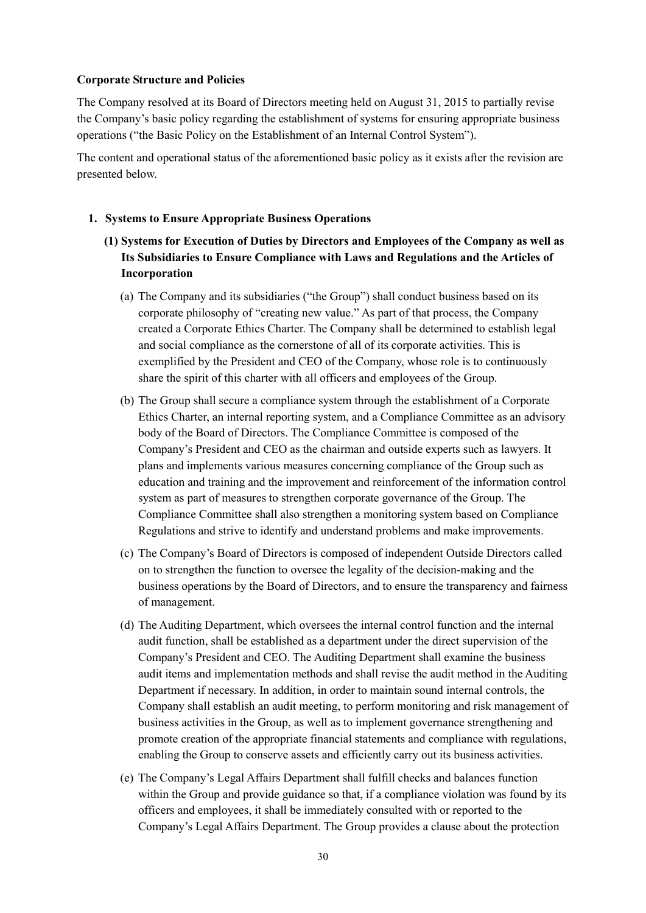### **Corporate Structure and Policies**

The Company resolved at its Board of Directors meeting held on August 31, 2015 to partially revise the Company's basic policy regarding the establishment of systems for ensuring appropriate business operations ("the Basic Policy on the Establishment of an Internal Control System").

The content and operational status of the aforementioned basic policy as it exists after the revision are presented below.

### **1. Systems to Ensure Appropriate Business Operations**

- **(1) Systems for Execution of Duties by Directors and Employees of the Company as well as Its Subsidiaries to Ensure Compliance with Laws and Regulations and the Articles of Incorporation** 
	- (a) The Company and its subsidiaries ("the Group") shall conduct business based on its corporate philosophy of "creating new value." As part of that process, the Company created a Corporate Ethics Charter. The Company shall be determined to establish legal and social compliance as the cornerstone of all of its corporate activities. This is exemplified by the President and CEO of the Company, whose role is to continuously share the spirit of this charter with all officers and employees of the Group.
	- (b) The Group shall secure a compliance system through the establishment of a Corporate Ethics Charter, an internal reporting system, and a Compliance Committee as an advisory body of the Board of Directors. The Compliance Committee is composed of the Company's President and CEO as the chairman and outside experts such as lawyers. It plans and implements various measures concerning compliance of the Group such as education and training and the improvement and reinforcement of the information control system as part of measures to strengthen corporate governance of the Group. The Compliance Committee shall also strengthen a monitoring system based on Compliance Regulations and strive to identify and understand problems and make improvements.
	- (c) The Company's Board of Directors is composed of independent Outside Directors called on to strengthen the function to oversee the legality of the decision-making and the business operations by the Board of Directors, and to ensure the transparency and fairness of management.
	- (d) The Auditing Department, which oversees the internal control function and the internal audit function, shall be established as a department under the direct supervision of the Company's President and CEO. The Auditing Department shall examine the business audit items and implementation methods and shall revise the audit method in the Auditing Department if necessary. In addition, in order to maintain sound internal controls, the Company shall establish an audit meeting, to perform monitoring and risk management of business activities in the Group, as well as to implement governance strengthening and promote creation of the appropriate financial statements and compliance with regulations, enabling the Group to conserve assets and efficiently carry out its business activities.
	- (e) The Company's Legal Affairs Department shall fulfill checks and balances function within the Group and provide guidance so that, if a compliance violation was found by its officers and employees, it shall be immediately consulted with or reported to the Company's Legal Affairs Department. The Group provides a clause about the protection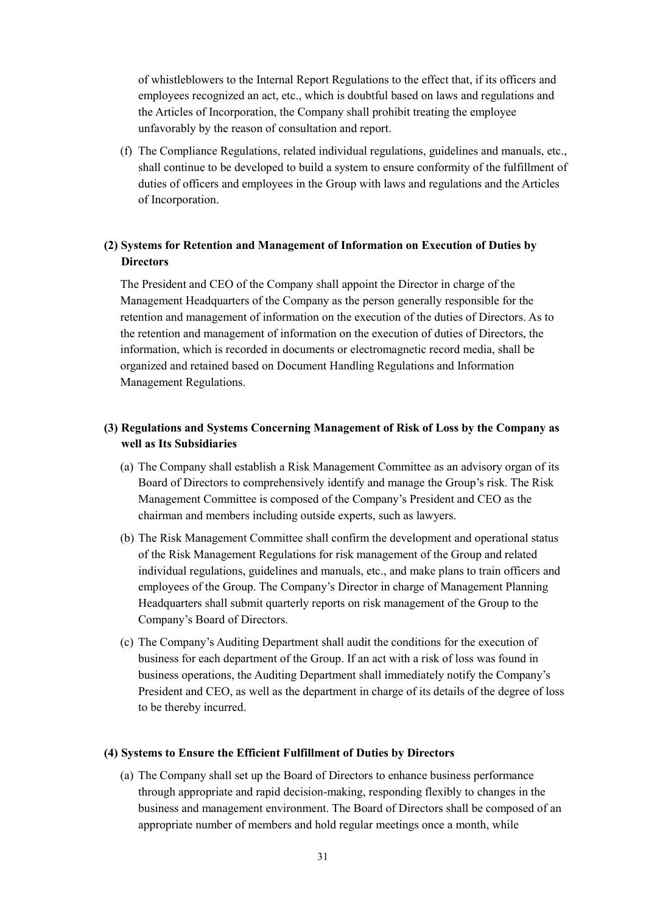of whistleblowers to the Internal Report Regulations to the effect that, if its officers and employees recognized an act, etc., which is doubtful based on laws and regulations and the Articles of Incorporation, the Company shall prohibit treating the employee unfavorably by the reason of consultation and report.

(f) The Compliance Regulations, related individual regulations, guidelines and manuals, etc., shall continue to be developed to build a system to ensure conformity of the fulfillment of duties of officers and employees in the Group with laws and regulations and the Articles of Incorporation.

## **(2) Systems for Retention and Management of Information on Execution of Duties by Directors**

The President and CEO of the Company shall appoint the Director in charge of the Management Headquarters of the Company as the person generally responsible for the retention and management of information on the execution of the duties of Directors. As to the retention and management of information on the execution of duties of Directors, the information, which is recorded in documents or electromagnetic record media, shall be organized and retained based on Document Handling Regulations and Information Management Regulations.

## **(3) Regulations and Systems Concerning Management of Risk of Loss by the Company as well as Its Subsidiaries**

- (a) The Company shall establish a Risk Management Committee as an advisory organ of its Board of Directors to comprehensively identify and manage the Group's risk. The Risk Management Committee is composed of the Company's President and CEO as the chairman and members including outside experts, such as lawyers.
- (b) The Risk Management Committee shall confirm the development and operational status of the Risk Management Regulations for risk management of the Group and related individual regulations, guidelines and manuals, etc., and make plans to train officers and employees of the Group. The Company's Director in charge of Management Planning Headquarters shall submit quarterly reports on risk management of the Group to the Company's Board of Directors.
- (c) The Company's Auditing Department shall audit the conditions for the execution of business for each department of the Group. If an act with a risk of loss was found in business operations, the Auditing Department shall immediately notify the Company's President and CEO, as well as the department in charge of its details of the degree of loss to be thereby incurred.

### **(4) Systems to Ensure the Efficient Fulfillment of Duties by Directors**

(a) The Company shall set up the Board of Directors to enhance business performance through appropriate and rapid decision-making, responding flexibly to changes in the business and management environment. The Board of Directors shall be composed of an appropriate number of members and hold regular meetings once a month, while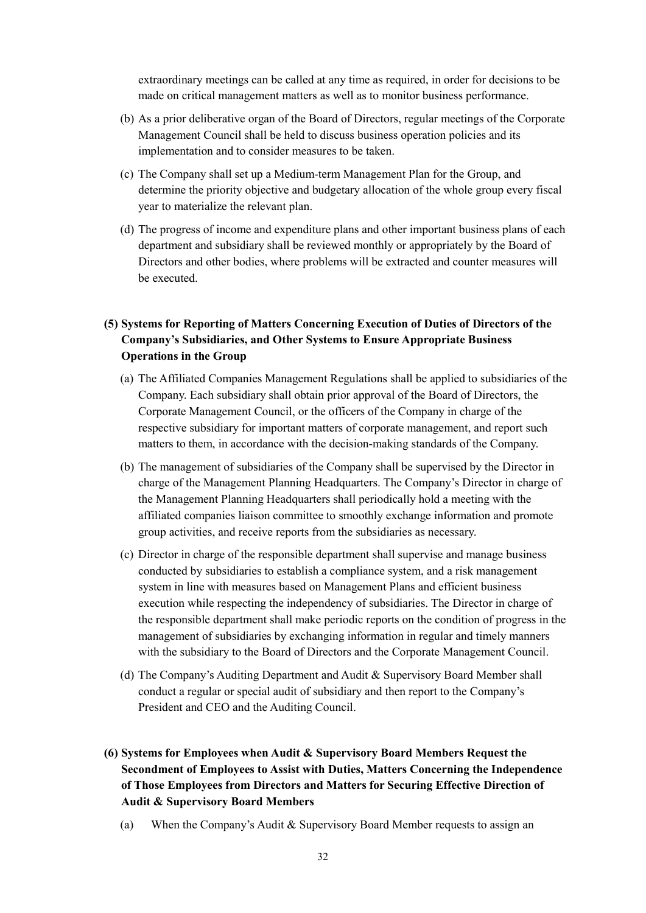extraordinary meetings can be called at any time as required, in order for decisions to be made on critical management matters as well as to monitor business performance.

- (b) As a prior deliberative organ of the Board of Directors, regular meetings of the Corporate Management Council shall be held to discuss business operation policies and its implementation and to consider measures to be taken.
- (c) The Company shall set up a Medium-term Management Plan for the Group, and determine the priority objective and budgetary allocation of the whole group every fiscal year to materialize the relevant plan.
- (d) The progress of income and expenditure plans and other important business plans of each department and subsidiary shall be reviewed monthly or appropriately by the Board of Directors and other bodies, where problems will be extracted and counter measures will be executed.

## **(5) Systems for Reporting of Matters Concerning Execution of Duties of Directors of the Company's Subsidiaries, and Other Systems to Ensure Appropriate Business Operations in the Group**

- (a) The Affiliated Companies Management Regulations shall be applied to subsidiaries of the Company. Each subsidiary shall obtain prior approval of the Board of Directors, the Corporate Management Council, or the officers of the Company in charge of the respective subsidiary for important matters of corporate management, and report such matters to them, in accordance with the decision-making standards of the Company.
- (b) The management of subsidiaries of the Company shall be supervised by the Director in charge of the Management Planning Headquarters. The Company's Director in charge of the Management Planning Headquarters shall periodically hold a meeting with the affiliated companies liaison committee to smoothly exchange information and promote group activities, and receive reports from the subsidiaries as necessary.
- (c) Director in charge of the responsible department shall supervise and manage business conducted by subsidiaries to establish a compliance system, and a risk management system in line with measures based on Management Plans and efficient business execution while respecting the independency of subsidiaries. The Director in charge of the responsible department shall make periodic reports on the condition of progress in the management of subsidiaries by exchanging information in regular and timely manners with the subsidiary to the Board of Directors and the Corporate Management Council.
- (d) The Company's Auditing Department and Audit & Supervisory Board Member shall conduct a regular or special audit of subsidiary and then report to the Company's President and CEO and the Auditing Council.
- **(6) Systems for Employees when Audit & Supervisory Board Members Request the Secondment of Employees to Assist with Duties, Matters Concerning the Independence of Those Employees from Directors and Matters for Securing Effective Direction of Audit & Supervisory Board Members**
	- (a) When the Company's Audit & Supervisory Board Member requests to assign an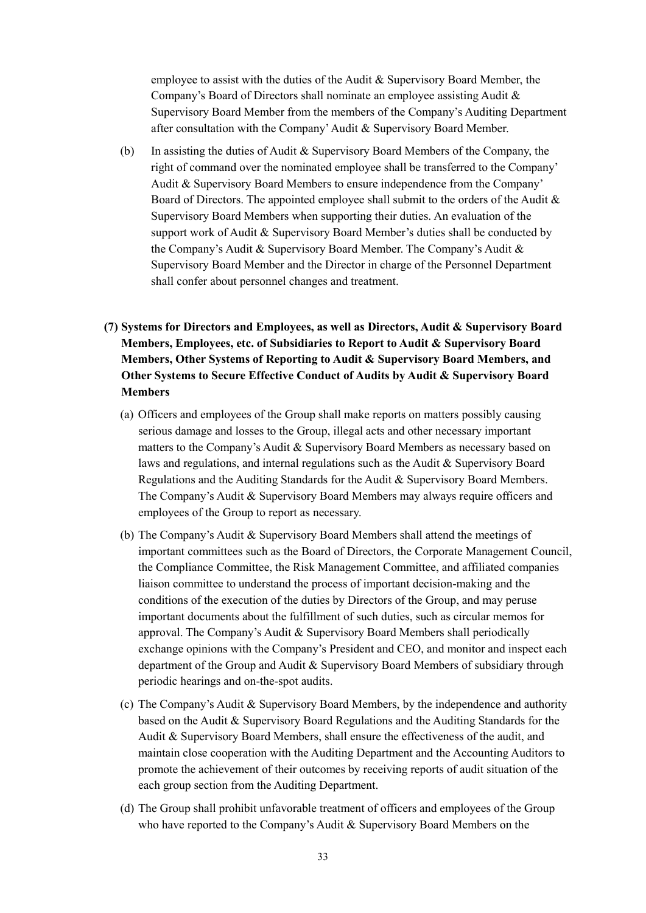employee to assist with the duties of the Audit & Supervisory Board Member, the Company's Board of Directors shall nominate an employee assisting Audit & Supervisory Board Member from the members of the Company's Auditing Department after consultation with the Company' Audit & Supervisory Board Member.

- (b) In assisting the duties of Audit  $&$  Supervisory Board Members of the Company, the right of command over the nominated employee shall be transferred to the Company' Audit & Supervisory Board Members to ensure independence from the Company' Board of Directors. The appointed employee shall submit to the orders of the Audit & Supervisory Board Members when supporting their duties. An evaluation of the support work of Audit & Supervisory Board Member's duties shall be conducted by the Company's Audit & Supervisory Board Member. The Company's Audit & Supervisory Board Member and the Director in charge of the Personnel Department shall confer about personnel changes and treatment.
- **(7) Systems for Directors and Employees, as well as Directors, Audit & Supervisory Board Members, Employees, etc. of Subsidiaries to Report to Audit & Supervisory Board Members, Other Systems of Reporting to Audit & Supervisory Board Members, and Other Systems to Secure Effective Conduct of Audits by Audit & Supervisory Board Members** 
	- (a) Officers and employees of the Group shall make reports on matters possibly causing serious damage and losses to the Group, illegal acts and other necessary important matters to the Company's Audit & Supervisory Board Members as necessary based on laws and regulations, and internal regulations such as the Audit & Supervisory Board Regulations and the Auditing Standards for the Audit & Supervisory Board Members. The Company's Audit & Supervisory Board Members may always require officers and employees of the Group to report as necessary.
	- (b) The Company's Audit & Supervisory Board Members shall attend the meetings of important committees such as the Board of Directors, the Corporate Management Council, the Compliance Committee, the Risk Management Committee, and affiliated companies liaison committee to understand the process of important decision-making and the conditions of the execution of the duties by Directors of the Group, and may peruse important documents about the fulfillment of such duties, such as circular memos for approval. The Company's Audit & Supervisory Board Members shall periodically exchange opinions with the Company's President and CEO, and monitor and inspect each department of the Group and Audit & Supervisory Board Members of subsidiary through periodic hearings and on-the-spot audits.
	- (c) The Company's Audit & Supervisory Board Members, by the independence and authority based on the Audit & Supervisory Board Regulations and the Auditing Standards for the Audit & Supervisory Board Members, shall ensure the effectiveness of the audit, and maintain close cooperation with the Auditing Department and the Accounting Auditors to promote the achievement of their outcomes by receiving reports of audit situation of the each group section from the Auditing Department.
	- (d) The Group shall prohibit unfavorable treatment of officers and employees of the Group who have reported to the Company's Audit & Supervisory Board Members on the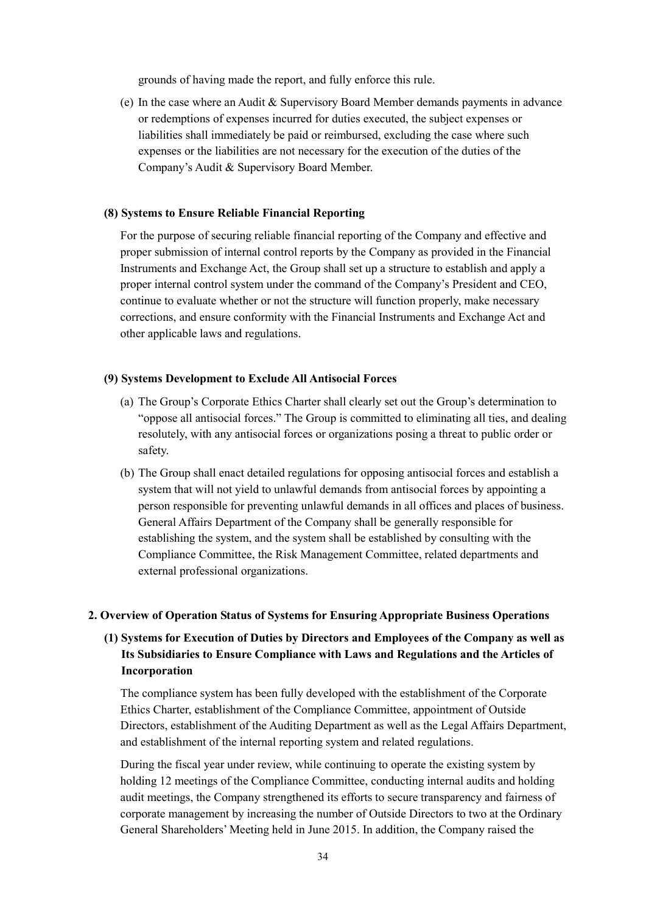grounds of having made the report, and fully enforce this rule.

(e) In the case where an Audit & Supervisory Board Member demands payments in advance or redemptions of expenses incurred for duties executed, the subject expenses or liabilities shall immediately be paid or reimbursed, excluding the case where such expenses or the liabilities are not necessary for the execution of the duties of the Company's Audit & Supervisory Board Member.

#### **(8) Systems to Ensure Reliable Financial Reporting**

For the purpose of securing reliable financial reporting of the Company and effective and proper submission of internal control reports by the Company as provided in the Financial Instruments and Exchange Act, the Group shall set up a structure to establish and apply a proper internal control system under the command of the Company's President and CEO, continue to evaluate whether or not the structure will function properly, make necessary corrections, and ensure conformity with the Financial Instruments and Exchange Act and other applicable laws and regulations.

#### **(9) Systems Development to Exclude All Antisocial Forces**

- (a) The Group's Corporate Ethics Charter shall clearly set out the Group's determination to "oppose all antisocial forces." The Group is committed to eliminating all ties, and dealing resolutely, with any antisocial forces or organizations posing a threat to public order or safety.
- (b) The Group shall enact detailed regulations for opposing antisocial forces and establish a system that will not yield to unlawful demands from antisocial forces by appointing a person responsible for preventing unlawful demands in all offices and places of business. General Affairs Department of the Company shall be generally responsible for establishing the system, and the system shall be established by consulting with the Compliance Committee, the Risk Management Committee, related departments and external professional organizations.

#### **2. Overview of Operation Status of Systems for Ensuring Appropriate Business Operations**

## **(1) Systems for Execution of Duties by Directors and Employees of the Company as well as Its Subsidiaries to Ensure Compliance with Laws and Regulations and the Articles of Incorporation**

The compliance system has been fully developed with the establishment of the Corporate Ethics Charter, establishment of the Compliance Committee, appointment of Outside Directors, establishment of the Auditing Department as well as the Legal Affairs Department, and establishment of the internal reporting system and related regulations.

During the fiscal year under review, while continuing to operate the existing system by holding 12 meetings of the Compliance Committee, conducting internal audits and holding audit meetings, the Company strengthened its efforts to secure transparency and fairness of corporate management by increasing the number of Outside Directors to two at the Ordinary General Shareholders' Meeting held in June 2015. In addition, the Company raised the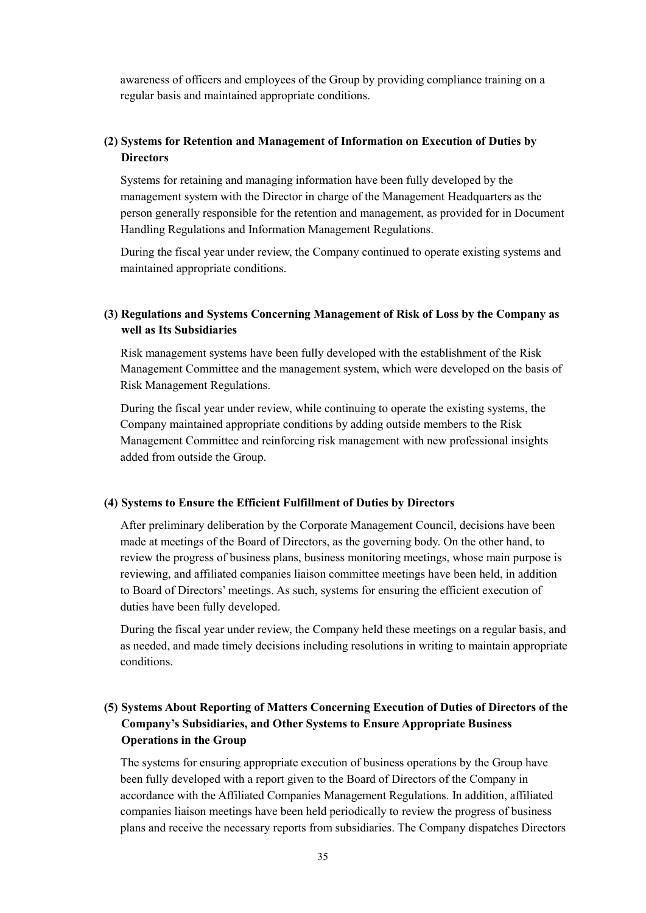awareness of officers and employees of the Group by providing compliance training on a regular basis and maintained appropriate conditions.

### **(2) Systems for Retention and Management of Information on Execution of Duties by Directors**

Systems for retaining and managing information have been fully developed by the management system with the Director in charge of the Management Headquarters as the person generally responsible for the retention and management, as provided for in Document Handling Regulations and Information Management Regulations.

During the fiscal year under review, the Company continued to operate existing systems and maintained appropriate conditions.

## **(3) Regulations and Systems Concerning Management of Risk of Loss by the Company as well as Its Subsidiaries**

Risk management systems have been fully developed with the establishment of the Risk Management Committee and the management system, which were developed on the basis of Risk Management Regulations.

During the fiscal year under review, while continuing to operate the existing systems, the Company maintained appropriate conditions by adding outside members to the Risk Management Committee and reinforcing risk management with new professional insights added from outside the Group.

#### **(4) Systems to Ensure the Efficient Fulfillment of Duties by Directors**

After preliminary deliberation by the Corporate Management Council, decisions have been made at meetings of the Board of Directors, as the governing body. On the other hand, to review the progress of business plans, business monitoring meetings, whose main purpose is reviewing, and affiliated companies liaison committee meetings have been held, in addition to Board of Directors' meetings. As such, systems for ensuring the efficient execution of duties have been fully developed.

During the fiscal year under review, the Company held these meetings on a regular basis, and as needed, and made timely decisions including resolutions in writing to maintain appropriate conditions.

## **(5) Systems About Reporting of Matters Concerning Execution of Duties of Directors of the Company's Subsidiaries, and Other Systems to Ensure Appropriate Business Operations in the Group**

The systems for ensuring appropriate execution of business operations by the Group have been fully developed with a report given to the Board of Directors of the Company in accordance with the Affiliated Companies Management Regulations. In addition, affiliated companies liaison meetings have been held periodically to review the progress of business plans and receive the necessary reports from subsidiaries. The Company dispatches Directors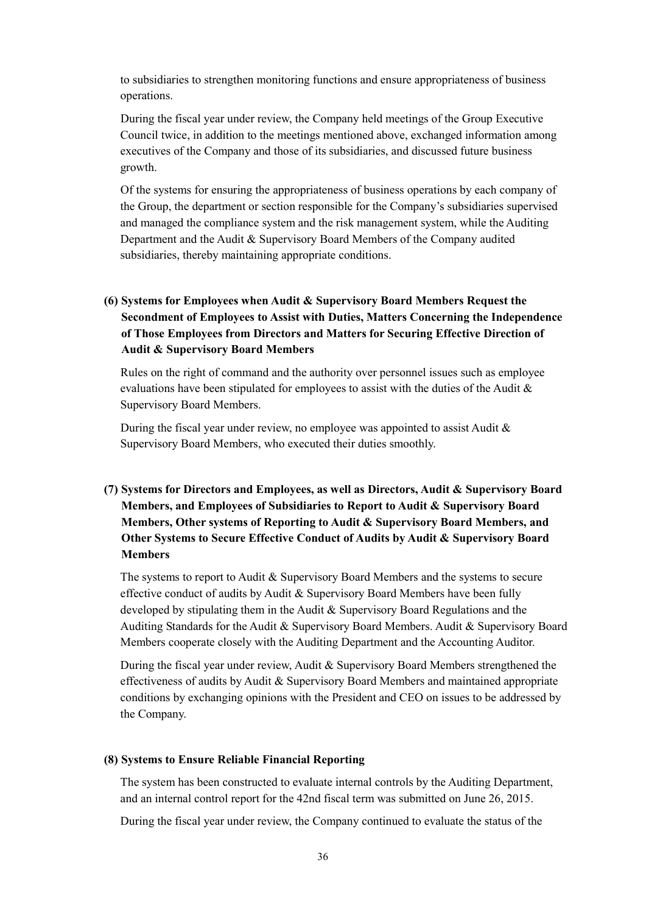to subsidiaries to strengthen monitoring functions and ensure appropriateness of business operations.

During the fiscal year under review, the Company held meetings of the Group Executive Council twice, in addition to the meetings mentioned above, exchanged information among executives of the Company and those of its subsidiaries, and discussed future business growth.

Of the systems for ensuring the appropriateness of business operations by each company of the Group, the department or section responsible for the Company's subsidiaries supervised and managed the compliance system and the risk management system, while the Auditing Department and the Audit & Supervisory Board Members of the Company audited subsidiaries, thereby maintaining appropriate conditions.

## **(6) Systems for Employees when Audit & Supervisory Board Members Request the Secondment of Employees to Assist with Duties, Matters Concerning the Independence of Those Employees from Directors and Matters for Securing Effective Direction of Audit & Supervisory Board Members**

Rules on the right of command and the authority over personnel issues such as employee evaluations have been stipulated for employees to assist with the duties of the Audit  $\&$ Supervisory Board Members.

During the fiscal year under review, no employee was appointed to assist Audit & Supervisory Board Members, who executed their duties smoothly.

## **(7) Systems for Directors and Employees, as well as Directors, Audit & Supervisory Board Members, and Employees of Subsidiaries to Report to Audit & Supervisory Board Members, Other systems of Reporting to Audit & Supervisory Board Members, and Other Systems to Secure Effective Conduct of Audits by Audit & Supervisory Board Members**

The systems to report to Audit & Supervisory Board Members and the systems to secure effective conduct of audits by Audit & Supervisory Board Members have been fully developed by stipulating them in the Audit & Supervisory Board Regulations and the Auditing Standards for the Audit & Supervisory Board Members. Audit & Supervisory Board Members cooperate closely with the Auditing Department and the Accounting Auditor.

During the fiscal year under review, Audit & Supervisory Board Members strengthened the effectiveness of audits by Audit & Supervisory Board Members and maintained appropriate conditions by exchanging opinions with the President and CEO on issues to be addressed by the Company.

### **(8) Systems to Ensure Reliable Financial Reporting**

The system has been constructed to evaluate internal controls by the Auditing Department, and an internal control report for the 42nd fiscal term was submitted on June 26, 2015.

During the fiscal year under review, the Company continued to evaluate the status of the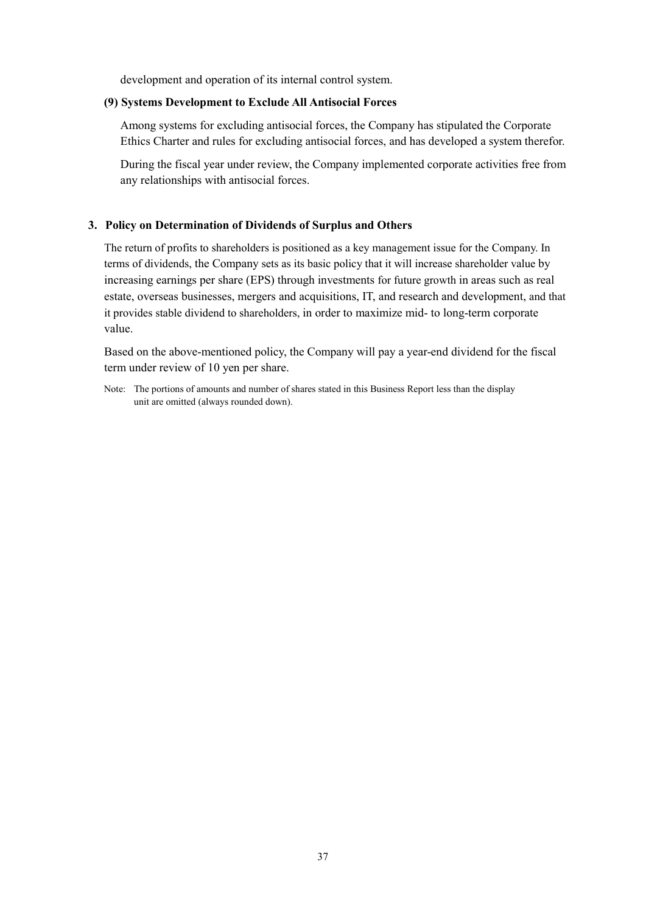development and operation of its internal control system.

### **(9) Systems Development to Exclude All Antisocial Forces**

Among systems for excluding antisocial forces, the Company has stipulated the Corporate Ethics Charter and rules for excluding antisocial forces, and has developed a system therefor.

During the fiscal year under review, the Company implemented corporate activities free from any relationships with antisocial forces.

#### **3. Policy on Determination of Dividends of Surplus and Others**

The return of profits to shareholders is positioned as a key management issue for the Company. In terms of dividends, the Company sets as its basic policy that it will increase shareholder value by increasing earnings per share (EPS) through investments for future growth in areas such as real estate, overseas businesses, mergers and acquisitions, IT, and research and development, and that it provides stable dividend to shareholders, in order to maximize mid- to long-term corporate value.

Based on the above-mentioned policy, the Company will pay a year-end dividend for the fiscal term under review of 10 yen per share.

Note: The portions of amounts and number of shares stated in this Business Report less than the display unit are omitted (always rounded down).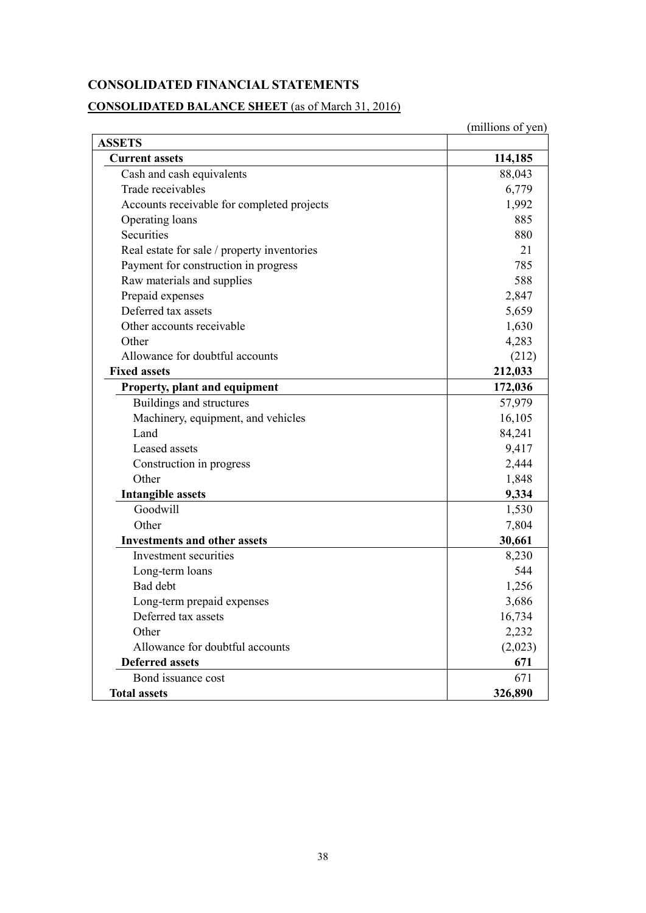## **CONSOLIDATED FINANCIAL STATEMENTS**

# **CONSOLIDATED BALANCE SHEET** (as of March 31, 2016)

|                                             | (millions of yen) |
|---------------------------------------------|-------------------|
| <b>ASSETS</b>                               |                   |
| <b>Current assets</b>                       | 114,185           |
| Cash and cash equivalents                   | 88,043            |
| Trade receivables                           | 6,779             |
| Accounts receivable for completed projects  | 1,992             |
| Operating loans                             | 885               |
| Securities                                  | 880               |
| Real estate for sale / property inventories | 21                |
| Payment for construction in progress        | 785               |
| Raw materials and supplies                  | 588               |
| Prepaid expenses                            | 2,847             |
| Deferred tax assets                         | 5,659             |
| Other accounts receivable                   | 1,630             |
| Other                                       | 4,283             |
| Allowance for doubtful accounts             | (212)             |
| <b>Fixed assets</b>                         | 212,033           |
| Property, plant and equipment               | 172,036           |
| Buildings and structures                    | 57,979            |
| Machinery, equipment, and vehicles          | 16,105            |
| Land                                        | 84,241            |
| Leased assets                               | 9,417             |
| Construction in progress                    | 2,444             |
| Other                                       | 1,848             |
| <b>Intangible assets</b>                    | 9,334             |
| Goodwill                                    | 1,530             |
| Other                                       | 7,804             |
| <b>Investments and other assets</b>         | 30,661            |
| Investment securities                       | 8,230             |
| Long-term loans                             | 544               |
| Bad debt                                    | 1,256             |
| Long-term prepaid expenses                  | 3,686             |
| Deferred tax assets                         | 16,734            |
| Other                                       | 2,232             |
| Allowance for doubtful accounts             | (2,023)           |
| <b>Deferred assets</b>                      | 671               |
| Bond issuance cost                          | 671               |
| <b>Total assets</b>                         | 326,890           |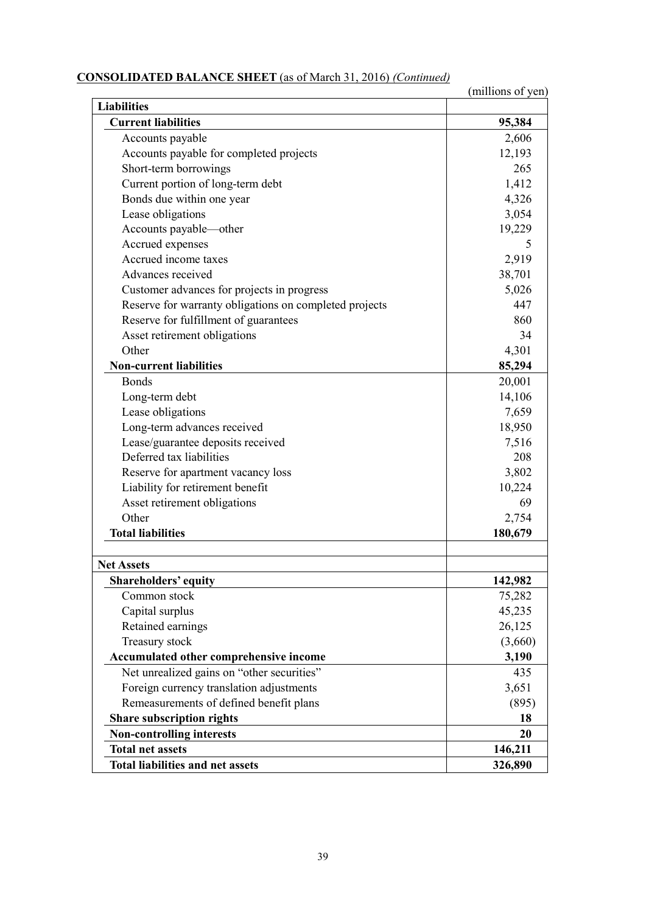# **CONSOLIDATED BALANCE SHEET** (as of March 31, 2016) *(Continued)*

|                                                        | (millions of yen) |
|--------------------------------------------------------|-------------------|
| <b>Liabilities</b>                                     |                   |
| <b>Current liabilities</b>                             | 95,384            |
| Accounts payable                                       | 2,606             |
| Accounts payable for completed projects                | 12,193            |
| Short-term borrowings                                  | 265               |
| Current portion of long-term debt                      | 1,412             |
| Bonds due within one year                              | 4,326             |
| Lease obligations                                      | 3,054             |
| Accounts payable—other                                 | 19,229            |
| Accrued expenses                                       | 5                 |
| Accrued income taxes                                   | 2,919             |
| Advances received                                      | 38,701            |
| Customer advances for projects in progress             | 5,026             |
| Reserve for warranty obligations on completed projects | 447               |
| Reserve for fulfillment of guarantees                  | 860               |
| Asset retirement obligations                           | 34                |
| Other                                                  | 4,301             |
| <b>Non-current liabilities</b>                         | 85,294            |
| <b>Bonds</b>                                           | 20,001            |
| Long-term debt                                         | 14,106            |
| Lease obligations                                      | 7,659             |
| Long-term advances received                            | 18,950            |
| Lease/guarantee deposits received                      | 7,516             |
| Deferred tax liabilities                               | 208               |
| Reserve for apartment vacancy loss                     | 3,802             |
| Liability for retirement benefit                       | 10,224            |
| Asset retirement obligations                           | 69                |
| Other                                                  | 2,754             |
| <b>Total liabilities</b>                               | 180,679           |
| <b>Net Assets</b>                                      |                   |
| <b>Shareholders' equity</b>                            | 142,982           |
| Common stock                                           | 75,282            |
| Capital surplus                                        | 45,235            |
| Retained earnings                                      | 26,125            |
| Treasury stock                                         | (3,660)           |
| Accumulated other comprehensive income                 | 3,190             |
| Net unrealized gains on "other securities"             | 435               |
| Foreign currency translation adjustments               | 3,651             |
| Remeasurements of defined benefit plans                | (895)             |
| <b>Share subscription rights</b>                       | 18                |
| <b>Non-controlling interests</b>                       | 20                |
| <b>Total net assets</b>                                | 146,211           |
| <b>Total liabilities and net assets</b>                | 326,890           |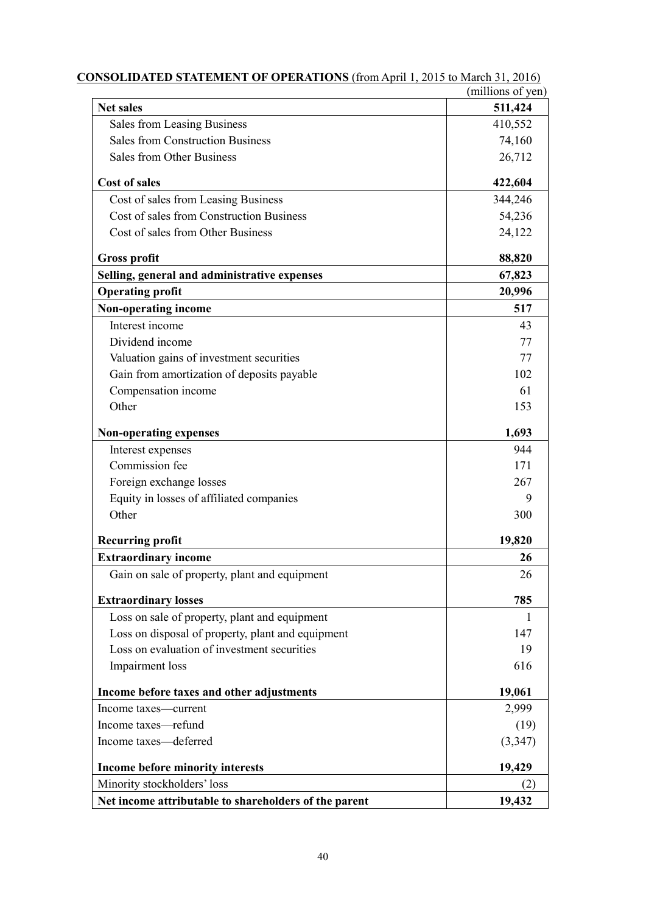|                                                       | (millions of yen) |
|-------------------------------------------------------|-------------------|
| <b>Net sales</b>                                      | 511,424           |
| <b>Sales from Leasing Business</b>                    | 410,552           |
| <b>Sales from Construction Business</b>               | 74,160            |
| <b>Sales from Other Business</b>                      | 26,712            |
| <b>Cost of sales</b>                                  | 422,604           |
| Cost of sales from Leasing Business                   | 344,246           |
| Cost of sales from Construction Business              | 54,236            |
| Cost of sales from Other Business                     | 24,122            |
| <b>Gross profit</b>                                   | 88,820            |
| Selling, general and administrative expenses          | 67,823            |
| <b>Operating profit</b>                               | 20,996            |
| Non-operating income                                  | 517               |
| Interest income                                       | 43                |
| Dividend income                                       | 77                |
| Valuation gains of investment securities              | 77                |
| Gain from amortization of deposits payable            | 102               |
| Compensation income                                   | 61                |
| Other                                                 | 153               |
| <b>Non-operating expenses</b>                         | 1,693             |
| Interest expenses                                     | 944               |
| Commission fee                                        | 171               |
| Foreign exchange losses                               | 267               |
| Equity in losses of affiliated companies              | 9                 |
| Other                                                 | 300               |
| <b>Recurring profit</b>                               | 19,820            |
| <b>Extraordinary income</b>                           | 26                |
| Gain on sale of property, plant and equipment         | 26                |
| <b>Extraordinary losses</b>                           | 785               |
| Loss on sale of property, plant and equipment         | 1                 |
| Loss on disposal of property, plant and equipment     | 147               |
| Loss on evaluation of investment securities           | 19                |
| Impairment loss                                       | 616               |
| Income before taxes and other adjustments             | 19,061            |
| Income taxes-current                                  | 2,999             |
| Income taxes-refund                                   | (19)              |
| Income taxes-deferred                                 | (3, 347)          |
| Income before minority interests                      | 19,429            |
| Minority stockholders' loss                           | (2)               |
| Net income attributable to shareholders of the parent | 19,432            |

| <b>CONSOLIDATED STATEMENT OF OPERATIONS</b> (from April 1, 2015 to March 31, 2016) |  |  |  |
|------------------------------------------------------------------------------------|--|--|--|
|                                                                                    |  |  |  |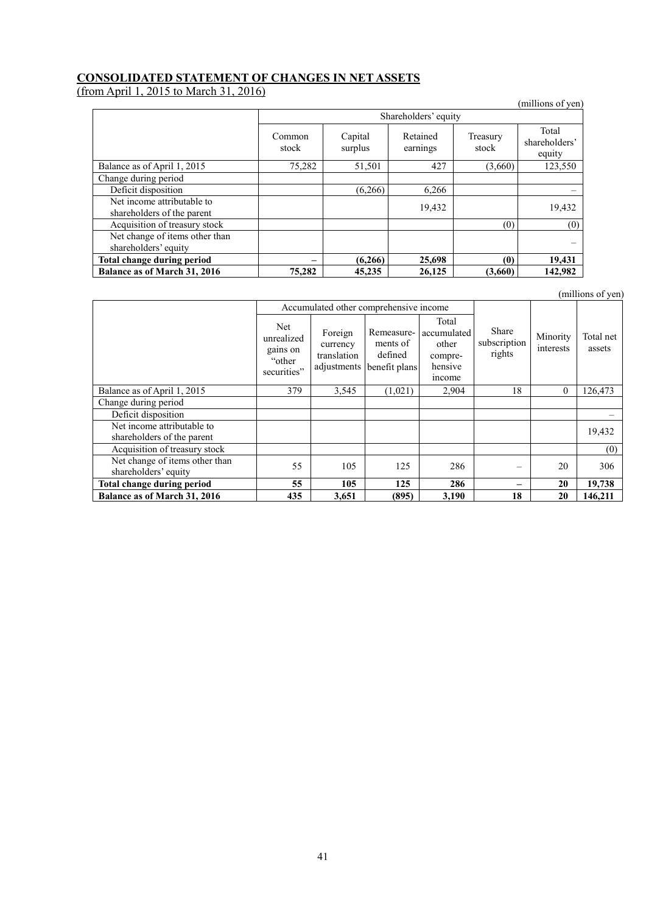### **CONSOLIDATED STATEMENT OF CHANGES IN NET ASSETS**

(from April 1, 2015 to March 31, 2016)

| $\frac{1}{2}$                                            |                      |                    |                      |                       | (millions of yen)                |  |  |
|----------------------------------------------------------|----------------------|--------------------|----------------------|-----------------------|----------------------------------|--|--|
|                                                          | Shareholders' equity |                    |                      |                       |                                  |  |  |
|                                                          | Common<br>stock      | Capital<br>surplus | Retained<br>earnings | Treasury<br>stock     | Total<br>shareholders'<br>equity |  |  |
| Balance as of April 1, 2015                              | 75,282               | 51,501             | 427                  | (3,660)               | 123,550                          |  |  |
| Change during period                                     |                      |                    |                      |                       |                                  |  |  |
| Deficit disposition                                      |                      | (6, 266)           | 6,266                |                       |                                  |  |  |
| Net income attributable to<br>shareholders of the parent |                      |                    | 19,432               |                       | 19,432                           |  |  |
| Acquisition of treasury stock                            |                      |                    |                      | (0)                   | (0)                              |  |  |
| Net change of items other than<br>shareholders' equity   |                      |                    |                      |                       |                                  |  |  |
| Total change during period                               |                      | (6,266)            | 25,698               | $\boldsymbol{\theta}$ | 19,431                           |  |  |
| <b>Balance as of March 31, 2016</b>                      | 75,282               | 45,235             | 26,125               | (3,660)               | 142,982                          |  |  |

|                                                          |                                                        |                                        |                                                                |                                                               |                                 |                       | (millions of yen)   |
|----------------------------------------------------------|--------------------------------------------------------|----------------------------------------|----------------------------------------------------------------|---------------------------------------------------------------|---------------------------------|-----------------------|---------------------|
|                                                          |                                                        | Accumulated other comprehensive income |                                                                |                                                               |                                 |                       |                     |
|                                                          | Net<br>unrealized<br>gains on<br>"other<br>securities" | Foreign<br>currency<br>translation     | Remeasure-<br>ments of<br>defined<br>adjustments benefit plans | Total<br>accumulated<br>other<br>compre-<br>hensive<br>income | Share<br>subscription<br>rights | Minority<br>interests | Total net<br>assets |
| Balance as of April 1, 2015                              | 379                                                    | 3,545                                  | (1,021)                                                        | 2,904                                                         | 18                              | $\theta$              | 126,473             |
| Change during period                                     |                                                        |                                        |                                                                |                                                               |                                 |                       |                     |
| Deficit disposition                                      |                                                        |                                        |                                                                |                                                               |                                 |                       |                     |
| Net income attributable to<br>shareholders of the parent |                                                        |                                        |                                                                |                                                               |                                 |                       | 19,432              |
| Acquisition of treasury stock                            |                                                        |                                        |                                                                |                                                               |                                 |                       | (0)                 |
| Net change of items other than<br>shareholders' equity   | 55                                                     | 105                                    | 125                                                            | 286                                                           |                                 | 20                    | 306                 |
| <b>Total change during period</b>                        | 55                                                     | 105                                    | 125                                                            | 286                                                           |                                 | 20                    | 19,738              |
| <b>Balance as of March 31, 2016</b>                      | 435                                                    | 3,651                                  | (895)                                                          | 3,190                                                         | 18                              | 20                    | 146,211             |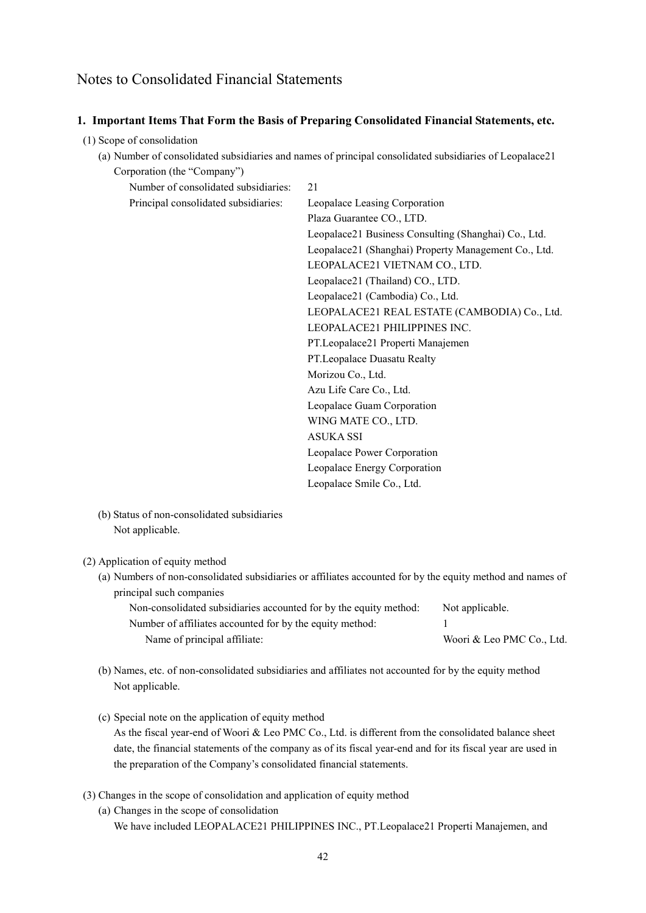## Notes to Consolidated Financial Statements

#### **1. Important Items That Form the Basis of Preparing Consolidated Financial Statements, etc.**

- (1) Scope of consolidation
	- (a) Number of consolidated subsidiaries and names of principal consolidated subsidiaries of Leopalace21 Corporation (the "Company")

| Number of consolidated subsidiaries: | 21                                                   |
|--------------------------------------|------------------------------------------------------|
| Principal consolidated subsidiaries: | Leopalace Leasing Corporation                        |
|                                      | Plaza Guarantee CO., LTD.                            |
|                                      | Leopalace21 Business Consulting (Shanghai) Co., Ltd. |
|                                      | Leopalace21 (Shanghai) Property Management Co., Ltd. |
|                                      | LEOPALACE21 VIETNAM CO., LTD.                        |
|                                      | Leopalace21 (Thailand) CO., LTD.                     |
|                                      | Leopalace21 (Cambodia) Co., Ltd.                     |
|                                      | LEOPALACE21 REAL ESTATE (CAMBODIA) Co., Ltd.         |
|                                      | LEOPALACE21 PHILIPPINES INC.                         |
|                                      | PT.Leopalace21 Properti Manajemen                    |
|                                      | PT.Leopalace Duasatu Realty                          |
|                                      | Morizou Co., Ltd.                                    |
|                                      | Azu Life Care Co., Ltd.                              |
|                                      | Leopalace Guam Corporation                           |
|                                      | WING MATE CO., LTD.                                  |
|                                      | <b>ASUKA SSI</b>                                     |
|                                      | Leopalace Power Corporation                          |
|                                      | Leopalace Energy Corporation                         |
|                                      | Leopalace Smile Co., Ltd.                            |
|                                      |                                                      |

(b) Status of non-consolidated subsidiaries Not applicable.

#### (2) Application of equity method

(a) Numbers of non-consolidated subsidiaries or affiliates accounted for by the equity method and names of principal such companies

| Non-consolidated subsidiaries accounted for by the equity method: | Not applicable.           |
|-------------------------------------------------------------------|---------------------------|
| Number of affiliates accounted for by the equity method:          |                           |
| Name of principal affiliate:                                      | Woori & Leo PMC Co., Ltd. |

- (b) Names, etc. of non-consolidated subsidiaries and affiliates not accounted for by the equity method Not applicable.
- (c) Special note on the application of equity method As the fiscal year-end of Woori & Leo PMC Co., Ltd. is different from the consolidated balance sheet date, the financial statements of the company as of its fiscal year-end and for its fiscal year are used in the preparation of the Company's consolidated financial statements.
- (3) Changes in the scope of consolidation and application of equity method
	- (a) Changes in the scope of consolidation We have included LEOPALACE21 PHILIPPINES INC., PT.Leopalace21 Properti Manajemen, and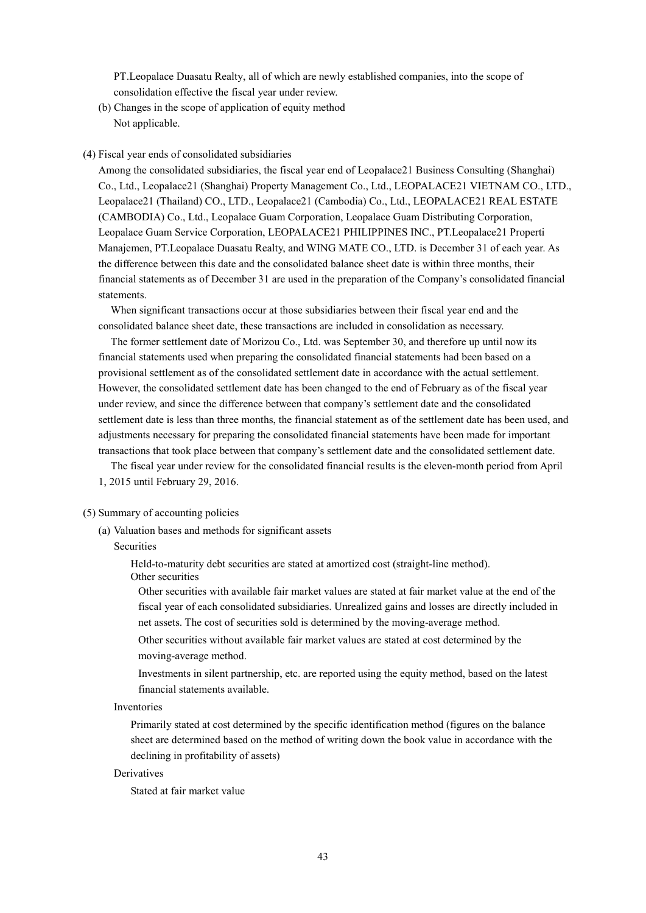PT.Leopalace Duasatu Realty, all of which are newly established companies, into the scope of consolidation effective the fiscal year under review.

(b) Changes in the scope of application of equity method Not applicable.

#### (4) Fiscal year ends of consolidated subsidiaries

Among the consolidated subsidiaries, the fiscal year end of Leopalace21 Business Consulting (Shanghai) Co., Ltd., Leopalace21 (Shanghai) Property Management Co., Ltd., LEOPALACE21 VIETNAM CO., LTD., Leopalace21 (Thailand) CO., LTD., Leopalace21 (Cambodia) Co., Ltd., LEOPALACE21 REAL ESTATE (CAMBODIA) Co., Ltd., Leopalace Guam Corporation, Leopalace Guam Distributing Corporation, Leopalace Guam Service Corporation, LEOPALACE21 PHILIPPINES INC., PT.Leopalace21 Properti Manajemen, PT.Leopalace Duasatu Realty, and WING MATE CO., LTD. is December 31 of each year. As the difference between this date and the consolidated balance sheet date is within three months, their financial statements as of December 31 are used in the preparation of the Company's consolidated financial statements.

When significant transactions occur at those subsidiaries between their fiscal year end and the consolidated balance sheet date, these transactions are included in consolidation as necessary.

The former settlement date of Morizou Co., Ltd. was September 30, and therefore up until now its financial statements used when preparing the consolidated financial statements had been based on a provisional settlement as of the consolidated settlement date in accordance with the actual settlement. However, the consolidated settlement date has been changed to the end of February as of the fiscal year under review, and since the difference between that company's settlement date and the consolidated settlement date is less than three months, the financial statement as of the settlement date has been used, and adjustments necessary for preparing the consolidated financial statements have been made for important transactions that took place between that company's settlement date and the consolidated settlement date.

The fiscal year under review for the consolidated financial results is the eleven-month period from April 1, 2015 until February 29, 2016.

#### (5) Summary of accounting policies

(a) Valuation bases and methods for significant assets

#### Securities

Held-to-maturity debt securities are stated at amortized cost (straight-line method).

Other securities

Other securities with available fair market values are stated at fair market value at the end of the fiscal year of each consolidated subsidiaries. Unrealized gains and losses are directly included in net assets. The cost of securities sold is determined by the moving-average method.

Other securities without available fair market values are stated at cost determined by the moving-average method.

Investments in silent partnership, etc. are reported using the equity method, based on the latest financial statements available.

#### Inventories

Primarily stated at cost determined by the specific identification method (figures on the balance sheet are determined based on the method of writing down the book value in accordance with the declining in profitability of assets)

#### **Derivatives**

Stated at fair market value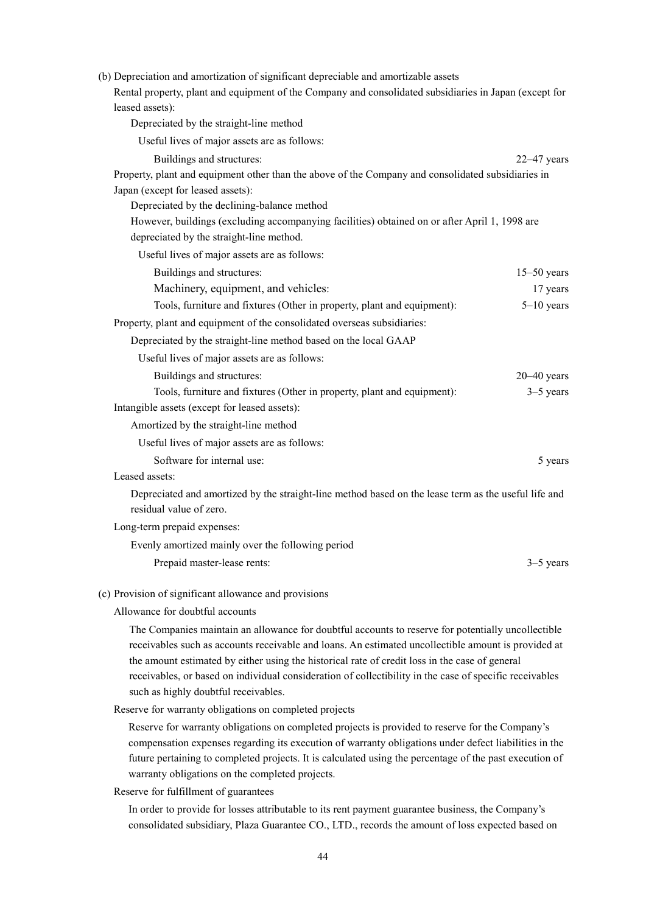| (b) Depreciation and amortization of significant depreciable and amortizable assets<br>Rental property, plant and equipment of the Company and consolidated subsidiaries in Japan (except for<br>leased assets): |                 |
|------------------------------------------------------------------------------------------------------------------------------------------------------------------------------------------------------------------|-----------------|
| Depreciated by the straight-line method                                                                                                                                                                          |                 |
| Useful lives of major assets are as follows:                                                                                                                                                                     |                 |
| Buildings and structures:                                                                                                                                                                                        | $22-47$ years   |
| Property, plant and equipment other than the above of the Company and consolidated subsidiaries in                                                                                                               |                 |
| Japan (except for leased assets):                                                                                                                                                                                |                 |
| Depreciated by the declining-balance method                                                                                                                                                                      |                 |
| However, buildings (excluding accompanying facilities) obtained on or after April 1, 1998 are                                                                                                                    |                 |
| depreciated by the straight-line method.                                                                                                                                                                         |                 |
| Useful lives of major assets are as follows:                                                                                                                                                                     |                 |
| Buildings and structures:                                                                                                                                                                                        | $15-50$ years   |
| Machinery, equipment, and vehicles:                                                                                                                                                                              | 17 years        |
| Tools, furniture and fixtures (Other in property, plant and equipment):                                                                                                                                          | $5-10$ years    |
| Property, plant and equipment of the consolidated overseas subsidiaries:                                                                                                                                         |                 |
| Depreciated by the straight-line method based on the local GAAP                                                                                                                                                  |                 |
| Useful lives of major assets are as follows:                                                                                                                                                                     |                 |
| Buildings and structures:                                                                                                                                                                                        | $20 - 40$ years |
| Tools, furniture and fixtures (Other in property, plant and equipment):                                                                                                                                          | $3-5$ years     |
| Intangible assets (except for leased assets):                                                                                                                                                                    |                 |
| Amortized by the straight-line method                                                                                                                                                                            |                 |
| Useful lives of major assets are as follows:                                                                                                                                                                     |                 |
| Software for internal use:                                                                                                                                                                                       | 5 years         |
| Leased assets:                                                                                                                                                                                                   |                 |
| Depreciated and amortized by the straight-line method based on the lease term as the useful life and<br>residual value of zero.                                                                                  |                 |
| Long-term prepaid expenses:                                                                                                                                                                                      |                 |
| Evenly amortized mainly over the following period                                                                                                                                                                |                 |
| Prepaid master-lease rents:                                                                                                                                                                                      | $3-5$ years     |
| (c) Provision of significant allowance and provisions                                                                                                                                                            |                 |
| Allowance for doubtful accounts                                                                                                                                                                                  |                 |

The Companies maintain an allowance for doubtful accounts to reserve for potentially uncollectible receivables such as accounts receivable and loans. An estimated uncollectible amount is provided at the amount estimated by either using the historical rate of credit loss in the case of general receivables, or based on individual consideration of collectibility in the case of specific receivables such as highly doubtful receivables.

Reserve for warranty obligations on completed projects

Reserve for warranty obligations on completed projects is provided to reserve for the Company's compensation expenses regarding its execution of warranty obligations under defect liabilities in the future pertaining to completed projects. It is calculated using the percentage of the past execution of warranty obligations on the completed projects.

Reserve for fulfillment of guarantees

In order to provide for losses attributable to its rent payment guarantee business, the Company's consolidated subsidiary, Plaza Guarantee CO., LTD., records the amount of loss expected based on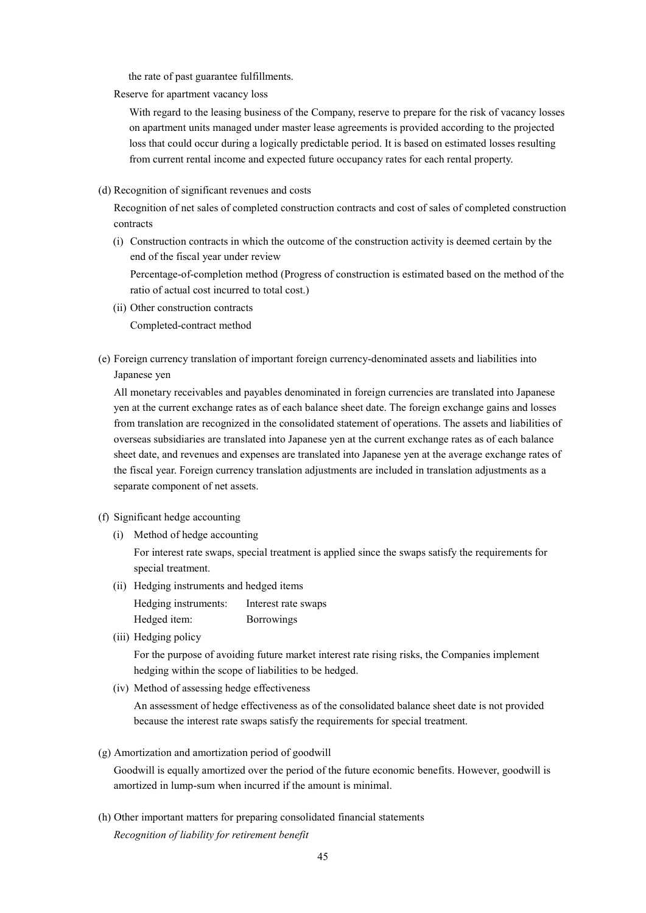the rate of past guarantee fulfillments.

Reserve for apartment vacancy loss

With regard to the leasing business of the Company, reserve to prepare for the risk of vacancy losses on apartment units managed under master lease agreements is provided according to the projected loss that could occur during a logically predictable period. It is based on estimated losses resulting from current rental income and expected future occupancy rates for each rental property.

(d) Recognition of significant revenues and costs

Recognition of net sales of completed construction contracts and cost of sales of completed construction contracts

(i) Construction contracts in which the outcome of the construction activity is deemed certain by the end of the fiscal year under review

Percentage-of-completion method (Progress of construction is estimated based on the method of the ratio of actual cost incurred to total cost.)

- (ii) Other construction contracts Completed-contract method
- (e) Foreign currency translation of important foreign currency-denominated assets and liabilities into Japanese yen

All monetary receivables and payables denominated in foreign currencies are translated into Japanese yen at the current exchange rates as of each balance sheet date. The foreign exchange gains and losses from translation are recognized in the consolidated statement of operations. The assets and liabilities of overseas subsidiaries are translated into Japanese yen at the current exchange rates as of each balance sheet date, and revenues and expenses are translated into Japanese yen at the average exchange rates of the fiscal year. Foreign currency translation adjustments are included in translation adjustments as a separate component of net assets.

- (f) Significant hedge accounting
	- (i) Method of hedge accounting

For interest rate swaps, special treatment is applied since the swaps satisfy the requirements for special treatment.

- (ii) Hedging instruments and hedged items
	- Hedging instruments: Interest rate swaps Hedged item: Borrowings
- (iii) Hedging policy

For the purpose of avoiding future market interest rate rising risks, the Companies implement hedging within the scope of liabilities to be hedged.

(iv) Method of assessing hedge effectiveness

An assessment of hedge effectiveness as of the consolidated balance sheet date is not provided because the interest rate swaps satisfy the requirements for special treatment.

(g) Amortization and amortization period of goodwill

Goodwill is equally amortized over the period of the future economic benefits. However, goodwill is amortized in lump-sum when incurred if the amount is minimal.

(h) Other important matters for preparing consolidated financial statements *Recognition of liability for retirement benefit*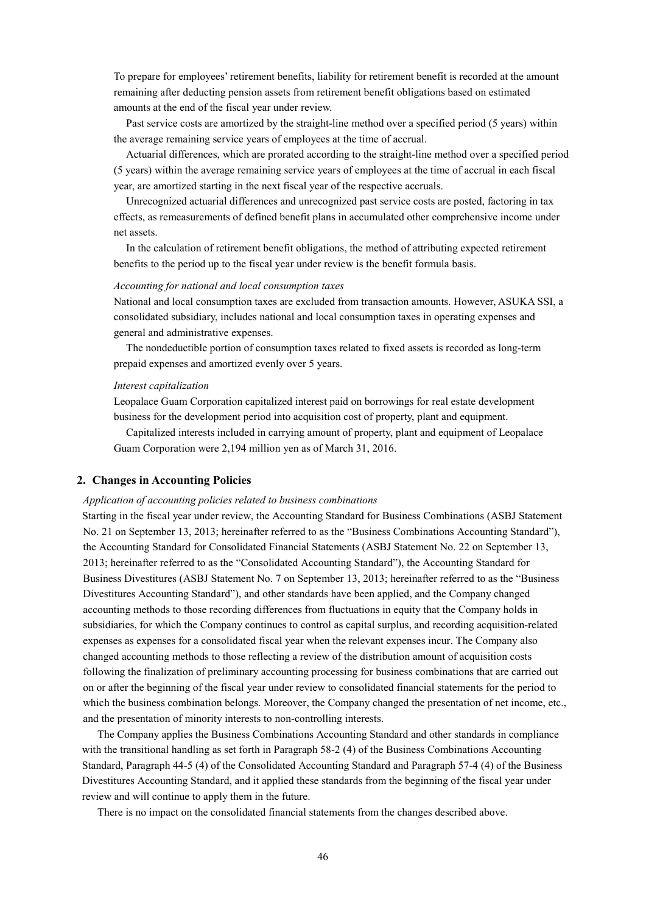To prepare for employees' retirement benefits, liability for retirement benefit is recorded at the amount remaining after deducting pension assets from retirement benefit obligations based on estimated amounts at the end of the fiscal year under review.

Past service costs are amortized by the straight-line method over a specified period (5 years) within the average remaining service years of employees at the time of accrual.

Actuarial differences, which are prorated according to the straight-line method over a specified period (5 years) within the average remaining service years of employees at the time of accrual in each fiscal year, are amortized starting in the next fiscal year of the respective accruals.

Unrecognized actuarial differences and unrecognized past service costs are posted, factoring in tax effects, as remeasurements of defined benefit plans in accumulated other comprehensive income under net assets.

In the calculation of retirement benefit obligations, the method of attributing expected retirement benefits to the period up to the fiscal year under review is the benefit formula basis.

#### *Accounting for national and local consumption taxes*

National and local consumption taxes are excluded from transaction amounts. However, ASUKA SSI, a consolidated subsidiary, includes national and local consumption taxes in operating expenses and general and administrative expenses.

The nondeductible portion of consumption taxes related to fixed assets is recorded as long-term prepaid expenses and amortized evenly over 5 years.

#### *Interest capitalization*

Leopalace Guam Corporation capitalized interest paid on borrowings for real estate development business for the development period into acquisition cost of property, plant and equipment.

Capitalized interests included in carrying amount of property, plant and equipment of Leopalace Guam Corporation were 2,194 million yen as of March 31, 2016.

#### **2. Changes in Accounting Policies**

#### *Application of accounting policies related to business combinations*

Starting in the fiscal year under review, the Accounting Standard for Business Combinations (ASBJ Statement No. 21 on September 13, 2013; hereinafter referred to as the "Business Combinations Accounting Standard"), the Accounting Standard for Consolidated Financial Statements (ASBJ Statement No. 22 on September 13, 2013; hereinafter referred to as the "Consolidated Accounting Standard"), the Accounting Standard for Business Divestitures (ASBJ Statement No. 7 on September 13, 2013; hereinafter referred to as the "Business Divestitures Accounting Standard"), and other standards have been applied, and the Company changed accounting methods to those recording differences from fluctuations in equity that the Company holds in subsidiaries, for which the Company continues to control as capital surplus, and recording acquisition-related expenses as expenses for a consolidated fiscal year when the relevant expenses incur. The Company also changed accounting methods to those reflecting a review of the distribution amount of acquisition costs following the finalization of preliminary accounting processing for business combinations that are carried out on or after the beginning of the fiscal year under review to consolidated financial statements for the period to which the business combination belongs. Moreover, the Company changed the presentation of net income, etc., and the presentation of minority interests to non-controlling interests.

The Company applies the Business Combinations Accounting Standard and other standards in compliance with the transitional handling as set forth in Paragraph 58-2 (4) of the Business Combinations Accounting Standard, Paragraph 44-5 (4) of the Consolidated Accounting Standard and Paragraph 57-4 (4) of the Business Divestitures Accounting Standard, and it applied these standards from the beginning of the fiscal year under review and will continue to apply them in the future.

There is no impact on the consolidated financial statements from the changes described above.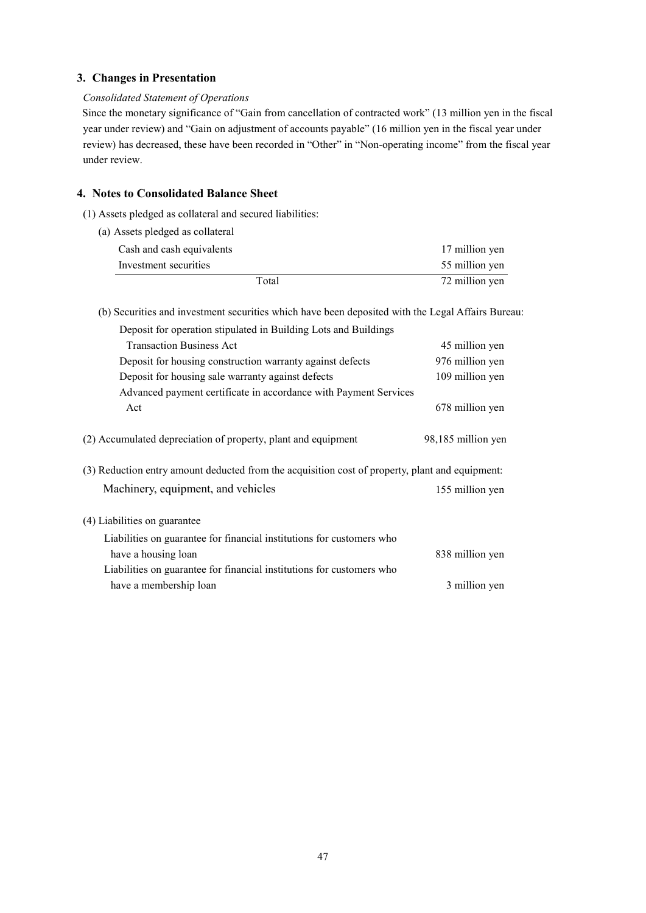### **3. Changes in Presentation**

#### *Consolidated Statement of Operations*

Since the monetary significance of "Gain from cancellation of contracted work" (13 million yen in the fiscal year under review) and "Gain on adjustment of accounts payable" (16 million yen in the fiscal year under review) has decreased, these have been recorded in "Other" in "Non-operating income" from the fiscal year under review.

### **4. Notes to Consolidated Balance Sheet**

- (1) Assets pledged as collateral and secured liabilities:
	- (a) Assets pledged as collateral

| Total                     | 72 million yen |
|---------------------------|----------------|
| Investment securities     | 55 million yen |
| Cash and cash equivalents | 17 million yen |
|                           |                |

(b) Securities and investment securities which have been deposited with the Legal Affairs Bureau:

| Deposit for operation stipulated in Building Lots and Buildings                                 |                    |
|-------------------------------------------------------------------------------------------------|--------------------|
| <b>Transaction Business Act</b>                                                                 | 45 million yen     |
| Deposit for housing construction warranty against defects                                       | 976 million yen    |
| Deposit for housing sale warranty against defects                                               | 109 million yen    |
| Advanced payment certificate in accordance with Payment Services                                |                    |
| Act                                                                                             | 678 million yen    |
| (2) Accumulated depreciation of property, plant and equipment                                   | 98,185 million yen |
| (3) Reduction entry amount deducted from the acquisition cost of property, plant and equipment: |                    |
| Machinery, equipment, and vehicles                                                              | 155 million yen    |
| (4) Liabilities on guarantee                                                                    |                    |
| Liabilities on guarantee for financial institutions for customers who                           |                    |
| have a housing loan                                                                             | 838 million yen    |
| Liabilities on guarantee for financial institutions for customers who                           |                    |
| have a membership loan                                                                          | 3 million yen      |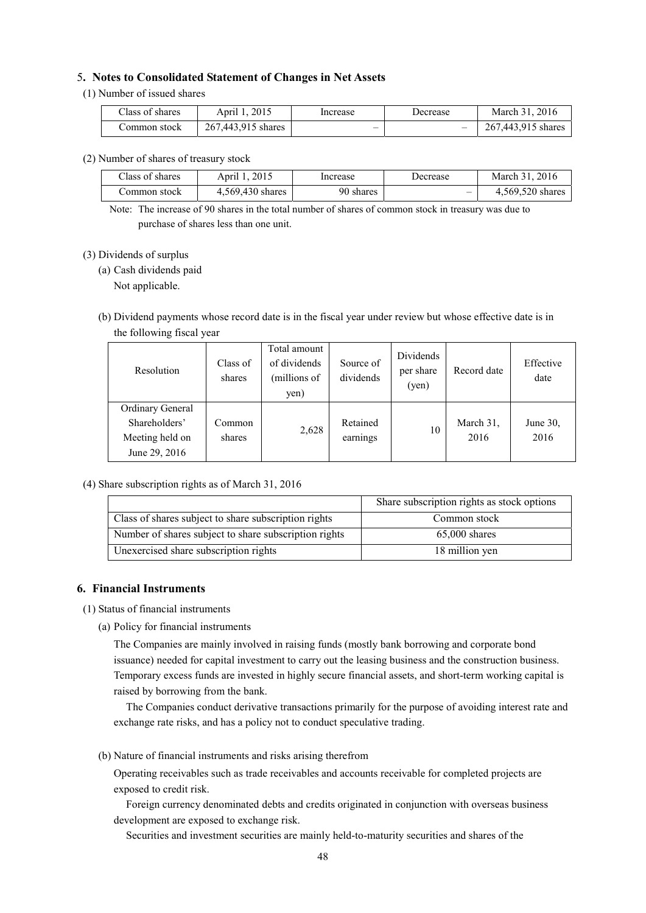#### 5**. Notes to Consolidated Statement of Changes in Net Assets**

#### (1) Number of issued shares

| Class of shares | April 1, 2015      | Increase                 | Decrease                 | .2016<br>March $31$ . |
|-----------------|--------------------|--------------------------|--------------------------|-----------------------|
| Common stock    | 267.443.915 shares | $\overline{\phantom{a}}$ | $\overline{\phantom{a}}$ | 267.443.915 shares    |

#### (2) Number of shares of treasury stock

| Class of shares | April 1, 2015    | Increase  | Decrease                 | March 31, 2016   |
|-----------------|------------------|-----------|--------------------------|------------------|
| ∴ommon stock    | 4.569.430 shares | 90 shares | $\overline{\phantom{m}}$ | 4,569,520 shares |

Note: The increase of 90 shares in the total number of shares of common stock in treasury was due to purchase of shares less than one unit.

#### (3) Dividends of surplus

(a) Cash dividends paid

Not applicable.

(b) Dividend payments whose record date is in the fiscal year under review but whose effective date is in the following fiscal year

| Resolution                                                            | Class of<br>shares | Total amount<br>of dividends<br>(millions of<br>yen) | Source of<br>dividends | Dividends<br>per share<br>(yen) | Record date       | Effective<br>date |
|-----------------------------------------------------------------------|--------------------|------------------------------------------------------|------------------------|---------------------------------|-------------------|-------------------|
| Ordinary General<br>Shareholders'<br>Meeting held on<br>June 29, 2016 | Common<br>shares   | 2,628                                                | Retained<br>earnings   | 10                              | March 31,<br>2016 | June 30,<br>2016  |

(4) Share subscription rights as of March 31, 2016

|                                                       | Share subscription rights as stock options |
|-------------------------------------------------------|--------------------------------------------|
| Class of shares subject to share subscription rights  | Common stock                               |
| Number of shares subject to share subscription rights | $65,000$ shares                            |
| Unexercised share subscription rights                 | 18 million yen                             |

#### **6. Financial Instruments**

- (1) Status of financial instruments
	- (a) Policy for financial instruments

The Companies are mainly involved in raising funds (mostly bank borrowing and corporate bond issuance) needed for capital investment to carry out the leasing business and the construction business. Temporary excess funds are invested in highly secure financial assets, and short-term working capital is raised by borrowing from the bank.

The Companies conduct derivative transactions primarily for the purpose of avoiding interest rate and exchange rate risks, and has a policy not to conduct speculative trading.

(b) Nature of financial instruments and risks arising therefrom

Operating receivables such as trade receivables and accounts receivable for completed projects are exposed to credit risk.

Foreign currency denominated debts and credits originated in conjunction with overseas business development are exposed to exchange risk.

Securities and investment securities are mainly held-to-maturity securities and shares of the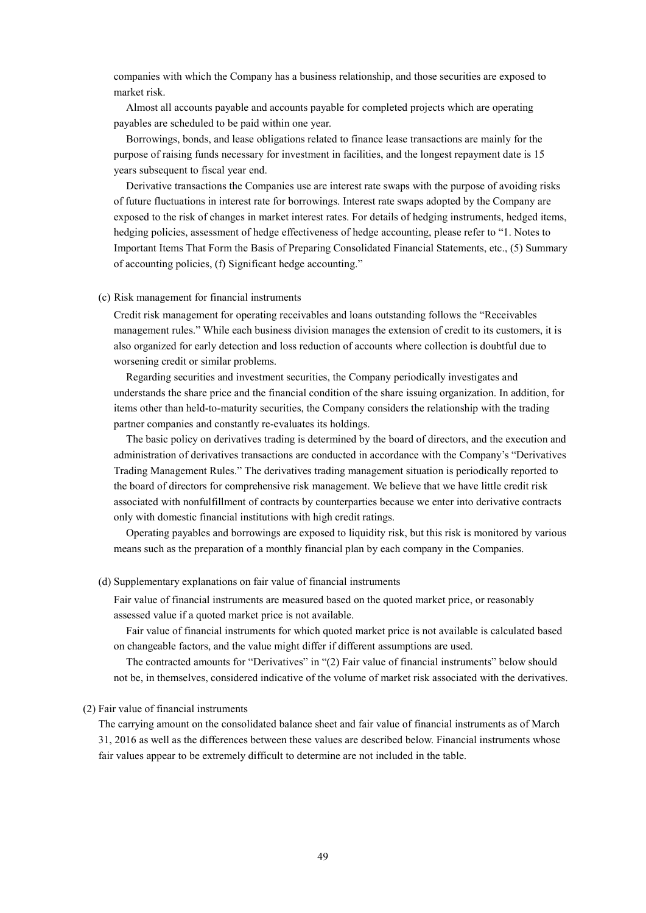companies with which the Company has a business relationship, and those securities are exposed to market risk.

Almost all accounts payable and accounts payable for completed projects which are operating payables are scheduled to be paid within one year.

Borrowings, bonds, and lease obligations related to finance lease transactions are mainly for the purpose of raising funds necessary for investment in facilities, and the longest repayment date is 15 years subsequent to fiscal year end.

Derivative transactions the Companies use are interest rate swaps with the purpose of avoiding risks of future fluctuations in interest rate for borrowings. Interest rate swaps adopted by the Company are exposed to the risk of changes in market interest rates. For details of hedging instruments, hedged items, hedging policies, assessment of hedge effectiveness of hedge accounting, please refer to "1. Notes to Important Items That Form the Basis of Preparing Consolidated Financial Statements, etc., (5) Summary of accounting policies, (f) Significant hedge accounting."

#### (c) Risk management for financial instruments

Credit risk management for operating receivables and loans outstanding follows the "Receivables management rules." While each business division manages the extension of credit to its customers, it is also organized for early detection and loss reduction of accounts where collection is doubtful due to worsening credit or similar problems.

Regarding securities and investment securities, the Company periodically investigates and understands the share price and the financial condition of the share issuing organization. In addition, for items other than held-to-maturity securities, the Company considers the relationship with the trading partner companies and constantly re-evaluates its holdings.

The basic policy on derivatives trading is determined by the board of directors, and the execution and administration of derivatives transactions are conducted in accordance with the Company's "Derivatives Trading Management Rules." The derivatives trading management situation is periodically reported to the board of directors for comprehensive risk management. We believe that we have little credit risk associated with nonfulfillment of contracts by counterparties because we enter into derivative contracts only with domestic financial institutions with high credit ratings.

Operating payables and borrowings are exposed to liquidity risk, but this risk is monitored by various means such as the preparation of a monthly financial plan by each company in the Companies.

#### (d) Supplementary explanations on fair value of financial instruments

Fair value of financial instruments are measured based on the quoted market price, or reasonably assessed value if a quoted market price is not available.

Fair value of financial instruments for which quoted market price is not available is calculated based on changeable factors, and the value might differ if different assumptions are used.

The contracted amounts for "Derivatives" in "(2) Fair value of financial instruments" below should not be, in themselves, considered indicative of the volume of market risk associated with the derivatives.

#### (2) Fair value of financial instruments

The carrying amount on the consolidated balance sheet and fair value of financial instruments as of March 31, 2016 as well as the differences between these values are described below. Financial instruments whose fair values appear to be extremely difficult to determine are not included in the table.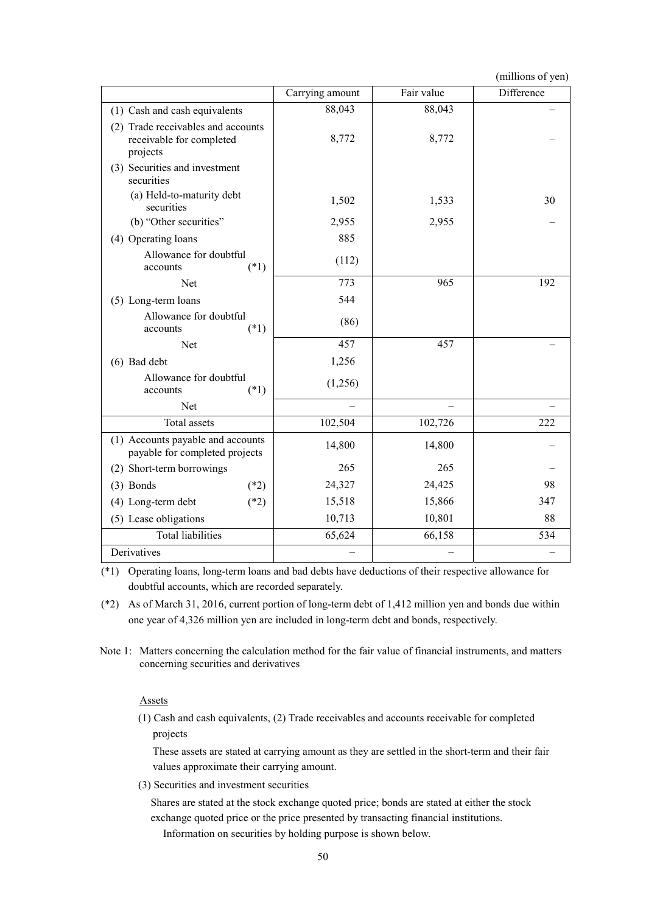(millions of yen)

|                                                                            | Carrying amount | Fair value | Difference |
|----------------------------------------------------------------------------|-----------------|------------|------------|
| (1) Cash and cash equivalents                                              | 88,043          | 88,043     |            |
| (2) Trade receivables and accounts<br>receivable for completed<br>projects | 8,772           | 8,772      |            |
| (3) Securities and investment<br>securities                                |                 |            |            |
| (a) Held-to-maturity debt<br>securities                                    | 1,502           | 1,533      | 30         |
| (b) "Other securities"                                                     | 2,955           | 2,955      |            |
| (4) Operating loans                                                        | 885             |            |            |
| Allowance for doubtful<br>$(*1)$<br>accounts                               | (112)           |            |            |
| Net                                                                        | 773             | 965        | 192        |
| (5) Long-term loans                                                        | 544             |            |            |
| Allowance for doubtful<br>$(*1)$<br>accounts                               | (86)            |            |            |
| Net                                                                        | 457             | 457        |            |
| $(6)$ Bad debt                                                             | 1,256           |            |            |
| Allowance for doubtful<br>$(*1)$<br>accounts                               | (1,256)         |            |            |
| Net                                                                        |                 |            |            |
| Total assets                                                               | 102,504         | 102,726    | 222        |
| (1) Accounts payable and accounts<br>payable for completed projects        | 14,800          | 14,800     |            |
| (2) Short-term borrowings                                                  | 265             | 265        |            |
| $(3)$ Bonds<br>$(*2)$                                                      | 24,327          | 24,425     | 98         |
| (4) Long-term debt<br>$(*2)$                                               | 15,518          | 15,866     | 347        |
| (5) Lease obligations                                                      | 10,713          | 10,801     | 88         |
| <b>Total liabilities</b>                                                   | 65,624          | 66,158     | 534        |
| Derivatives                                                                |                 |            |            |

(\*1) Operating loans, long-term loans and bad debts have deductions of their respective allowance for doubtful accounts, which are recorded separately.

(\*2) As of March 31, 2016, current portion of long-term debt of 1,412 million yen and bonds due within one year of 4,326 million yen are included in long-term debt and bonds, respectively.

Note 1: Matters concerning the calculation method for the fair value of financial instruments, and matters concerning securities and derivatives

#### Assets

(1) Cash and cash equivalents, (2) Trade receivables and accounts receivable for completed projects

These assets are stated at carrying amount as they are settled in the short-term and their fair values approximate their carrying amount.

(3) Securities and investment securities

Shares are stated at the stock exchange quoted price; bonds are stated at either the stock exchange quoted price or the price presented by transacting financial institutions.

Information on securities by holding purpose is shown below.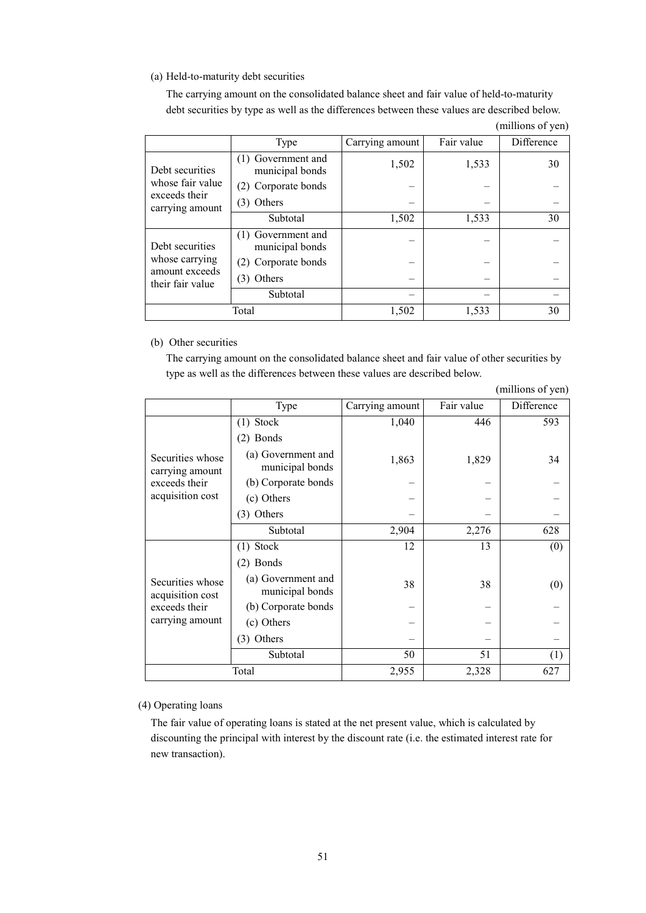### (a) Held-to-maturity debt securities

The carrying amount on the consolidated balance sheet and fair value of held-to-maturity debt securities by type as well as the differences between these values are described below.

|                                    | Type                                  | Carrying amount | Fair value | Difference |
|------------------------------------|---------------------------------------|-----------------|------------|------------|
| Debt securities                    | (1) Government and<br>municipal bonds | 1,502           | 1,533      | 30         |
| whose fair value                   | (2) Corporate bonds                   |                 |            |            |
| exceeds their<br>carrying amount   | (3) Others                            |                 |            |            |
|                                    | Subtotal                              | 1,502           | 1,533      | 30         |
| Debt securities                    | (1) Government and<br>municipal bonds |                 |            |            |
| whose carrying                     | (2) Corporate bonds                   |                 |            |            |
| amount exceeds<br>their fair value | (3) Others                            |                 |            |            |
|                                    | Subtotal                              |                 |            |            |
|                                    | Total                                 | 1,502           | 1,533      | 30         |

(millions of yen)

#### (b) Other securities

The carrying amount on the consolidated balance sheet and fair value of other securities by type as well as the differences between these values are described below.

|                                                                          |                                       |                 |            | (millions of yen) |
|--------------------------------------------------------------------------|---------------------------------------|-----------------|------------|-------------------|
|                                                                          | Type                                  | Carrying amount | Fair value | Difference        |
|                                                                          | $(1)$ Stock                           | 1,040           | 446        | 593               |
|                                                                          | $(2)$ Bonds                           |                 |            |                   |
| Securities whose<br>carrying amount                                      | (a) Government and<br>municipal bonds | 1,863           | 1,829      | 34                |
| exceeds their                                                            | (b) Corporate bonds                   |                 |            |                   |
| acquisition cost                                                         | (c) Others                            |                 |            |                   |
|                                                                          | (3) Others                            |                 |            |                   |
|                                                                          | Subtotal                              | 2,904           | 2,276      | 628               |
|                                                                          | $(1)$ Stock                           | 12              | 13         | (0)               |
|                                                                          | $(2)$ Bonds                           |                 |            |                   |
| Securities whose<br>acquisition cost<br>exceeds their<br>carrying amount | (a) Government and<br>municipal bonds | 38              | 38         | (0)               |
|                                                                          | (b) Corporate bonds                   |                 |            |                   |
|                                                                          | (c) Others                            |                 |            |                   |
|                                                                          | (3) Others                            |                 |            |                   |
|                                                                          | Subtotal                              | 50              | 51         | (1)               |
| Total                                                                    |                                       | 2,955           | 2,328      | 627               |

(4) Operating loans

The fair value of operating loans is stated at the net present value, which is calculated by discounting the principal with interest by the discount rate (i.e. the estimated interest rate for new transaction).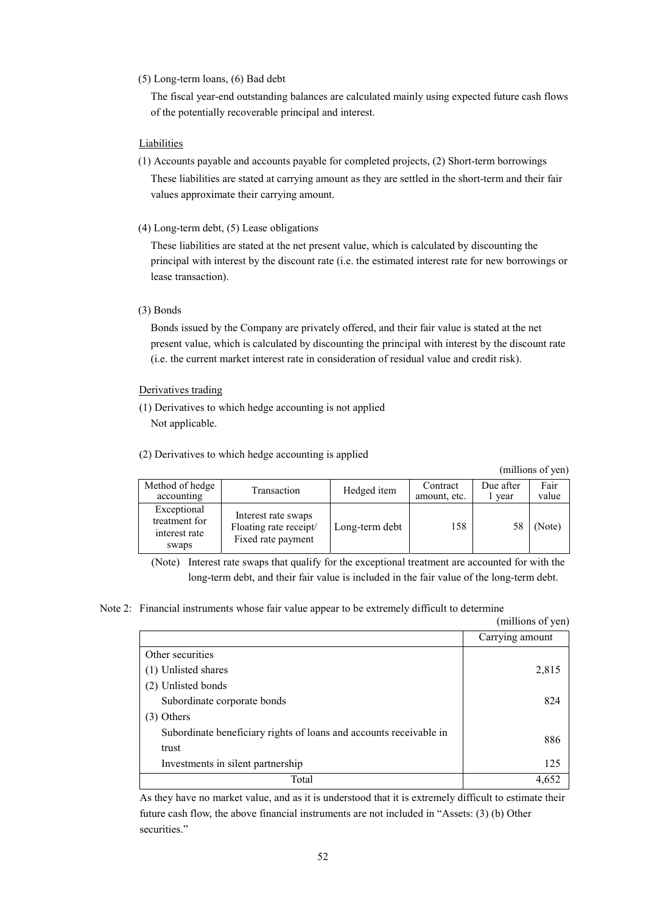#### (5) Long-term loans, (6) Bad debt

The fiscal year-end outstanding balances are calculated mainly using expected future cash flows of the potentially recoverable principal and interest.

#### **Liabilities**

- (1) Accounts payable and accounts payable for completed projects, (2) Short-term borrowings These liabilities are stated at carrying amount as they are settled in the short-term and their fair values approximate their carrying amount.
- (4) Long-term debt, (5) Lease obligations

These liabilities are stated at the net present value, which is calculated by discounting the principal with interest by the discount rate (i.e. the estimated interest rate for new borrowings or lease transaction).

#### (3) Bonds

Bonds issued by the Company are privately offered, and their fair value is stated at the net present value, which is calculated by discounting the principal with interest by the discount rate (i.e. the current market interest rate in consideration of residual value and credit risk).

#### Derivatives trading

- (1) Derivatives to which hedge accounting is not applied Not applicable.
- (2) Derivatives to which hedge accounting is applied

(millions of yen)

| Method of hedge<br>accounting                          | Transaction                                                         | Hedged item    | Contract<br>amount, etc. | Due after<br>l year | Fair<br>value |
|--------------------------------------------------------|---------------------------------------------------------------------|----------------|--------------------------|---------------------|---------------|
| Exceptional<br>treatment for<br>interest rate<br>swaps | Interest rate swaps<br>Floating rate receipt/<br>Fixed rate payment | Long-term debt | 158                      | 58                  | (Note)        |

(Note) Interest rate swaps that qualify for the exceptional treatment are accounted for with the long-term debt, and their fair value is included in the fair value of the long-term debt.

#### Note 2: Financial instruments whose fair value appear to be extremely difficult to determine

|                                                                    | (millions of yen) |
|--------------------------------------------------------------------|-------------------|
|                                                                    | Carrying amount   |
| Other securities                                                   |                   |
| (1) Unlisted shares                                                | 2,815             |
| (2) Unlisted bonds                                                 |                   |
| Subordinate corporate bonds                                        | 824               |
| $(3)$ Others                                                       |                   |
| Subordinate beneficiary rights of loans and accounts receivable in | 886               |
| trust                                                              |                   |
| Investments in silent partnership                                  | 125               |
| Total                                                              | 4.652             |

As they have no market value, and as it is understood that it is extremely difficult to estimate their future cash flow, the above financial instruments are not included in "Assets: (3) (b) Other securities."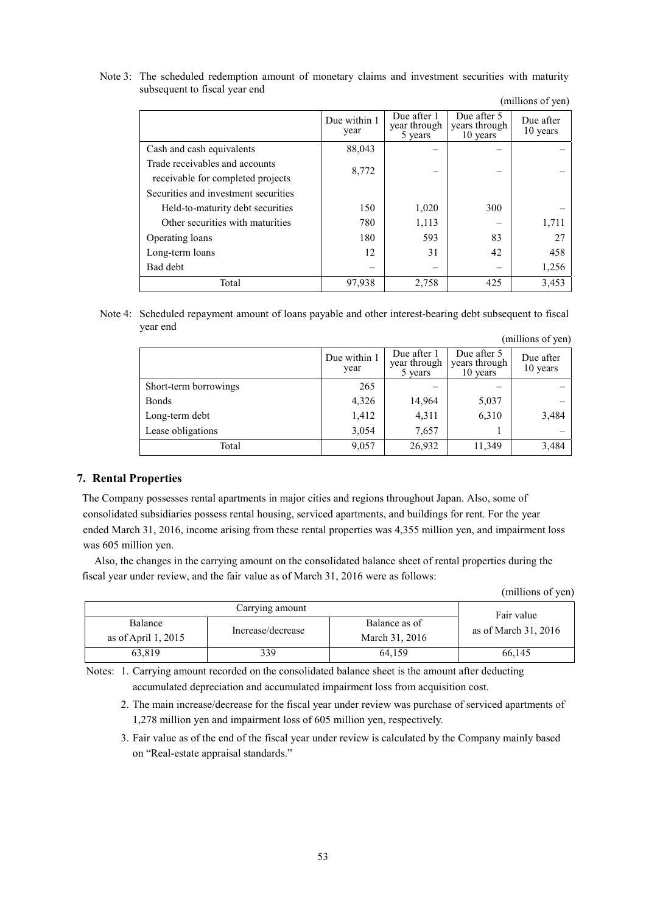Note 3: The scheduled redemption amount of monetary claims and investment securities with maturity subsequent to fiscal year end

|                                                                     | Due within 1<br>year | Due after 1<br>year through<br>5 years | Due after 5<br>years through<br>10 years | Due after<br>10 years |
|---------------------------------------------------------------------|----------------------|----------------------------------------|------------------------------------------|-----------------------|
| Cash and cash equivalents                                           | 88,043               |                                        |                                          |                       |
| Trade receivables and accounts<br>receivable for completed projects | 8,772                |                                        |                                          |                       |
| Securities and investment securities                                |                      |                                        |                                          |                       |
| Held-to-maturity debt securities                                    | 150                  | 1,020                                  | 300                                      |                       |
| Other securities with maturities                                    | 780                  | 1,113                                  |                                          | 1,711                 |
| Operating loans                                                     | 180                  | 593                                    | 83                                       | 27                    |
| Long-term loans                                                     | 12                   | 31                                     | 42                                       | 458                   |
| Bad debt                                                            |                      |                                        |                                          | 1,256                 |
| Total                                                               | 97,938               | 2,758                                  | 425                                      | 3,453                 |

(millions of yen)

Note 4: Scheduled repayment amount of loans payable and other interest-bearing debt subsequent to fiscal year end (millions of yen)

|                       |                      |                                        |                                          | $\cdots$              |
|-----------------------|----------------------|----------------------------------------|------------------------------------------|-----------------------|
|                       | Due within 1<br>year | Due after 1<br>year through<br>5 years | Due after 5<br>years through<br>10 years | Due after<br>10 years |
| Short-term borrowings | 265                  |                                        |                                          |                       |
| <b>Bonds</b>          | 4,326                | 14,964                                 | 5,037                                    |                       |
| Long-term debt        | 1,412                | 4,311                                  | 6,310                                    | 3,484                 |
| Lease obligations     | 3,054                | 7,657                                  |                                          |                       |
| Total                 | 9,057                | 26,932                                 | 11,349                                   | 3,484                 |

#### **7. Rental Properties**

The Company possesses rental apartments in major cities and regions throughout Japan. Also, some of consolidated subsidiaries possess rental housing, serviced apartments, and buildings for rent. For the year ended March 31, 2016, income arising from these rental properties was 4,355 million yen, and impairment loss was 605 million yen.

Also, the changes in the carrying amount on the consolidated balance sheet of rental properties during the fiscal year under review, and the fair value as of March 31, 2016 were as follows:

|  | (millions of yen) |  |
|--|-------------------|--|
|--|-------------------|--|

|                                                       | Fair value |                                 |                        |
|-------------------------------------------------------|------------|---------------------------------|------------------------|
| Balance<br>Increase/decrease<br>as of April 1, $2015$ |            | Balance as of<br>March 31, 2016 | as of March $31, 2016$ |
| 63.819                                                | 339        | 64.159                          | 66,145                 |

Notes: 1. Carrying amount recorded on the consolidated balance sheet is the amount after deducting accumulated depreciation and accumulated impairment loss from acquisition cost.

- 2. The main increase/decrease for the fiscal year under review was purchase of serviced apartments of 1,278 million yen and impairment loss of 605 million yen, respectively.
- 3. Fair value as of the end of the fiscal year under review is calculated by the Company mainly based on "Real-estate appraisal standards."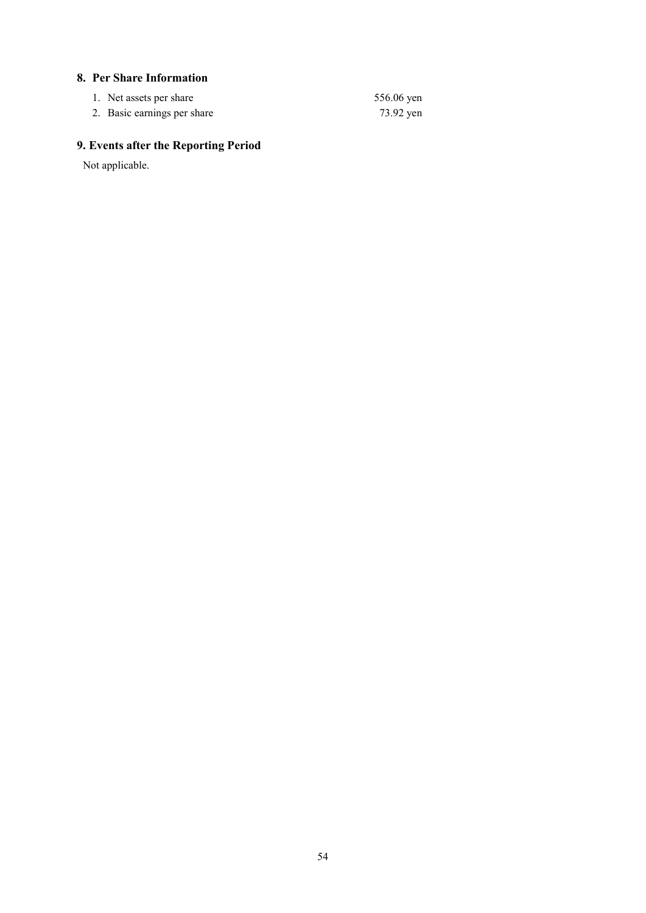### **8. Per Share Information**

| 1. Net assets per share     | 556.06 yen |
|-----------------------------|------------|
| 2. Basic earnings per share | 73.92 yen  |

# **9. Events after the Reporting Period**

Not applicable.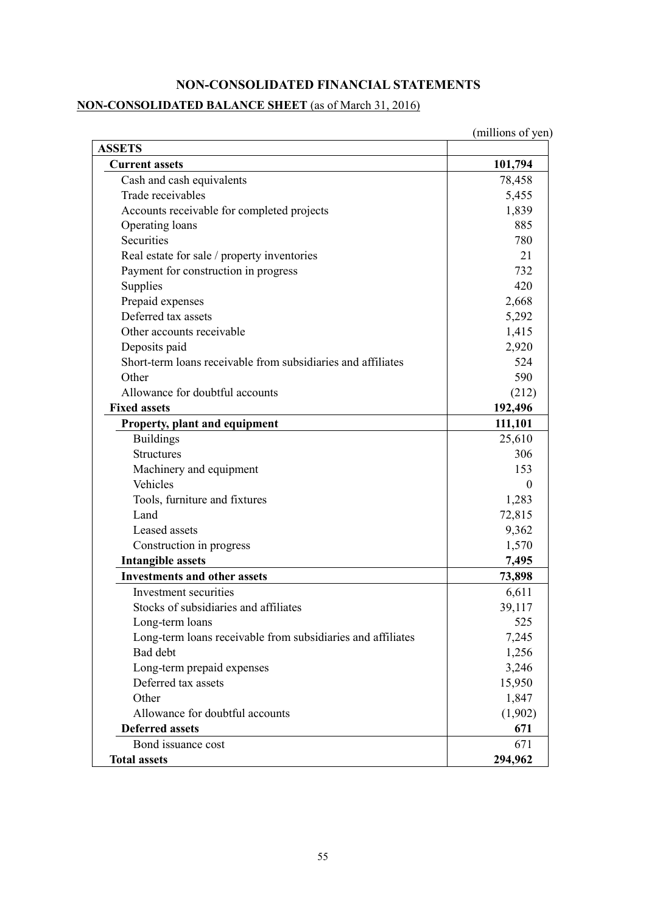## **NON-CONSOLIDATED FINANCIAL STATEMENTS**

# **NON-CONSOLIDATED BALANCE SHEET** (as of March 31, 2016)

| <b>ASSETS</b>                                                |          |
|--------------------------------------------------------------|----------|
| <b>Current assets</b>                                        | 101,794  |
| Cash and cash equivalents                                    | 78,458   |
| Trade receivables                                            | 5,455    |
| Accounts receivable for completed projects                   | 1,839    |
| Operating loans                                              | 885      |
| Securities                                                   | 780      |
| Real estate for sale / property inventories                  | 21       |
| Payment for construction in progress                         | 732      |
| Supplies                                                     | 420      |
| Prepaid expenses                                             | 2,668    |
| Deferred tax assets                                          | 5,292    |
| Other accounts receivable                                    | 1,415    |
| Deposits paid                                                | 2,920    |
| Short-term loans receivable from subsidiaries and affiliates | 524      |
| Other                                                        | 590      |
| Allowance for doubtful accounts                              | (212)    |
| <b>Fixed assets</b>                                          | 192,496  |
| Property, plant and equipment                                | 111,101  |
| <b>Buildings</b>                                             | 25,610   |
| <b>Structures</b>                                            | 306      |
| Machinery and equipment                                      | 153      |
| Vehicles                                                     | $\theta$ |
| Tools, furniture and fixtures                                | 1,283    |
| Land                                                         | 72,815   |
| Leased assets                                                | 9,362    |
| Construction in progress                                     | 1,570    |
| <b>Intangible assets</b>                                     | 7,495    |
| <b>Investments and other assets</b>                          | 73,898   |
| Investment securities                                        | 6,611    |
| Stocks of subsidiaries and affiliates                        | 39,117   |
| Long-term loans                                              | 525      |
| Long-term loans receivable from subsidiaries and affiliates  | 7,245    |
| Bad debt                                                     | 1,256    |
| Long-term prepaid expenses                                   | 3,246    |
| Deferred tax assets                                          | 15,950   |
| Other                                                        | 1,847    |
| Allowance for doubtful accounts                              | (1,902)  |
| <b>Deferred assets</b>                                       | 671      |
| Bond issuance cost                                           | 671      |
| <b>Total assets</b>                                          | 294,962  |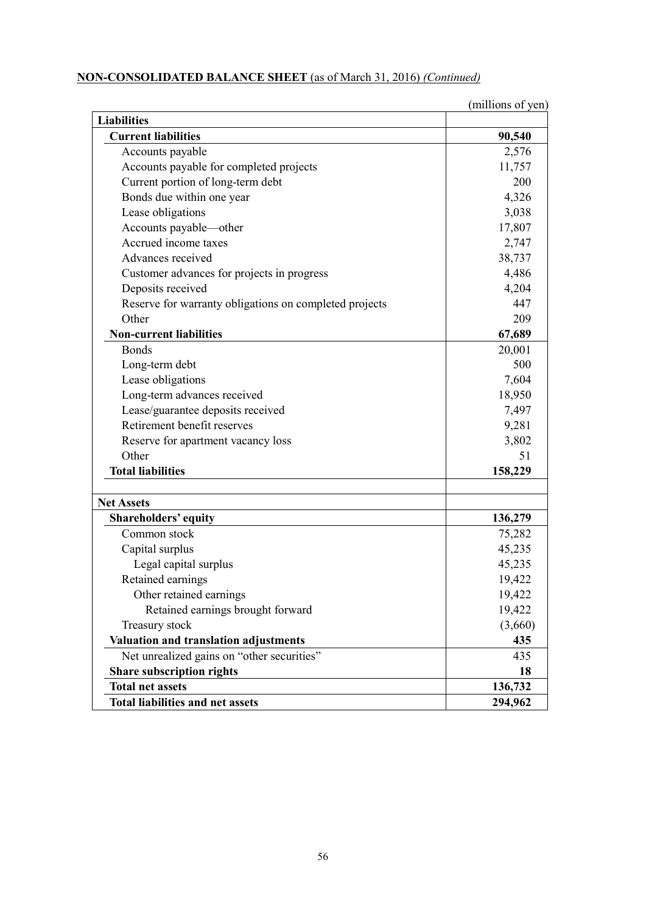## **NON-CONSOLIDATED BALANCE SHEET** (as of March 31, 2016) *(Continued)*

|                                                        | (millions of yen) |
|--------------------------------------------------------|-------------------|
| <b>Liabilities</b>                                     |                   |
| <b>Current liabilities</b>                             | 90,540            |
| Accounts payable                                       | 2,576             |
| Accounts payable for completed projects                | 11,757            |
| Current portion of long-term debt                      | 200               |
| Bonds due within one year                              | 4,326             |
| Lease obligations                                      | 3,038             |
| Accounts payable-other                                 | 17,807            |
| Accrued income taxes                                   | 2,747             |
| Advances received                                      | 38,737            |
| Customer advances for projects in progress             | 4,486             |
| Deposits received                                      | 4,204             |
| Reserve for warranty obligations on completed projects | 447               |
| Other                                                  | 209               |
| <b>Non-current liabilities</b>                         | 67,689            |
| <b>Bonds</b>                                           | 20,001            |
| Long-term debt                                         | 500               |
| Lease obligations                                      | 7,604             |
| Long-term advances received                            | 18,950            |
| Lease/guarantee deposits received                      | 7,497             |
| Retirement benefit reserves                            | 9,281             |
| Reserve for apartment vacancy loss                     | 3,802             |
| Other                                                  | 51                |
| <b>Total liabilities</b>                               | 158,229           |
| <b>Net Assets</b>                                      |                   |
| Shareholders' equity                                   | 136,279           |
| Common stock                                           | 75,282            |
| Capital surplus                                        | 45,235            |
| Legal capital surplus                                  | 45,235            |
| Retained earnings                                      | 19,422            |
| Other retained earnings                                | 19,422            |
| Retained earnings brought forward                      | 19,422            |
| Treasury stock                                         | (3,660)           |
| Valuation and translation adjustments                  | 435               |
| Net unrealized gains on "other securities"             | 435               |
| Share subscription rights                              | 18                |
| <b>Total net assets</b>                                | 136,732           |
| <b>Total liabilities and net assets</b>                | 294,962           |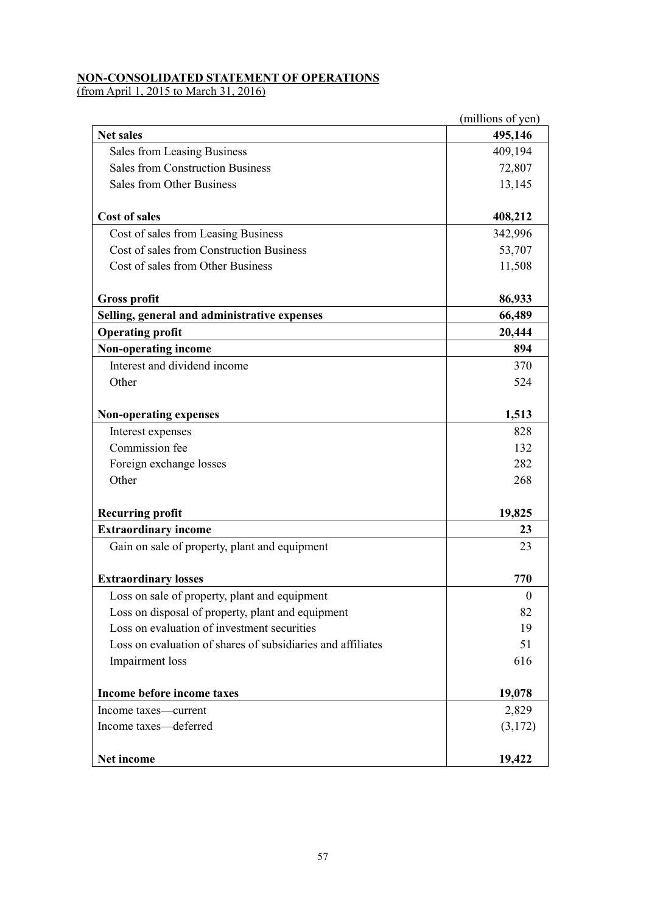### **NON-CONSOLIDATED STATEMENT OF OPERATIONS**

(from April 1, 2015 to March 31, 2016)

|                                                             | (millions of yen) |
|-------------------------------------------------------------|-------------------|
| <b>Net sales</b>                                            | 495,146           |
| Sales from Leasing Business                                 | 409,194           |
| <b>Sales from Construction Business</b>                     | 72,807            |
| <b>Sales from Other Business</b>                            | 13,145            |
| <b>Cost of sales</b>                                        | 408,212           |
| Cost of sales from Leasing Business                         | 342,996           |
| Cost of sales from Construction Business                    | 53,707            |
| Cost of sales from Other Business                           | 11,508            |
| <b>Gross profit</b>                                         | 86,933            |
| Selling, general and administrative expenses                | 66,489            |
| <b>Operating profit</b>                                     | 20,444            |
| Non-operating income                                        | 894               |
| Interest and dividend income                                | 370               |
| Other                                                       | 524               |
| Non-operating expenses                                      | 1,513             |
| Interest expenses                                           | 828               |
| Commission fee                                              | 132               |
| Foreign exchange losses                                     | 282               |
| Other                                                       | 268               |
| <b>Recurring profit</b>                                     | 19,825            |
| <b>Extraordinary income</b>                                 | 23                |
| Gain on sale of property, plant and equipment               | 23                |
| <b>Extraordinary losses</b>                                 | 770               |
| Loss on sale of property, plant and equipment               | $\boldsymbol{0}$  |
| Loss on disposal of property, plant and equipment           | 82                |
| Loss on evaluation of investment securities                 | 19                |
| Loss on evaluation of shares of subsidiaries and affiliates | 51                |
| Impairment loss                                             | 616               |
| Income before income taxes                                  | 19,078            |
| Income taxes—current                                        | 2,829             |
| Income taxes-deferred                                       | (3,172)           |
| Net income                                                  | 19,422            |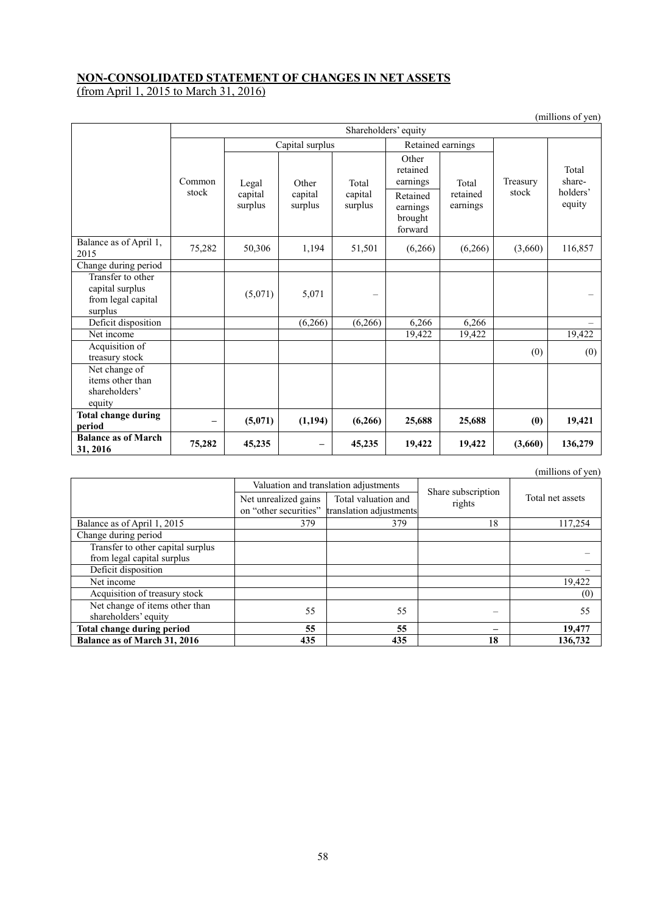### **NON-CONSOLIDATED STATEMENT OF CHANGES IN NET ASSETS**

(from April 1, 2015 to March 31, 2016)

|                                                                       |                      |                             |                             |                             |                                                                             |                               |                   | $\mu$ $\mu$ $\mu$ $\mu$ $\mu$ $\mu$ $\mu$ |
|-----------------------------------------------------------------------|----------------------|-----------------------------|-----------------------------|-----------------------------|-----------------------------------------------------------------------------|-------------------------------|-------------------|-------------------------------------------|
|                                                                       | Shareholders' equity |                             |                             |                             |                                                                             |                               |                   |                                           |
|                                                                       |                      |                             | Capital surplus             |                             | Retained earnings                                                           |                               |                   |                                           |
|                                                                       | Common<br>stock      | Legal<br>capital<br>surplus | Other<br>capital<br>surplus | Total<br>capital<br>surplus | Other<br>retained<br>earnings<br>Retained<br>earnings<br>brought<br>forward | Total<br>retained<br>earnings | Treasury<br>stock | Total<br>share-<br>holders'<br>equity     |
| Balance as of April 1,<br>2015                                        | 75,282               | 50,306                      | 1,194                       | 51,501                      | (6,266)                                                                     | (6,266)                       | (3,660)           | 116,857                                   |
| Change during period                                                  |                      |                             |                             |                             |                                                                             |                               |                   |                                           |
| Transfer to other<br>capital surplus<br>from legal capital<br>surplus |                      | (5,071)                     | 5,071                       | -                           |                                                                             |                               |                   |                                           |
| Deficit disposition                                                   |                      |                             | (6,266)                     | (6,266)                     | 6,266                                                                       | 6,266                         |                   |                                           |
| Net income                                                            |                      |                             |                             |                             | 19,422                                                                      | 19,422                        |                   | 19,422                                    |
| Acquisition of<br>treasury stock                                      |                      |                             |                             |                             |                                                                             |                               | (0)               | (0)                                       |
| Net change of<br>items other than<br>shareholders'<br>equity          |                      |                             |                             |                             |                                                                             |                               |                   |                                           |
| <b>Total change during</b><br>period                                  | —                    | (5,071)                     | (1, 194)                    | (6,266)                     | 25,688                                                                      | 25,688                        | (0)               | 19,421                                    |
| <b>Balance as of March</b><br>31, 2016                                | 75,282               | 45,235                      |                             | 45,235                      | 19,422                                                                      | 19,422                        | (3,660)           | 136,279                                   |

(millions of yen)

<sup>(</sup>millions of yen)

|                                   |                      | Valuation and translation adjustments                                |                              |                  |
|-----------------------------------|----------------------|----------------------------------------------------------------------|------------------------------|------------------|
|                                   | Net unrealized gains | Total valuation and<br>on "other securities" translation adjustments | Share subscription<br>rights | Total net assets |
| Balance as of April 1, 2015       | 379                  | 379                                                                  | 18                           | 117.254          |
| Change during period              |                      |                                                                      |                              |                  |
| Transfer to other capital surplus |                      |                                                                      |                              |                  |
| from legal capital surplus        |                      |                                                                      |                              |                  |
| Deficit disposition               |                      |                                                                      |                              |                  |
| Net income                        |                      |                                                                      |                              | 19,422           |
| Acquisition of treasury stock     |                      |                                                                      |                              | (0)              |
| Net change of items other than    | 55                   | 55                                                                   |                              | 55               |
| shareholders' equity              |                      |                                                                      |                              |                  |
| Total change during period        | 55                   | 55                                                                   |                              | 19,477           |
| Balance as of March 31, 2016      | 435                  | 435                                                                  | 18                           | 136,732          |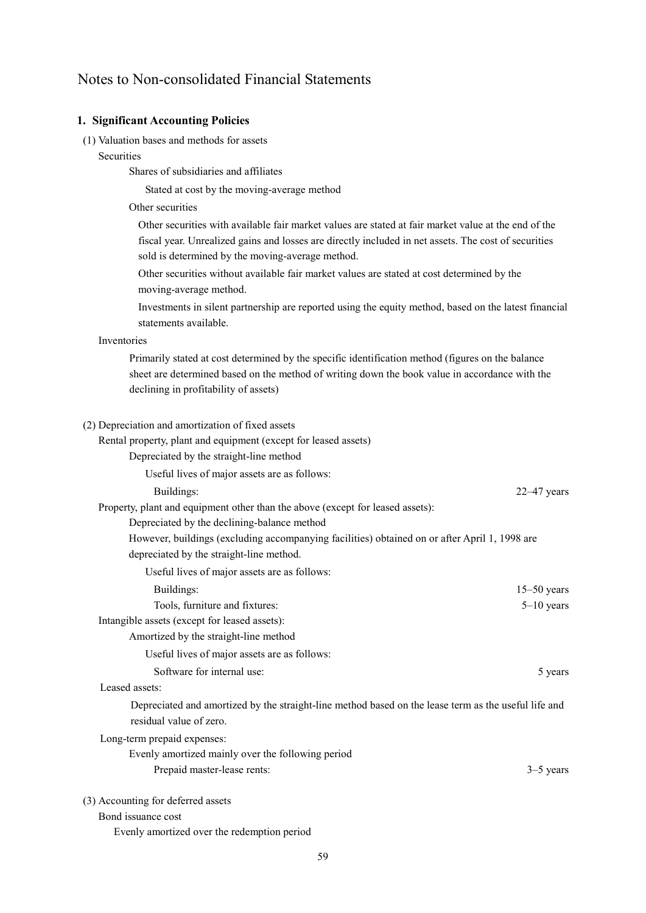## Notes to Non-consolidated Financial Statements

#### **1. Significant Accounting Policies**

- (1) Valuation bases and methods for assets
	- **Securities**

Shares of subsidiaries and affiliates

Stated at cost by the moving-average method

Other securities

Other securities with available fair market values are stated at fair market value at the end of the fiscal year. Unrealized gains and losses are directly included in net assets. The cost of securities sold is determined by the moving-average method.

Other securities without available fair market values are stated at cost determined by the moving-average method.

Investments in silent partnership are reported using the equity method, based on the latest financial statements available.

#### Inventories

Primarily stated at cost determined by the specific identification method (figures on the balance sheet are determined based on the method of writing down the book value in accordance with the declining in profitability of assets)

#### (2) Depreciation and amortization of fixed assets

Rental property, plant and equipment (except for leased assets)

Depreciated by the straight-line method

Useful lives of major assets are as follows:

Buildings: 22–47 years 22–47 years 22–47 years 22–47 years 22–47 years 22–47 years 22–47 years 22–47 years 22–47 years 22–47 years 22–47 years 22–47 years 22–47 years 22–47 years 22–47 years 22–47 years 22–47 years 22–47 y

Property, plant and equipment other than the above (except for leased assets):

Depreciated by the declining-balance method

However, buildings (excluding accompanying facilities) obtained on or after April 1, 1998 are depreciated by the straight-line method.

Useful lives of major assets are as follows:

| Buildings:                                    | $15-50$ years |
|-----------------------------------------------|---------------|
| Tools, furniture and fixtures:                | $5-10$ years  |
| Intangible assets (except for leased assets): |               |

Amortized by the straight-line method

Useful lives of major assets are as follows:

Software for internal use: 5 years 5 years 5 years 5 years 5 years 5 years 5 years 5 years 5 years 5 years 5 years 5 years 5 years 5 years 5 years 5 years 5 years 5 years 5 years 5 years 5 years 5 years 5 years 5 years 6 y

Leased assets:

Depreciated and amortized by the straight-line method based on the lease term as the useful life and residual value of zero.

Long-term prepaid expenses:

| Evenly amortized mainly over the following period |             |
|---------------------------------------------------|-------------|
| Prepaid master-lease rents:                       | $3-5$ years |

(3) Accounting for deferred assets

Bond issuance cost

Evenly amortized over the redemption period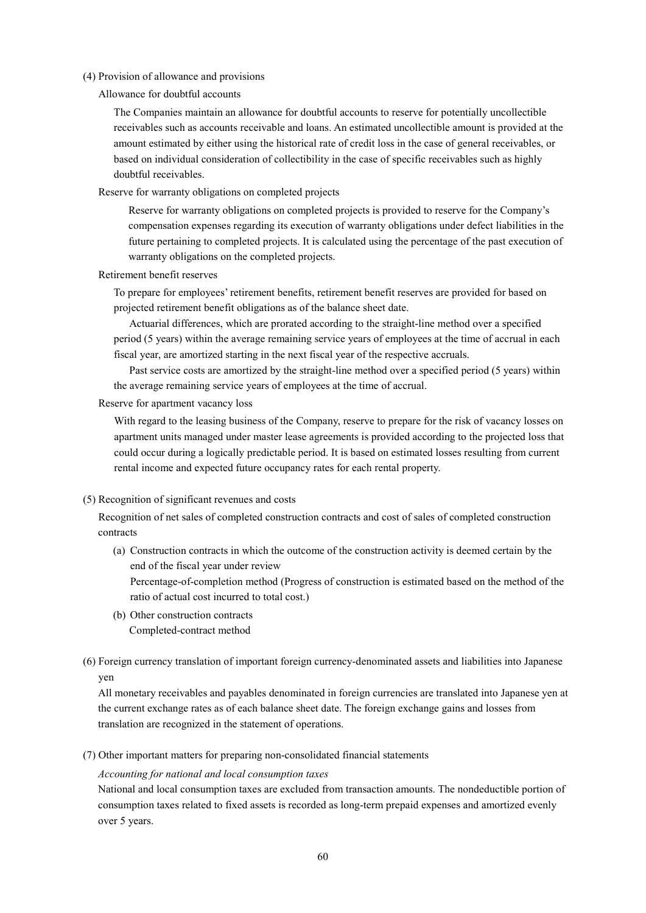#### (4) Provision of allowance and provisions

Allowance for doubtful accounts

The Companies maintain an allowance for doubtful accounts to reserve for potentially uncollectible receivables such as accounts receivable and loans. An estimated uncollectible amount is provided at the amount estimated by either using the historical rate of credit loss in the case of general receivables, or based on individual consideration of collectibility in the case of specific receivables such as highly doubtful receivables.

Reserve for warranty obligations on completed projects

Reserve for warranty obligations on completed projects is provided to reserve for the Company's compensation expenses regarding its execution of warranty obligations under defect liabilities in the future pertaining to completed projects. It is calculated using the percentage of the past execution of warranty obligations on the completed projects.

Retirement benefit reserves

To prepare for employees' retirement benefits, retirement benefit reserves are provided for based on projected retirement benefit obligations as of the balance sheet date.

Actuarial differences, which are prorated according to the straight-line method over a specified period (5 years) within the average remaining service years of employees at the time of accrual in each fiscal year, are amortized starting in the next fiscal year of the respective accruals.

Past service costs are amortized by the straight-line method over a specified period (5 years) within the average remaining service years of employees at the time of accrual.

#### Reserve for apartment vacancy loss

With regard to the leasing business of the Company, reserve to prepare for the risk of vacancy losses on apartment units managed under master lease agreements is provided according to the projected loss that could occur during a logically predictable period. It is based on estimated losses resulting from current rental income and expected future occupancy rates for each rental property.

#### (5) Recognition of significant revenues and costs

Recognition of net sales of completed construction contracts and cost of sales of completed construction contracts

(a) Construction contracts in which the outcome of the construction activity is deemed certain by the end of the fiscal year under review

Percentage-of-completion method (Progress of construction is estimated based on the method of the ratio of actual cost incurred to total cost.)

- (b) Other construction contracts Completed-contract method
- (6) Foreign currency translation of important foreign currency-denominated assets and liabilities into Japanese yen

All monetary receivables and payables denominated in foreign currencies are translated into Japanese yen at the current exchange rates as of each balance sheet date. The foreign exchange gains and losses from translation are recognized in the statement of operations.

(7) Other important matters for preparing non-consolidated financial statements

#### *Accounting for national and local consumption taxes*

National and local consumption taxes are excluded from transaction amounts. The nondeductible portion of consumption taxes related to fixed assets is recorded as long-term prepaid expenses and amortized evenly over 5 years.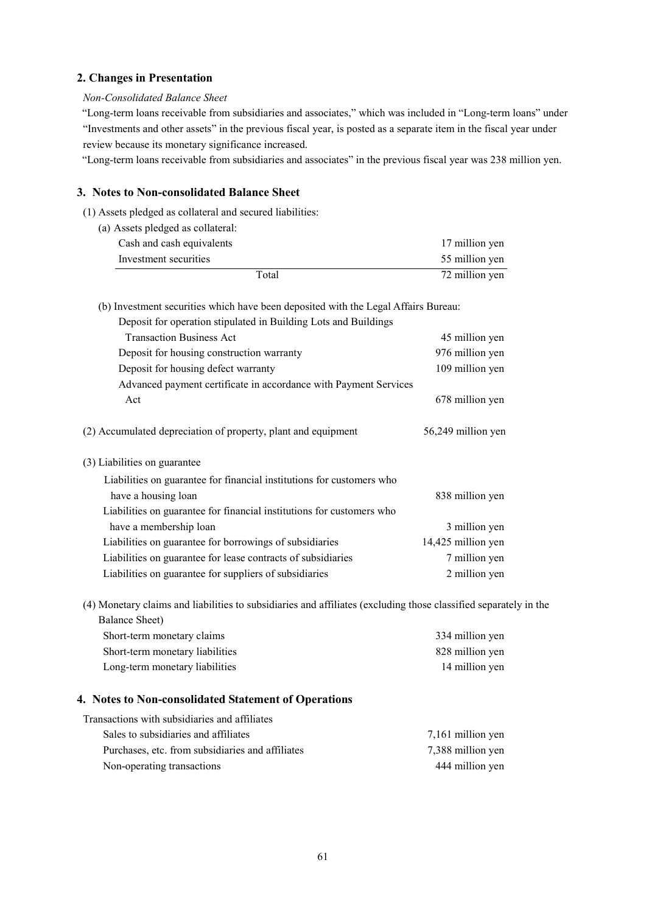### **2. Changes in Presentation**

### *Non-Consolidated Balance Sheet*

"Long-term loans receivable from subsidiaries and associates," which was included in "Long-term loans" under "Investments and other assets" in the previous fiscal year, is posted as a separate item in the fiscal year under review because its monetary significance increased.

"Long-term loans receivable from subsidiaries and associates" in the previous fiscal year was 238 million yen.

### **3. Notes to Non-consolidated Balance Sheet**

- (1) Assets pledged as collateral and secured liabilities:
	- (a) Assets pledged as collateral: Cash and cash equivalents 17 million yen Investment securities 55 million yen Total 72 million yen

(b) Investment securities which have been deposited with the Legal Affairs Bureau:

| Deposit for operation stipulated in Building Lots and Buildings       |                    |
|-----------------------------------------------------------------------|--------------------|
| <b>Transaction Business Act</b>                                       | 45 million yen     |
| Deposit for housing construction warranty                             | 976 million yen    |
| Deposit for housing defect warranty                                   | 109 million yen    |
| Advanced payment certificate in accordance with Payment Services      |                    |
| Act                                                                   | 678 million yen    |
|                                                                       |                    |
| (2) Accumulated depreciation of property, plant and equipment         | 56,249 million yen |
|                                                                       |                    |
| (3) Liabilities on guarantee                                          |                    |
| Liabilities on guarantee for financial institutions for customers who |                    |
| have a housing loan                                                   | 838 million yen    |
| Liabilities on guarantee for financial institutions for customers who |                    |
| have a membership loan                                                | 3 million yen      |
| Liabilities on guarantee for borrowings of subsidiaries               | 14,425 million yen |
| Liabilities on guarantee for lease contracts of subsidiaries          | 7 million yen      |
| Liabilities on guarantee for suppliers of subsidiaries                | 2 million yen      |

(4) Monetary claims and liabilities to subsidiaries and affiliates (excluding those classified separately in the Balance Sheet)

| Short-term monetary claims      | 334 million yen |
|---------------------------------|-----------------|
| Short-term monetary liabilities | 828 million yen |
| Long-term monetary liabilities  | 14 million yen  |

### **4. Notes to Non-consolidated Statement of Operations**

| Sales to subsidiaries and affiliates             | 7,161 million yen |
|--------------------------------------------------|-------------------|
| Purchases, etc. from subsidiaries and affiliates | 7,388 million yen |
| Non-operating transactions                       | 444 million yen   |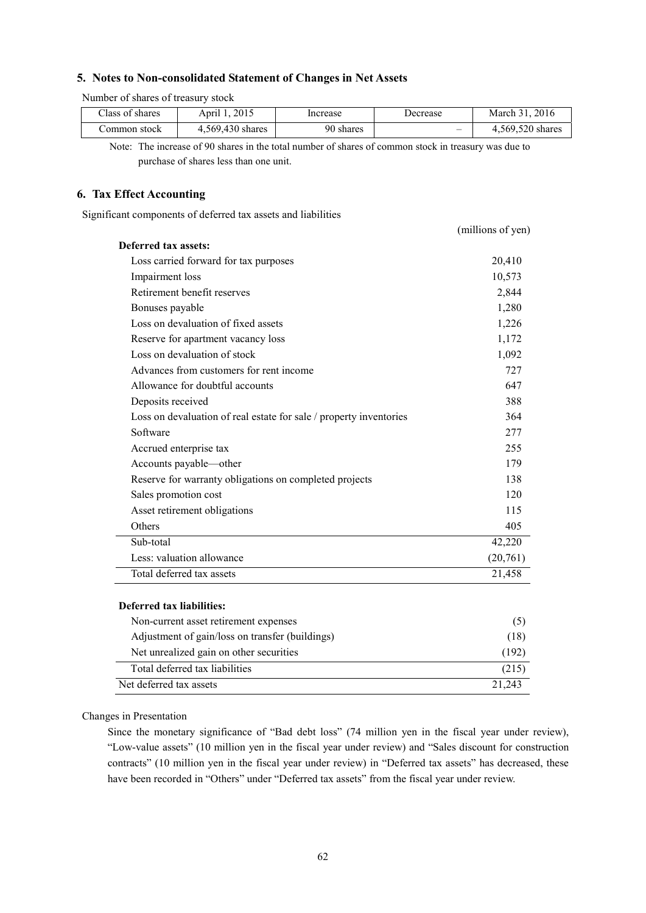### **5. Notes to Non-consolidated Statement of Changes in Net Assets**

Number of shares of treasury stock

| Class of shares | April 1. 2015    | Increase  | Decrease                 | March 31, 2016   |
|-----------------|------------------|-----------|--------------------------|------------------|
| ∴ommon stock    | 4,569,430 shares | 90 shares | $\overline{\phantom{0}}$ | 4.569.520 shares |

Note: The increase of 90 shares in the total number of shares of common stock in treasury was due to purchase of shares less than one unit.

#### **6. Tax Effect Accounting**

Significant components of deferred tax assets and liabilities

|                                                                    | (millions of yen) |
|--------------------------------------------------------------------|-------------------|
| Deferred tax assets:                                               |                   |
| Loss carried forward for tax purposes                              | 20,410            |
| Impairment loss                                                    | 10,573            |
| Retirement benefit reserves                                        | 2,844             |
| Bonuses payable                                                    | 1,280             |
| Loss on devaluation of fixed assets                                | 1,226             |
| Reserve for apartment vacancy loss                                 | 1,172             |
| Loss on devaluation of stock                                       | 1,092             |
| Advances from customers for rent income                            | 727               |
| Allowance for doubtful accounts                                    | 647               |
| Deposits received                                                  | 388               |
| Loss on devaluation of real estate for sale / property inventories | 364               |
| Software                                                           | 277               |
| Accrued enterprise tax                                             | 255               |
| Accounts payable—other                                             | 179               |
| Reserve for warranty obligations on completed projects             | 138               |
| Sales promotion cost                                               | 120               |
| Asset retirement obligations                                       | 115               |
| Others                                                             | 405               |
| Sub-total                                                          | 42,220            |
| Less: valuation allowance                                          | (20,761)          |
| Total deferred tax assets                                          | 21,458            |
|                                                                    |                   |

#### **Deferred tax liabilities:**

| Non-current asset retirement expenses           | (5)    |
|-------------------------------------------------|--------|
| Adjustment of gain/loss on transfer (buildings) | (18)   |
| Net unrealized gain on other securities         | (192)  |
| Total deferred tax liabilities                  | (215)  |
| Net deferred tax assets                         | 21.243 |

#### Changes in Presentation

Since the monetary significance of "Bad debt loss" (74 million yen in the fiscal year under review), "Low-value assets" (10 million yen in the fiscal year under review) and "Sales discount for construction contracts" (10 million yen in the fiscal year under review) in "Deferred tax assets" has decreased, these have been recorded in "Others" under "Deferred tax assets" from the fiscal year under review.